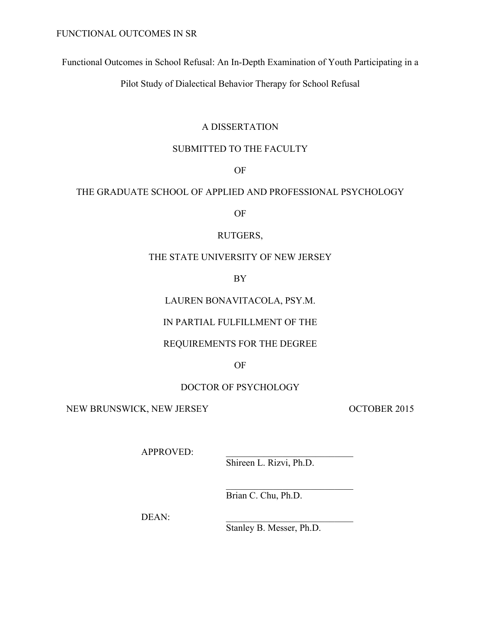Functional Outcomes in School Refusal: An In-Depth Examination of Youth Participating in a

Pilot Study of Dialectical Behavior Therapy for School Refusal

# A DISSERTATION

# SUBMITTED TO THE FACULTY

# OF

# THE GRADUATE SCHOOL OF APPLIED AND PROFESSIONAL PSYCHOLOGY

OF

# RUTGERS,

# THE STATE UNIVERSITY OF NEW JERSEY

BY

# LAUREN BONAVITACOLA, PSY.M.

# IN PARTIAL FULFILLMENT OF THE

# REQUIREMENTS FOR THE DEGREE

# OF

# DOCTOR OF PSYCHOLOGY

NEW BRUNSWICK, NEW JERSEY OCTOBER 2015

APPROVED:

Shireen L. Rizvi, Ph.D.

 $\mathcal{L}=\mathcal{L}=\mathcal{L}=\mathcal{L}=\mathcal{L}=\mathcal{L}=\mathcal{L}=\mathcal{L}=\mathcal{L}=\mathcal{L}=\mathcal{L}=\mathcal{L}=\mathcal{L}=\mathcal{L}=\mathcal{L}=\mathcal{L}=\mathcal{L}=\mathcal{L}=\mathcal{L}=\mathcal{L}=\mathcal{L}=\mathcal{L}=\mathcal{L}=\mathcal{L}=\mathcal{L}=\mathcal{L}=\mathcal{L}=\mathcal{L}=\mathcal{L}=\mathcal{L}=\mathcal{L}=\mathcal{L}=\mathcal{L}=\mathcal{L}=\mathcal{L}=\mathcal{L}=\mathcal{$ 

Brian C. Chu, Ph.D.

DEAN:

Stanley B. Messer, Ph.D.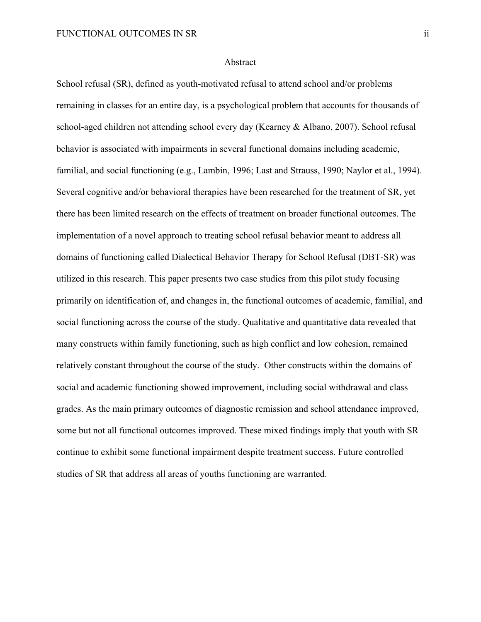#### Abstract

School refusal (SR), defined as youth-motivated refusal to attend school and/or problems remaining in classes for an entire day, is a psychological problem that accounts for thousands of school-aged children not attending school every day (Kearney & Albano, 2007). School refusal behavior is associated with impairments in several functional domains including academic, familial, and social functioning (e.g., Lambin, 1996; Last and Strauss, 1990; Naylor et al., 1994). Several cognitive and/or behavioral therapies have been researched for the treatment of SR, yet there has been limited research on the effects of treatment on broader functional outcomes. The implementation of a novel approach to treating school refusal behavior meant to address all domains of functioning called Dialectical Behavior Therapy for School Refusal (DBT-SR) was utilized in this research. This paper presents two case studies from this pilot study focusing primarily on identification of, and changes in, the functional outcomes of academic, familial, and social functioning across the course of the study. Qualitative and quantitative data revealed that many constructs within family functioning, such as high conflict and low cohesion, remained relatively constant throughout the course of the study. Other constructs within the domains of social and academic functioning showed improvement, including social withdrawal and class grades. As the main primary outcomes of diagnostic remission and school attendance improved, some but not all functional outcomes improved. These mixed findings imply that youth with SR continue to exhibit some functional impairment despite treatment success. Future controlled studies of SR that address all areas of youths functioning are warranted.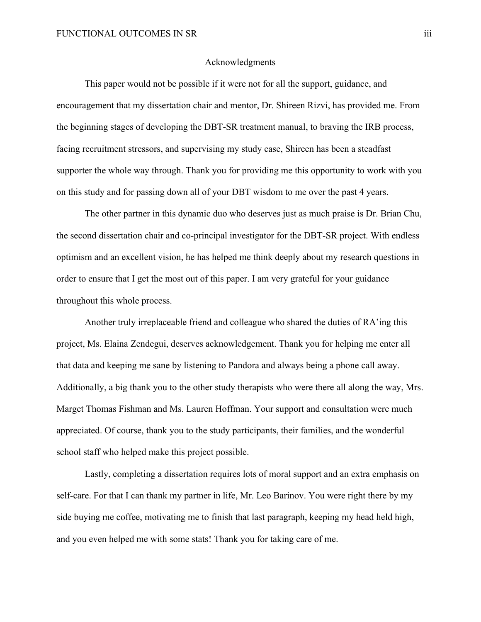### Acknowledgments

This paper would not be possible if it were not for all the support, guidance, and encouragement that my dissertation chair and mentor, Dr. Shireen Rizvi, has provided me. From the beginning stages of developing the DBT-SR treatment manual, to braving the IRB process, facing recruitment stressors, and supervising my study case, Shireen has been a steadfast supporter the whole way through. Thank you for providing me this opportunity to work with you on this study and for passing down all of your DBT wisdom to me over the past 4 years.

The other partner in this dynamic duo who deserves just as much praise is Dr. Brian Chu, the second dissertation chair and co-principal investigator for the DBT-SR project. With endless optimism and an excellent vision, he has helped me think deeply about my research questions in order to ensure that I get the most out of this paper. I am very grateful for your guidance throughout this whole process.

Another truly irreplaceable friend and colleague who shared the duties of RA'ing this project, Ms. Elaina Zendegui, deserves acknowledgement. Thank you for helping me enter all that data and keeping me sane by listening to Pandora and always being a phone call away. Additionally, a big thank you to the other study therapists who were there all along the way, Mrs. Marget Thomas Fishman and Ms. Lauren Hoffman. Your support and consultation were much appreciated. Of course, thank you to the study participants, their families, and the wonderful school staff who helped make this project possible.

Lastly, completing a dissertation requires lots of moral support and an extra emphasis on self-care. For that I can thank my partner in life, Mr. Leo Barinov. You were right there by my side buying me coffee, motivating me to finish that last paragraph, keeping my head held high, and you even helped me with some stats! Thank you for taking care of me.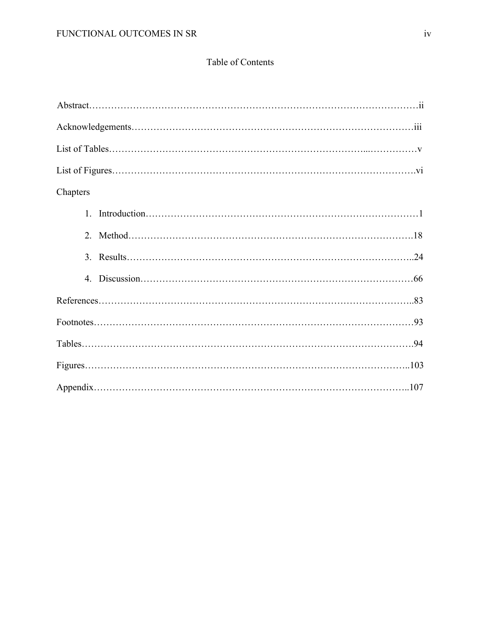# Table of Contents

| Chapters |
|----------|
| $1_{-}$  |
|          |
|          |
|          |
|          |
|          |
|          |
|          |
|          |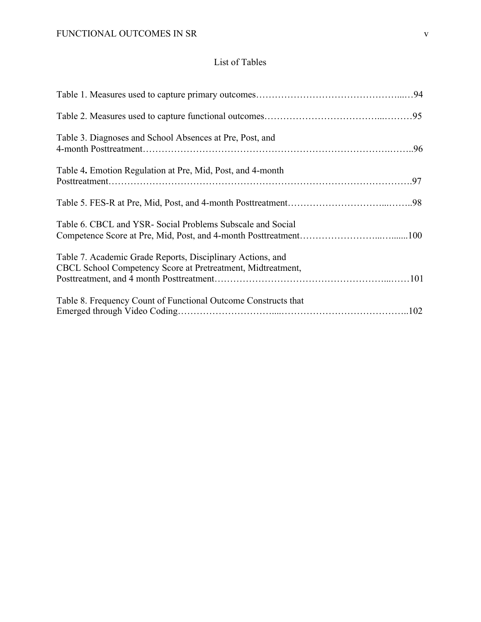# List of Tables

| Table 3. Diagnoses and School Absences at Pre, Post, and                                                                  |  |
|---------------------------------------------------------------------------------------------------------------------------|--|
| Table 4. Emotion Regulation at Pre, Mid, Post, and 4-month                                                                |  |
|                                                                                                                           |  |
| Table 6. CBCL and YSR- Social Problems Subscale and Social                                                                |  |
| Table 7. Academic Grade Reports, Disciplinary Actions, and<br>CBCL School Competency Score at Pretreatment, Midtreatment, |  |
| Table 8. Frequency Count of Functional Outcome Constructs that                                                            |  |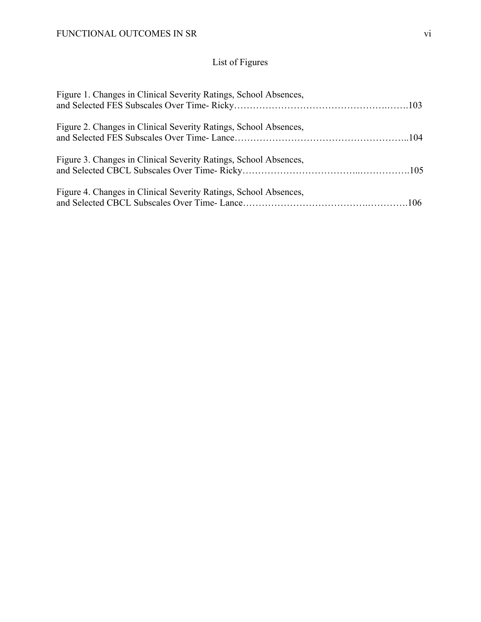# List of Figures

| Figure 1. Changes in Clinical Severity Ratings, School Absences, |  |
|------------------------------------------------------------------|--|
| Figure 2. Changes in Clinical Severity Ratings, School Absences, |  |
| Figure 3. Changes in Clinical Severity Ratings, School Absences, |  |
| Figure 4. Changes in Clinical Severity Ratings, School Absences, |  |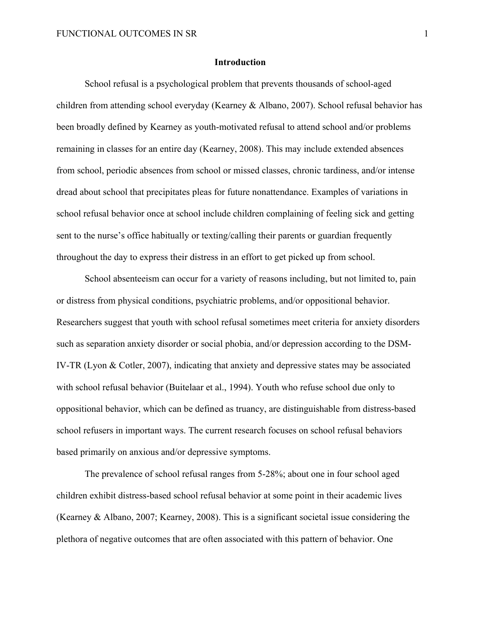### **Introduction**

School refusal is a psychological problem that prevents thousands of school-aged children from attending school everyday (Kearney & Albano, 2007). School refusal behavior has been broadly defined by Kearney as youth-motivated refusal to attend school and/or problems remaining in classes for an entire day (Kearney, 2008). This may include extended absences from school, periodic absences from school or missed classes, chronic tardiness, and/or intense dread about school that precipitates pleas for future nonattendance. Examples of variations in school refusal behavior once at school include children complaining of feeling sick and getting sent to the nurse's office habitually or texting/calling their parents or guardian frequently throughout the day to express their distress in an effort to get picked up from school.

School absenteeism can occur for a variety of reasons including, but not limited to, pain or distress from physical conditions, psychiatric problems, and/or oppositional behavior. Researchers suggest that youth with school refusal sometimes meet criteria for anxiety disorders such as separation anxiety disorder or social phobia, and/or depression according to the DSM-IV-TR (Lyon & Cotler, 2007), indicating that anxiety and depressive states may be associated with school refusal behavior (Buitelaar et al., 1994). Youth who refuse school due only to oppositional behavior, which can be defined as truancy, are distinguishable from distress-based school refusers in important ways. The current research focuses on school refusal behaviors based primarily on anxious and/or depressive symptoms.

The prevalence of school refusal ranges from 5-28%; about one in four school aged children exhibit distress-based school refusal behavior at some point in their academic lives (Kearney & Albano, 2007; Kearney, 2008). This is a significant societal issue considering the plethora of negative outcomes that are often associated with this pattern of behavior. One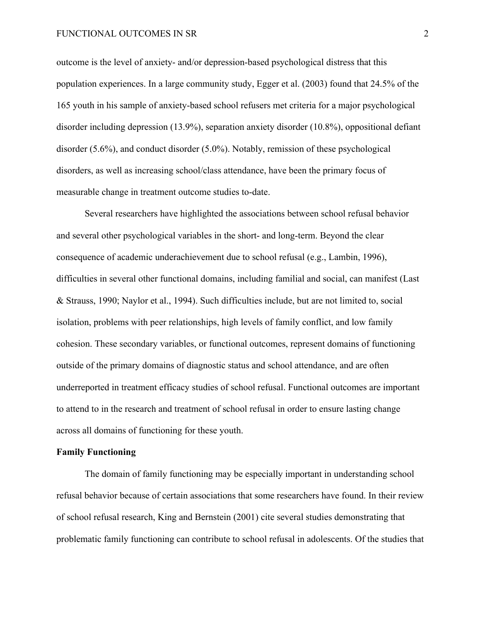#### FUNCTIONAL OUTCOMES IN SR 2

outcome is the level of anxiety- and/or depression-based psychological distress that this population experiences. In a large community study, Egger et al. (2003) found that 24.5% of the 165 youth in his sample of anxiety-based school refusers met criteria for a major psychological disorder including depression (13.9%), separation anxiety disorder (10.8%), oppositional defiant disorder (5.6%), and conduct disorder (5.0%). Notably, remission of these psychological disorders, as well as increasing school/class attendance, have been the primary focus of measurable change in treatment outcome studies to-date.

Several researchers have highlighted the associations between school refusal behavior and several other psychological variables in the short- and long-term. Beyond the clear consequence of academic underachievement due to school refusal (e.g., Lambin, 1996), difficulties in several other functional domains, including familial and social, can manifest (Last & Strauss, 1990; Naylor et al., 1994). Such difficulties include, but are not limited to, social isolation, problems with peer relationships, high levels of family conflict, and low family cohesion. These secondary variables, or functional outcomes, represent domains of functioning outside of the primary domains of diagnostic status and school attendance, and are often underreported in treatment efficacy studies of school refusal. Functional outcomes are important to attend to in the research and treatment of school refusal in order to ensure lasting change across all domains of functioning for these youth.

### **Family Functioning**

The domain of family functioning may be especially important in understanding school refusal behavior because of certain associations that some researchers have found. In their review of school refusal research, King and Bernstein (2001) cite several studies demonstrating that problematic family functioning can contribute to school refusal in adolescents. Of the studies that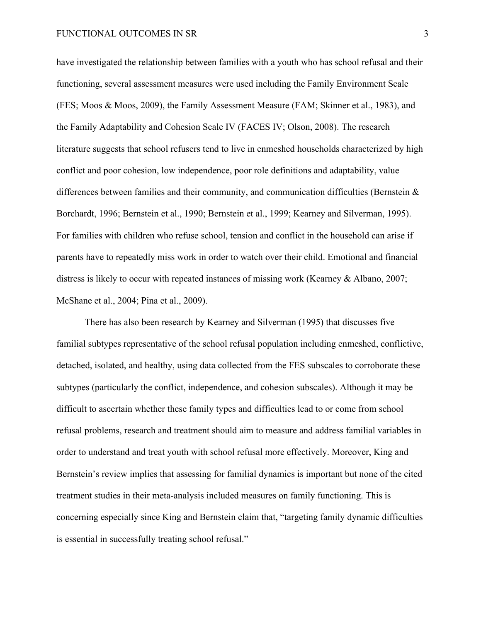have investigated the relationship between families with a youth who has school refusal and their functioning, several assessment measures were used including the Family Environment Scale (FES; Moos & Moos, 2009), the Family Assessment Measure (FAM; Skinner et al., 1983), and the Family Adaptability and Cohesion Scale IV (FACES IV; Olson, 2008). The research literature suggests that school refusers tend to live in enmeshed households characterized by high conflict and poor cohesion, low independence, poor role definitions and adaptability, value differences between families and their community, and communication difficulties (Bernstein  $\&$ Borchardt, 1996; Bernstein et al., 1990; Bernstein et al., 1999; Kearney and Silverman, 1995). For families with children who refuse school, tension and conflict in the household can arise if parents have to repeatedly miss work in order to watch over their child. Emotional and financial distress is likely to occur with repeated instances of missing work (Kearney & Albano, 2007; McShane et al., 2004; Pina et al., 2009).

There has also been research by Kearney and Silverman (1995) that discusses five familial subtypes representative of the school refusal population including enmeshed, conflictive, detached, isolated, and healthy, using data collected from the FES subscales to corroborate these subtypes (particularly the conflict, independence, and cohesion subscales). Although it may be difficult to ascertain whether these family types and difficulties lead to or come from school refusal problems, research and treatment should aim to measure and address familial variables in order to understand and treat youth with school refusal more effectively. Moreover, King and Bernstein's review implies that assessing for familial dynamics is important but none of the cited treatment studies in their meta-analysis included measures on family functioning. This is concerning especially since King and Bernstein claim that, "targeting family dynamic difficulties is essential in successfully treating school refusal."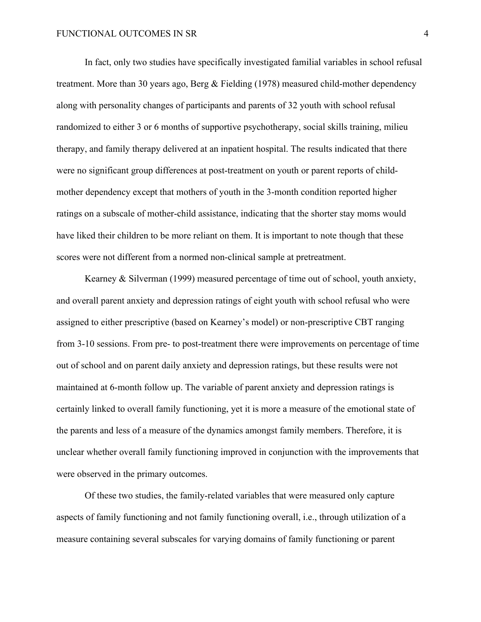In fact, only two studies have specifically investigated familial variables in school refusal treatment. More than 30 years ago, Berg & Fielding (1978) measured child-mother dependency along with personality changes of participants and parents of 32 youth with school refusal randomized to either 3 or 6 months of supportive psychotherapy, social skills training, milieu therapy, and family therapy delivered at an inpatient hospital. The results indicated that there were no significant group differences at post-treatment on youth or parent reports of childmother dependency except that mothers of youth in the 3-month condition reported higher ratings on a subscale of mother-child assistance, indicating that the shorter stay moms would have liked their children to be more reliant on them. It is important to note though that these scores were not different from a normed non-clinical sample at pretreatment.

Kearney & Silverman (1999) measured percentage of time out of school, youth anxiety, and overall parent anxiety and depression ratings of eight youth with school refusal who were assigned to either prescriptive (based on Kearney's model) or non-prescriptive CBT ranging from 3-10 sessions. From pre- to post-treatment there were improvements on percentage of time out of school and on parent daily anxiety and depression ratings, but these results were not maintained at 6-month follow up. The variable of parent anxiety and depression ratings is certainly linked to overall family functioning, yet it is more a measure of the emotional state of the parents and less of a measure of the dynamics amongst family members. Therefore, it is unclear whether overall family functioning improved in conjunction with the improvements that were observed in the primary outcomes.

Of these two studies, the family-related variables that were measured only capture aspects of family functioning and not family functioning overall, i.e., through utilization of a measure containing several subscales for varying domains of family functioning or parent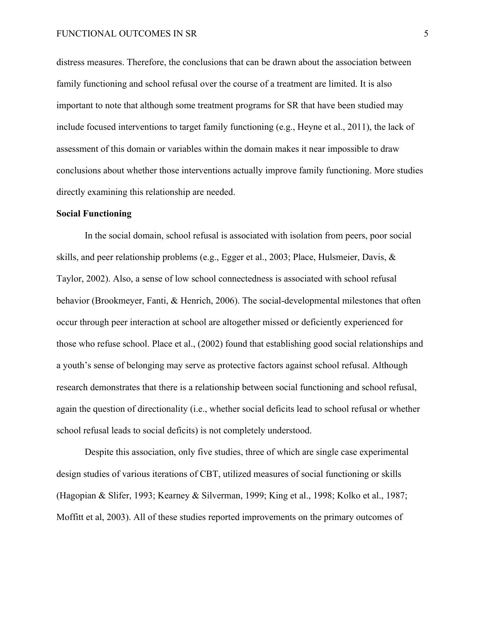distress measures. Therefore, the conclusions that can be drawn about the association between family functioning and school refusal over the course of a treatment are limited. It is also important to note that although some treatment programs for SR that have been studied may include focused interventions to target family functioning (e.g., Heyne et al., 2011), the lack of assessment of this domain or variables within the domain makes it near impossible to draw conclusions about whether those interventions actually improve family functioning. More studies directly examining this relationship are needed.

### **Social Functioning**

In the social domain, school refusal is associated with isolation from peers, poor social skills, and peer relationship problems (e.g., Egger et al., 2003; Place, Hulsmeier, Davis, & Taylor, 2002). Also, a sense of low school connectedness is associated with school refusal behavior (Brookmeyer, Fanti, & Henrich, 2006). The social-developmental milestones that often occur through peer interaction at school are altogether missed or deficiently experienced for those who refuse school. Place et al., (2002) found that establishing good social relationships and a youth's sense of belonging may serve as protective factors against school refusal. Although research demonstrates that there is a relationship between social functioning and school refusal, again the question of directionality (i.e., whether social deficits lead to school refusal or whether school refusal leads to social deficits) is not completely understood.

Despite this association, only five studies, three of which are single case experimental design studies of various iterations of CBT, utilized measures of social functioning or skills (Hagopian & Slifer, 1993; Kearney & Silverman, 1999; King et al., 1998; Kolko et al., 1987; Moffitt et al, 2003). All of these studies reported improvements on the primary outcomes of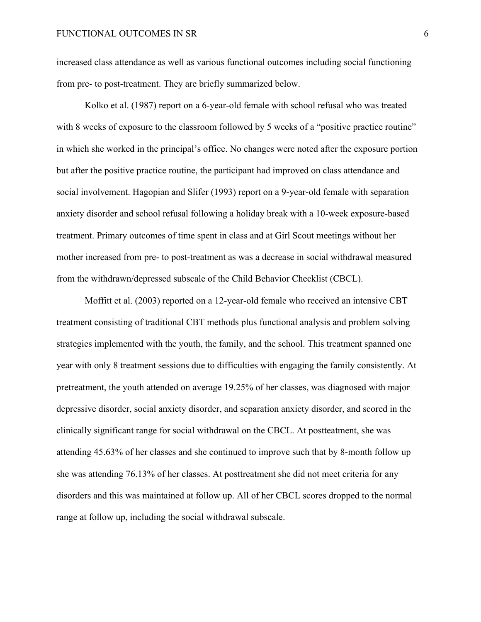increased class attendance as well as various functional outcomes including social functioning from pre- to post-treatment. They are briefly summarized below.

Kolko et al. (1987) report on a 6-year-old female with school refusal who was treated with 8 weeks of exposure to the classroom followed by 5 weeks of a "positive practice routine" in which she worked in the principal's office. No changes were noted after the exposure portion but after the positive practice routine, the participant had improved on class attendance and social involvement. Hagopian and Slifer (1993) report on a 9-year-old female with separation anxiety disorder and school refusal following a holiday break with a 10-week exposure-based treatment. Primary outcomes of time spent in class and at Girl Scout meetings without her mother increased from pre- to post-treatment as was a decrease in social withdrawal measured from the withdrawn/depressed subscale of the Child Behavior Checklist (CBCL).

Moffitt et al. (2003) reported on a 12-year-old female who received an intensive CBT treatment consisting of traditional CBT methods plus functional analysis and problem solving strategies implemented with the youth, the family, and the school. This treatment spanned one year with only 8 treatment sessions due to difficulties with engaging the family consistently. At pretreatment, the youth attended on average 19.25% of her classes, was diagnosed with major depressive disorder, social anxiety disorder, and separation anxiety disorder, and scored in the clinically significant range for social withdrawal on the CBCL. At postteatment, she was attending 45.63% of her classes and she continued to improve such that by 8-month follow up she was attending 76.13% of her classes. At posttreatment she did not meet criteria for any disorders and this was maintained at follow up. All of her CBCL scores dropped to the normal range at follow up, including the social withdrawal subscale.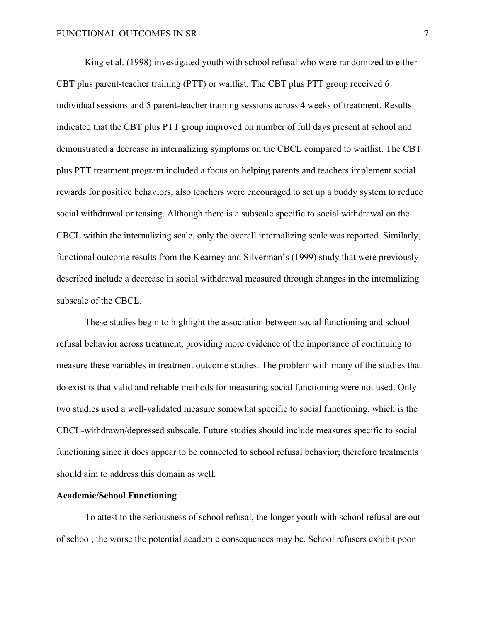King et al. (1998) investigated youth with school refusal who were randomized to either CBT plus parent-teacher training (PTT) or waitlist. The CBT plus PTT group received 6 individual sessions and 5 parent-teacher training sessions across 4 weeks of treatment. Results indicated that the CBT plus PTT group improved on number of full days present at school and demonstrated a decrease in internalizing symptoms on the CBCL compared to waitlist. The CBT plus PTT treatment program included a focus on helping parents and teachers implement social rewards for positive behaviors; also teachers were encouraged to set up a buddy system to reduce social withdrawal or teasing. Although there is a subscale specific to social withdrawal on the CBCL within the internalizing scale, only the overall internalizing scale was reported. Similarly, functional outcome results from the Kearney and Silverman's (1999) study that were previously described include a decrease in social withdrawal measured through changes in the internalizing subscale of the CBCL.

These studies begin to highlight the association between social functioning and school refusal behavior across treatment, providing more evidence of the importance of continuing to measure these variables in treatment outcome studies. The problem with many of the studies that do exist is that valid and reliable methods for measuring social functioning were not used. Only two studies used a well-validated measure somewhat specific to social functioning, which is the CBCL-withdrawn/depressed subscale. Future studies should include measures specific to social functioning since it does appear to be connected to school refusal behavior; therefore treatments should aim to address this domain as well.

## **Academic/School Functioning**

To attest to the seriousness of school refusal, the longer youth with school refusal are out of school, the worse the potential academic consequences may be. School refusers exhibit poor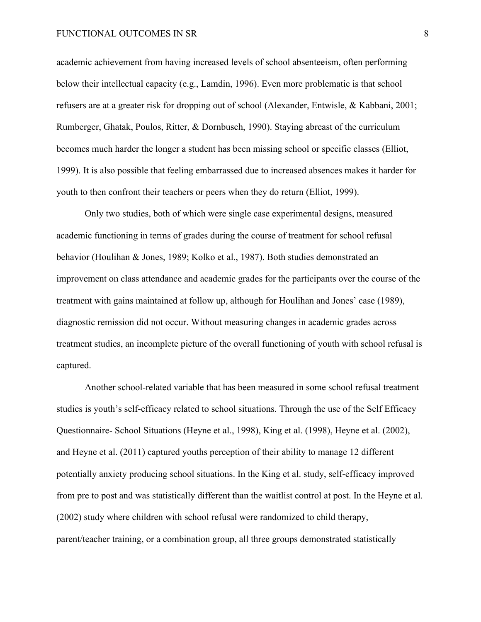academic achievement from having increased levels of school absenteeism, often performing below their intellectual capacity (e.g., Lamdin, 1996). Even more problematic is that school refusers are at a greater risk for dropping out of school (Alexander, Entwisle, & Kabbani, 2001; Rumberger, Ghatak, Poulos, Ritter, & Dornbusch, 1990). Staying abreast of the curriculum becomes much harder the longer a student has been missing school or specific classes (Elliot, 1999). It is also possible that feeling embarrassed due to increased absences makes it harder for youth to then confront their teachers or peers when they do return (Elliot, 1999).

Only two studies, both of which were single case experimental designs, measured academic functioning in terms of grades during the course of treatment for school refusal behavior (Houlihan & Jones, 1989; Kolko et al., 1987). Both studies demonstrated an improvement on class attendance and academic grades for the participants over the course of the treatment with gains maintained at follow up, although for Houlihan and Jones' case (1989), diagnostic remission did not occur. Without measuring changes in academic grades across treatment studies, an incomplete picture of the overall functioning of youth with school refusal is captured.

Another school-related variable that has been measured in some school refusal treatment studies is youth's self-efficacy related to school situations. Through the use of the Self Efficacy Questionnaire- School Situations (Heyne et al., 1998), King et al. (1998), Heyne et al. (2002), and Heyne et al. (2011) captured youths perception of their ability to manage 12 different potentially anxiety producing school situations. In the King et al. study, self-efficacy improved from pre to post and was statistically different than the waitlist control at post. In the Heyne et al. (2002) study where children with school refusal were randomized to child therapy, parent/teacher training, or a combination group, all three groups demonstrated statistically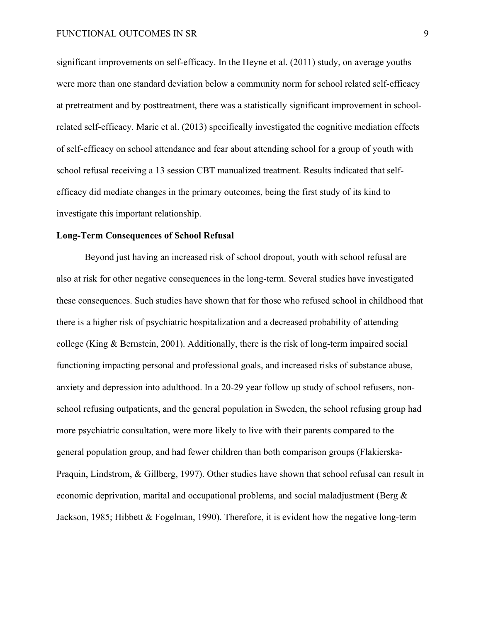significant improvements on self-efficacy. In the Heyne et al. (2011) study, on average youths were more than one standard deviation below a community norm for school related self-efficacy at pretreatment and by posttreatment, there was a statistically significant improvement in schoolrelated self-efficacy. Maric et al. (2013) specifically investigated the cognitive mediation effects of self-efficacy on school attendance and fear about attending school for a group of youth with school refusal receiving a 13 session CBT manualized treatment. Results indicated that selfefficacy did mediate changes in the primary outcomes, being the first study of its kind to investigate this important relationship.

#### **Long-Term Consequences of School Refusal**

Beyond just having an increased risk of school dropout, youth with school refusal are also at risk for other negative consequences in the long-term. Several studies have investigated these consequences. Such studies have shown that for those who refused school in childhood that there is a higher risk of psychiatric hospitalization and a decreased probability of attending college (King & Bernstein, 2001). Additionally, there is the risk of long-term impaired social functioning impacting personal and professional goals, and increased risks of substance abuse, anxiety and depression into adulthood. In a 20-29 year follow up study of school refusers, nonschool refusing outpatients, and the general population in Sweden, the school refusing group had more psychiatric consultation, were more likely to live with their parents compared to the general population group, and had fewer children than both comparison groups (Flakierska-Praquin, Lindstrom, & Gillberg, 1997). Other studies have shown that school refusal can result in economic deprivation, marital and occupational problems, and social maladjustment (Berg  $\&$ Jackson, 1985; Hibbett & Fogelman, 1990). Therefore, it is evident how the negative long-term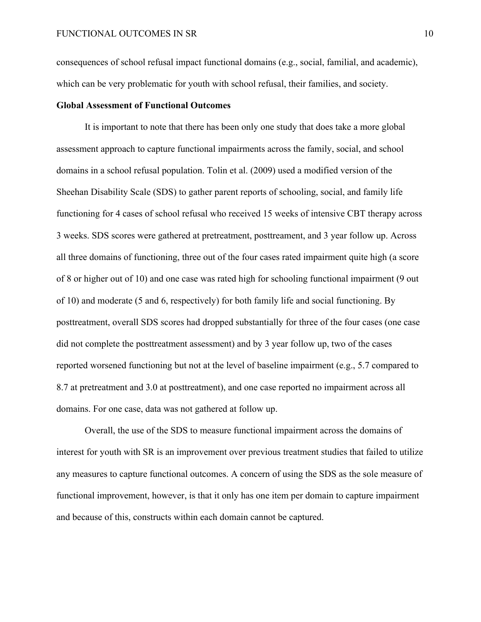consequences of school refusal impact functional domains (e.g., social, familial, and academic), which can be very problematic for youth with school refusal, their families, and society.

# **Global Assessment of Functional Outcomes**

It is important to note that there has been only one study that does take a more global assessment approach to capture functional impairments across the family, social, and school domains in a school refusal population. Tolin et al. (2009) used a modified version of the Sheehan Disability Scale (SDS) to gather parent reports of schooling, social, and family life functioning for 4 cases of school refusal who received 15 weeks of intensive CBT therapy across 3 weeks. SDS scores were gathered at pretreatment, posttreament, and 3 year follow up. Across all three domains of functioning, three out of the four cases rated impairment quite high (a score of 8 or higher out of 10) and one case was rated high for schooling functional impairment (9 out of 10) and moderate (5 and 6, respectively) for both family life and social functioning. By posttreatment, overall SDS scores had dropped substantially for three of the four cases (one case did not complete the posttreatment assessment) and by 3 year follow up, two of the cases reported worsened functioning but not at the level of baseline impairment (e.g., 5.7 compared to 8.7 at pretreatment and 3.0 at posttreatment), and one case reported no impairment across all domains. For one case, data was not gathered at follow up.

Overall, the use of the SDS to measure functional impairment across the domains of interest for youth with SR is an improvement over previous treatment studies that failed to utilize any measures to capture functional outcomes. A concern of using the SDS as the sole measure of functional improvement, however, is that it only has one item per domain to capture impairment and because of this, constructs within each domain cannot be captured.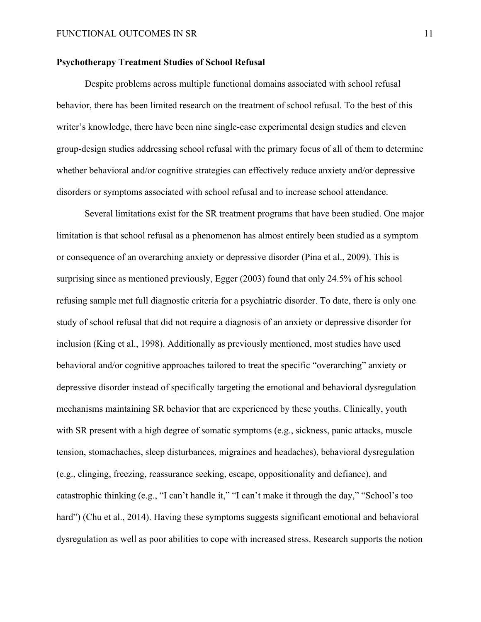# **Psychotherapy Treatment Studies of School Refusal**

Despite problems across multiple functional domains associated with school refusal behavior, there has been limited research on the treatment of school refusal. To the best of this writer's knowledge, there have been nine single-case experimental design studies and eleven group-design studies addressing school refusal with the primary focus of all of them to determine whether behavioral and/or cognitive strategies can effectively reduce anxiety and/or depressive disorders or symptoms associated with school refusal and to increase school attendance.

Several limitations exist for the SR treatment programs that have been studied. One major limitation is that school refusal as a phenomenon has almost entirely been studied as a symptom or consequence of an overarching anxiety or depressive disorder (Pina et al., 2009). This is surprising since as mentioned previously, Egger (2003) found that only 24.5% of his school refusing sample met full diagnostic criteria for a psychiatric disorder. To date, there is only one study of school refusal that did not require a diagnosis of an anxiety or depressive disorder for inclusion (King et al., 1998). Additionally as previously mentioned, most studies have used behavioral and/or cognitive approaches tailored to treat the specific "overarching" anxiety or depressive disorder instead of specifically targeting the emotional and behavioral dysregulation mechanisms maintaining SR behavior that are experienced by these youths. Clinically, youth with SR present with a high degree of somatic symptoms (e.g., sickness, panic attacks, muscle tension, stomachaches, sleep disturbances, migraines and headaches), behavioral dysregulation (e.g., clinging, freezing, reassurance seeking, escape, oppositionality and defiance), and catastrophic thinking (e.g., "I can't handle it," "I can't make it through the day," "School's too hard") (Chu et al., 2014). Having these symptoms suggests significant emotional and behavioral dysregulation as well as poor abilities to cope with increased stress. Research supports the notion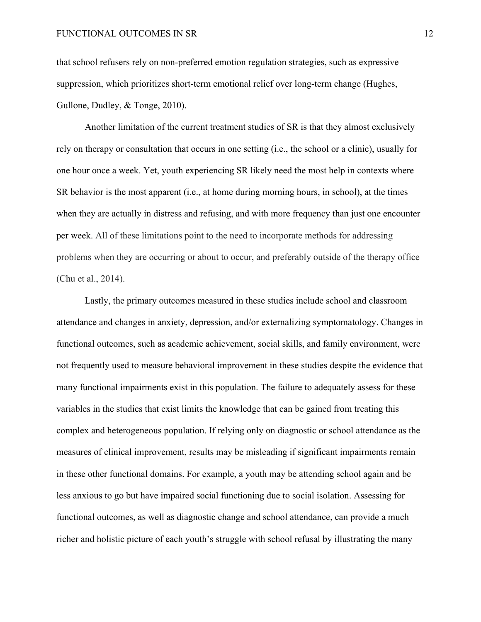that school refusers rely on non-preferred emotion regulation strategies, such as expressive suppression, which prioritizes short-term emotional relief over long-term change (Hughes, Gullone, Dudley, & Tonge, 2010).

Another limitation of the current treatment studies of SR is that they almost exclusively rely on therapy or consultation that occurs in one setting (i.e., the school or a clinic), usually for one hour once a week. Yet, youth experiencing SR likely need the most help in contexts where SR behavior is the most apparent (i.e., at home during morning hours, in school), at the times when they are actually in distress and refusing, and with more frequency than just one encounter per week. All of these limitations point to the need to incorporate methods for addressing problems when they are occurring or about to occur, and preferably outside of the therapy office (Chu et al., 2014).

Lastly, the primary outcomes measured in these studies include school and classroom attendance and changes in anxiety, depression, and/or externalizing symptomatology. Changes in functional outcomes, such as academic achievement, social skills, and family environment, were not frequently used to measure behavioral improvement in these studies despite the evidence that many functional impairments exist in this population. The failure to adequately assess for these variables in the studies that exist limits the knowledge that can be gained from treating this complex and heterogeneous population. If relying only on diagnostic or school attendance as the measures of clinical improvement, results may be misleading if significant impairments remain in these other functional domains. For example, a youth may be attending school again and be less anxious to go but have impaired social functioning due to social isolation. Assessing for functional outcomes, as well as diagnostic change and school attendance, can provide a much richer and holistic picture of each youth's struggle with school refusal by illustrating the many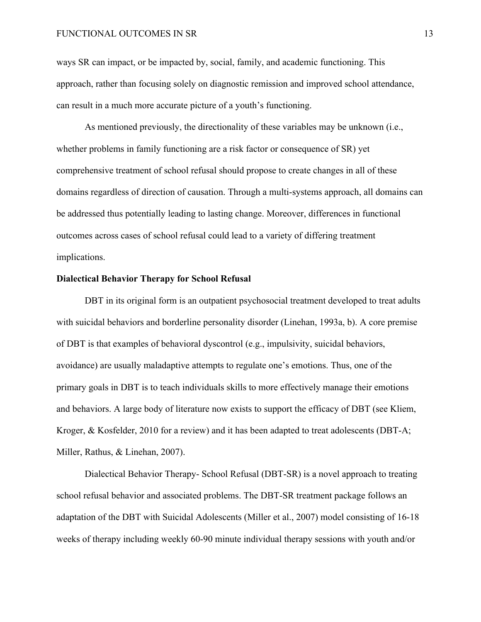# FUNCTIONAL OUTCOMES IN SR 13

ways SR can impact, or be impacted by, social, family, and academic functioning. This approach, rather than focusing solely on diagnostic remission and improved school attendance, can result in a much more accurate picture of a youth's functioning.

As mentioned previously, the directionality of these variables may be unknown (i.e., whether problems in family functioning are a risk factor or consequence of SR) yet comprehensive treatment of school refusal should propose to create changes in all of these domains regardless of direction of causation. Through a multi-systems approach, all domains can be addressed thus potentially leading to lasting change. Moreover, differences in functional outcomes across cases of school refusal could lead to a variety of differing treatment implications.

# **Dialectical Behavior Therapy for School Refusal**

DBT in its original form is an outpatient psychosocial treatment developed to treat adults with suicidal behaviors and borderline personality disorder (Linehan, 1993a, b). A core premise of DBT is that examples of behavioral dyscontrol (e.g., impulsivity, suicidal behaviors, avoidance) are usually maladaptive attempts to regulate one's emotions. Thus, one of the primary goals in DBT is to teach individuals skills to more effectively manage their emotions and behaviors. A large body of literature now exists to support the efficacy of DBT (see Kliem, Kroger, & Kosfelder, 2010 for a review) and it has been adapted to treat adolescents (DBT-A; Miller, Rathus, & Linehan, 2007).

Dialectical Behavior Therapy- School Refusal (DBT-SR) is a novel approach to treating school refusal behavior and associated problems. The DBT-SR treatment package follows an adaptation of the DBT with Suicidal Adolescents (Miller et al., 2007) model consisting of 16-18 weeks of therapy including weekly 60-90 minute individual therapy sessions with youth and/or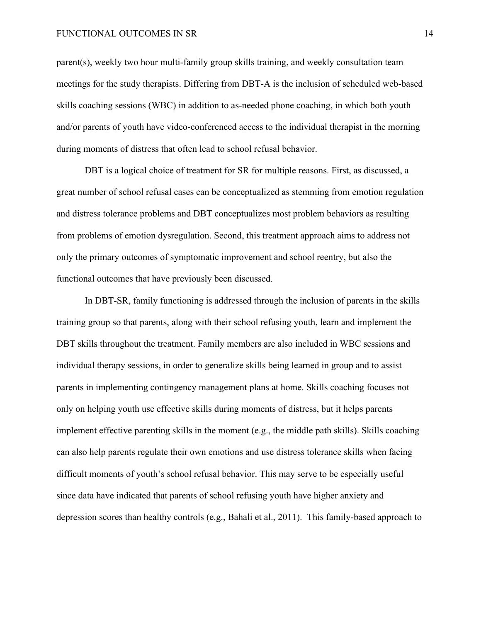#### FUNCTIONAL OUTCOMES IN SR 14

parent(s), weekly two hour multi-family group skills training, and weekly consultation team meetings for the study therapists. Differing from DBT-A is the inclusion of scheduled web-based skills coaching sessions (WBC) in addition to as-needed phone coaching, in which both youth and/or parents of youth have video-conferenced access to the individual therapist in the morning during moments of distress that often lead to school refusal behavior.

DBT is a logical choice of treatment for SR for multiple reasons. First, as discussed, a great number of school refusal cases can be conceptualized as stemming from emotion regulation and distress tolerance problems and DBT conceptualizes most problem behaviors as resulting from problems of emotion dysregulation. Second, this treatment approach aims to address not only the primary outcomes of symptomatic improvement and school reentry, but also the functional outcomes that have previously been discussed.

In DBT-SR, family functioning is addressed through the inclusion of parents in the skills training group so that parents, along with their school refusing youth, learn and implement the DBT skills throughout the treatment. Family members are also included in WBC sessions and individual therapy sessions, in order to generalize skills being learned in group and to assist parents in implementing contingency management plans at home. Skills coaching focuses not only on helping youth use effective skills during moments of distress, but it helps parents implement effective parenting skills in the moment (e.g., the middle path skills). Skills coaching can also help parents regulate their own emotions and use distress tolerance skills when facing difficult moments of youth's school refusal behavior. This may serve to be especially useful since data have indicated that parents of school refusing youth have higher anxiety and depression scores than healthy controls (e.g., Bahali et al., 2011). This family-based approach to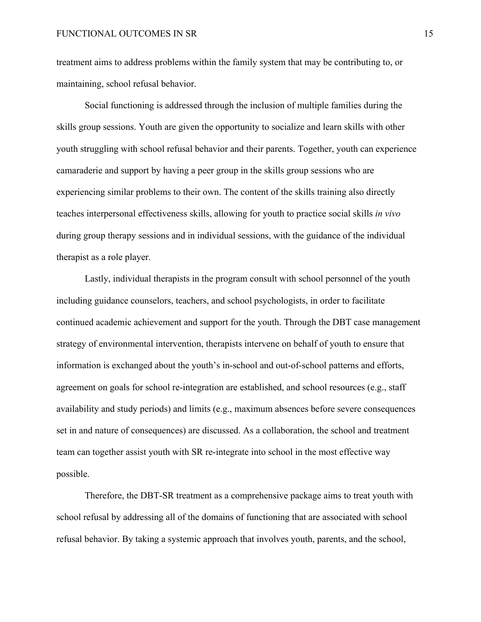treatment aims to address problems within the family system that may be contributing to, or maintaining, school refusal behavior.

Social functioning is addressed through the inclusion of multiple families during the skills group sessions. Youth are given the opportunity to socialize and learn skills with other youth struggling with school refusal behavior and their parents. Together, youth can experience camaraderie and support by having a peer group in the skills group sessions who are experiencing similar problems to their own. The content of the skills training also directly teaches interpersonal effectiveness skills, allowing for youth to practice social skills *in vivo*  during group therapy sessions and in individual sessions, with the guidance of the individual therapist as a role player.

Lastly, individual therapists in the program consult with school personnel of the youth including guidance counselors, teachers, and school psychologists, in order to facilitate continued academic achievement and support for the youth. Through the DBT case management strategy of environmental intervention, therapists intervene on behalf of youth to ensure that information is exchanged about the youth's in-school and out-of-school patterns and efforts, agreement on goals for school re-integration are established, and school resources (e.g., staff availability and study periods) and limits (e.g., maximum absences before severe consequences set in and nature of consequences) are discussed. As a collaboration, the school and treatment team can together assist youth with SR re-integrate into school in the most effective way possible.

Therefore, the DBT-SR treatment as a comprehensive package aims to treat youth with school refusal by addressing all of the domains of functioning that are associated with school refusal behavior. By taking a systemic approach that involves youth, parents, and the school,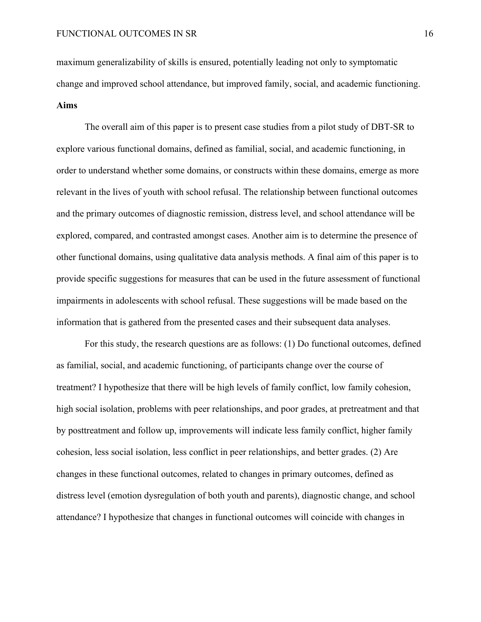maximum generalizability of skills is ensured, potentially leading not only to symptomatic change and improved school attendance, but improved family, social, and academic functioning. **Aims**

The overall aim of this paper is to present case studies from a pilot study of DBT-SR to explore various functional domains, defined as familial, social, and academic functioning, in order to understand whether some domains, or constructs within these domains, emerge as more relevant in the lives of youth with school refusal. The relationship between functional outcomes and the primary outcomes of diagnostic remission, distress level, and school attendance will be explored, compared, and contrasted amongst cases. Another aim is to determine the presence of other functional domains, using qualitative data analysis methods. A final aim of this paper is to provide specific suggestions for measures that can be used in the future assessment of functional impairments in adolescents with school refusal. These suggestions will be made based on the information that is gathered from the presented cases and their subsequent data analyses.

For this study, the research questions are as follows: (1) Do functional outcomes, defined as familial, social, and academic functioning, of participants change over the course of treatment? I hypothesize that there will be high levels of family conflict, low family cohesion, high social isolation, problems with peer relationships, and poor grades, at pretreatment and that by posttreatment and follow up, improvements will indicate less family conflict, higher family cohesion, less social isolation, less conflict in peer relationships, and better grades. (2) Are changes in these functional outcomes, related to changes in primary outcomes, defined as distress level (emotion dysregulation of both youth and parents), diagnostic change, and school attendance? I hypothesize that changes in functional outcomes will coincide with changes in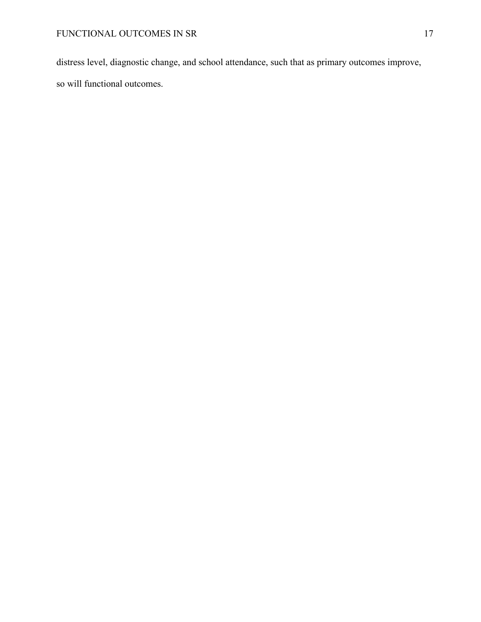distress level, diagnostic change, and school attendance, such that as primary outcomes improve, so will functional outcomes.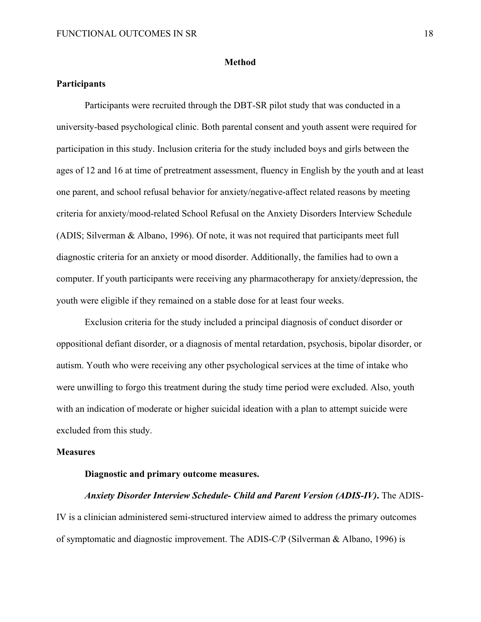#### **Method**

# **Participants**

Participants were recruited through the DBT-SR pilot study that was conducted in a university-based psychological clinic. Both parental consent and youth assent were required for participation in this study. Inclusion criteria for the study included boys and girls between the ages of 12 and 16 at time of pretreatment assessment, fluency in English by the youth and at least one parent, and school refusal behavior for anxiety/negative-affect related reasons by meeting criteria for anxiety/mood-related School Refusal on the Anxiety Disorders Interview Schedule (ADIS; Silverman & Albano, 1996). Of note, it was not required that participants meet full diagnostic criteria for an anxiety or mood disorder. Additionally, the families had to own a computer. If youth participants were receiving any pharmacotherapy for anxiety/depression, the youth were eligible if they remained on a stable dose for at least four weeks.

Exclusion criteria for the study included a principal diagnosis of conduct disorder or oppositional defiant disorder, or a diagnosis of mental retardation, psychosis, bipolar disorder, or autism. Youth who were receiving any other psychological services at the time of intake who were unwilling to forgo this treatment during the study time period were excluded. Also, youth with an indication of moderate or higher suicidal ideation with a plan to attempt suicide were excluded from this study.

### **Measures**

# **Diagnostic and primary outcome measures.**

# *Anxiety Disorder Interview Schedule- Child and Parent Version (ADIS-IV)***.** The ADIS-IV is a clinician administered semi-structured interview aimed to address the primary outcomes of symptomatic and diagnostic improvement. The ADIS-C/P (Silverman & Albano, 1996) is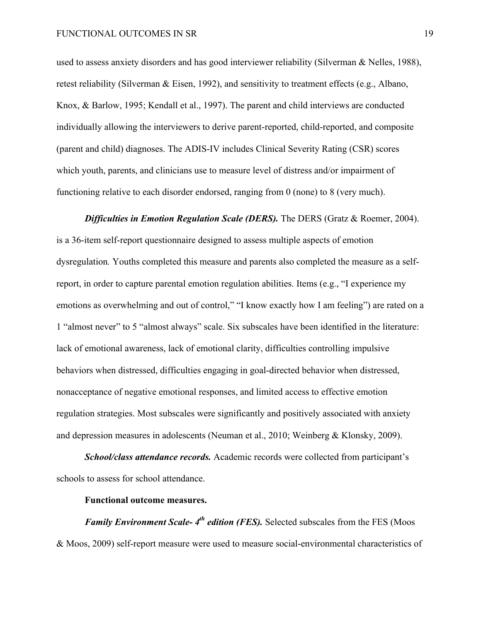used to assess anxiety disorders and has good interviewer reliability (Silverman & Nelles, 1988), retest reliability (Silverman & Eisen, 1992), and sensitivity to treatment effects (e.g., Albano, Knox, & Barlow, 1995; Kendall et al., 1997). The parent and child interviews are conducted individually allowing the interviewers to derive parent-reported, child-reported, and composite (parent and child) diagnoses. The ADIS-IV includes Clinical Severity Rating (CSR) scores which youth, parents, and clinicians use to measure level of distress and/or impairment of functioning relative to each disorder endorsed, ranging from 0 (none) to 8 (very much).

*Difficulties in Emotion Regulation Scale (DERS).* The DERS (Gratz & Roemer, 2004). is a 36-item self-report questionnaire designed to assess multiple aspects of emotion dysregulation*.* Youths completed this measure and parents also completed the measure as a selfreport, in order to capture parental emotion regulation abilities. Items (e.g., "I experience my emotions as overwhelming and out of control," "I know exactly how I am feeling") are rated on a 1 "almost never" to 5 "almost always" scale. Six subscales have been identified in the literature: lack of emotional awareness, lack of emotional clarity, difficulties controlling impulsive behaviors when distressed, difficulties engaging in goal-directed behavior when distressed, nonacceptance of negative emotional responses, and limited access to effective emotion regulation strategies. Most subscales were significantly and positively associated with anxiety and depression measures in adolescents (Neuman et al., 2010; Weinberg & Klonsky, 2009).

*School/class attendance records.* Academic records were collected from participant's schools to assess for school attendance.

# **Functional outcome measures.**

*Family Environment Scale-4<sup>th</sup> edition (FES).* Selected subscales from the FES (Moos & Moos, 2009) self-report measure were used to measure social-environmental characteristics of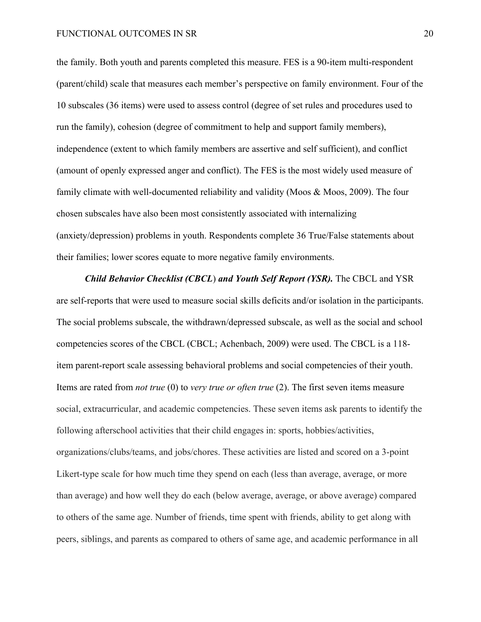#### FUNCTIONAL OUTCOMES IN SR 20

the family. Both youth and parents completed this measure. FES is a 90-item multi-respondent (parent/child) scale that measures each member's perspective on family environment. Four of the 10 subscales (36 items) were used to assess control (degree of set rules and procedures used to run the family), cohesion (degree of commitment to help and support family members), independence (extent to which family members are assertive and self sufficient), and conflict (amount of openly expressed anger and conflict). The FES is the most widely used measure of family climate with well-documented reliability and validity (Moos & Moos, 2009). The four chosen subscales have also been most consistently associated with internalizing (anxiety/depression) problems in youth. Respondents complete 36 True/False statements about their families; lower scores equate to more negative family environments.

*Child Behavior Checklist (CBCL*) *and Youth Self Report (YSR).* The CBCL and YSR are self-reports that were used to measure social skills deficits and/or isolation in the participants. The social problems subscale, the withdrawn/depressed subscale, as well as the social and school competencies scores of the CBCL (CBCL; Achenbach, 2009) were used. The CBCL is a 118 item parent-report scale assessing behavioral problems and social competencies of their youth. Items are rated from *not true* (0) to *very true or often true* (2). The first seven items measure social, extracurricular, and academic competencies. These seven items ask parents to identify the following afterschool activities that their child engages in: sports, hobbies/activities, organizations/clubs/teams, and jobs/chores. These activities are listed and scored on a 3-point Likert-type scale for how much time they spend on each (less than average, average, or more than average) and how well they do each (below average, average, or above average) compared to others of the same age. Number of friends, time spent with friends, ability to get along with peers, siblings, and parents as compared to others of same age, and academic performance in all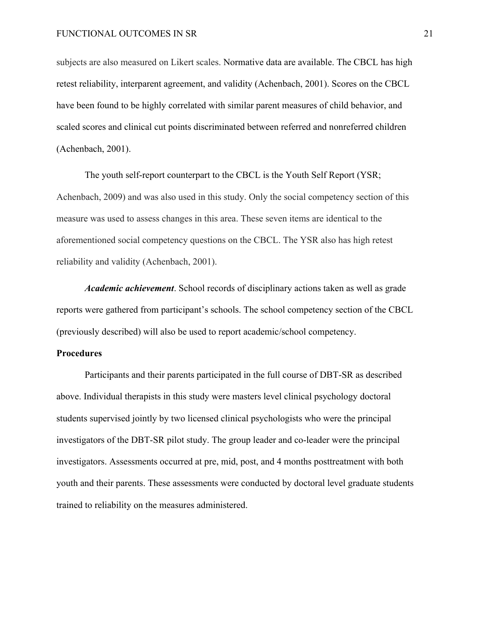subjects are also measured on Likert scales. Normative data are available. The CBCL has high retest reliability, interparent agreement, and validity (Achenbach, 2001). Scores on the CBCL have been found to be highly correlated with similar parent measures of child behavior, and scaled scores and clinical cut points discriminated between referred and nonreferred children (Achenbach, 2001).

The youth self-report counterpart to the CBCL is the Youth Self Report (YSR; Achenbach, 2009) and was also used in this study. Only the social competency section of this measure was used to assess changes in this area. These seven items are identical to the aforementioned social competency questions on the CBCL. The YSR also has high retest reliability and validity (Achenbach, 2001).

*Academic achievement*. School records of disciplinary actions taken as well as grade reports were gathered from participant's schools. The school competency section of the CBCL (previously described) will also be used to report academic/school competency.

## **Procedures**

Participants and their parents participated in the full course of DBT-SR as described above. Individual therapists in this study were masters level clinical psychology doctoral students supervised jointly by two licensed clinical psychologists who were the principal investigators of the DBT-SR pilot study. The group leader and co-leader were the principal investigators. Assessments occurred at pre, mid, post, and 4 months posttreatment with both youth and their parents. These assessments were conducted by doctoral level graduate students trained to reliability on the measures administered.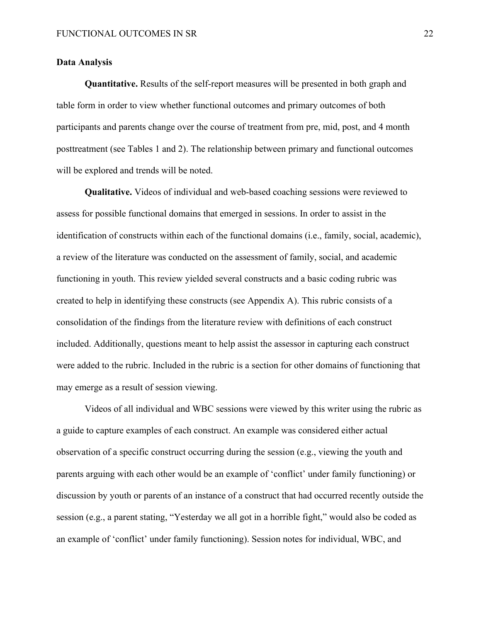## **Data Analysis**

**Quantitative.** Results of the self-report measures will be presented in both graph and table form in order to view whether functional outcomes and primary outcomes of both participants and parents change over the course of treatment from pre, mid, post, and 4 month posttreatment (see Tables 1 and 2). The relationship between primary and functional outcomes will be explored and trends will be noted.

**Qualitative.** Videos of individual and web-based coaching sessions were reviewed to assess for possible functional domains that emerged in sessions. In order to assist in the identification of constructs within each of the functional domains (i.e., family, social, academic), a review of the literature was conducted on the assessment of family, social, and academic functioning in youth. This review yielded several constructs and a basic coding rubric was created to help in identifying these constructs (see Appendix A). This rubric consists of a consolidation of the findings from the literature review with definitions of each construct included. Additionally, questions meant to help assist the assessor in capturing each construct were added to the rubric. Included in the rubric is a section for other domains of functioning that may emerge as a result of session viewing.

Videos of all individual and WBC sessions were viewed by this writer using the rubric as a guide to capture examples of each construct. An example was considered either actual observation of a specific construct occurring during the session (e.g., viewing the youth and parents arguing with each other would be an example of 'conflict' under family functioning) or discussion by youth or parents of an instance of a construct that had occurred recently outside the session (e.g., a parent stating, "Yesterday we all got in a horrible fight," would also be coded as an example of 'conflict' under family functioning). Session notes for individual, WBC, and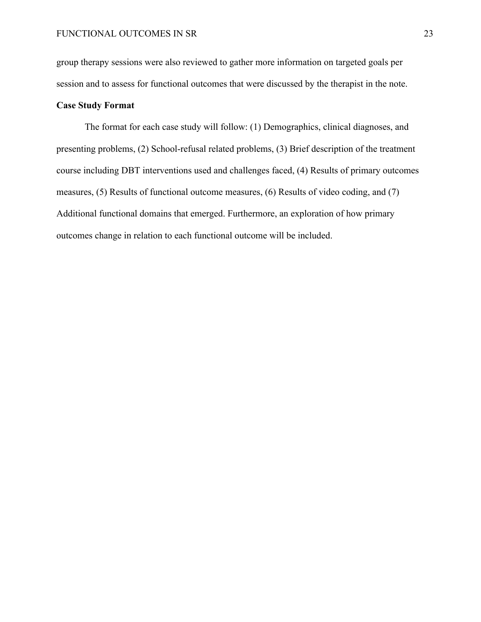group therapy sessions were also reviewed to gather more information on targeted goals per session and to assess for functional outcomes that were discussed by the therapist in the note.

# **Case Study Format**

The format for each case study will follow: (1) Demographics, clinical diagnoses, and presenting problems, (2) School-refusal related problems, (3) Brief description of the treatment course including DBT interventions used and challenges faced, (4) Results of primary outcomes measures, (5) Results of functional outcome measures, (6) Results of video coding, and (7) Additional functional domains that emerged. Furthermore, an exploration of how primary outcomes change in relation to each functional outcome will be included.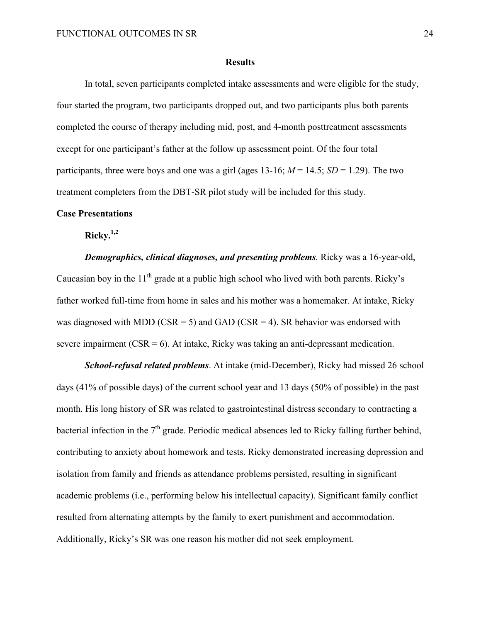#### **Results**

In total, seven participants completed intake assessments and were eligible for the study, four started the program, two participants dropped out, and two participants plus both parents completed the course of therapy including mid, post, and 4-month posttreatment assessments except for one participant's father at the follow up assessment point. Of the four total participants, three were boys and one was a girl (ages  $13\n-16$ ;  $M = 14.5$ ;  $SD = 1.29$ ). The two treatment completers from the DBT-SR pilot study will be included for this study.

# **Case Presentations**

**Ricky. 1,2**

*Demographics, clinical diagnoses, and presenting problems.* Ricky was a 16-year-old, Caucasian boy in the  $11<sup>th</sup>$  grade at a public high school who lived with both parents. Ricky's father worked full-time from home in sales and his mother was a homemaker. At intake, Ricky was diagnosed with MDD (CSR = 5) and GAD (CSR = 4). SR behavior was endorsed with severe impairment  $(CSR = 6)$ . At intake, Ricky was taking an anti-depressant medication.

*School-refusal related problems*. At intake (mid-December), Ricky had missed 26 school days (41% of possible days) of the current school year and 13 days (50% of possible) in the past month. His long history of SR was related to gastrointestinal distress secondary to contracting a bacterial infection in the  $7<sup>th</sup>$  grade. Periodic medical absences led to Ricky falling further behind, contributing to anxiety about homework and tests. Ricky demonstrated increasing depression and isolation from family and friends as attendance problems persisted, resulting in significant academic problems (i.e., performing below his intellectual capacity). Significant family conflict resulted from alternating attempts by the family to exert punishment and accommodation. Additionally, Ricky's SR was one reason his mother did not seek employment.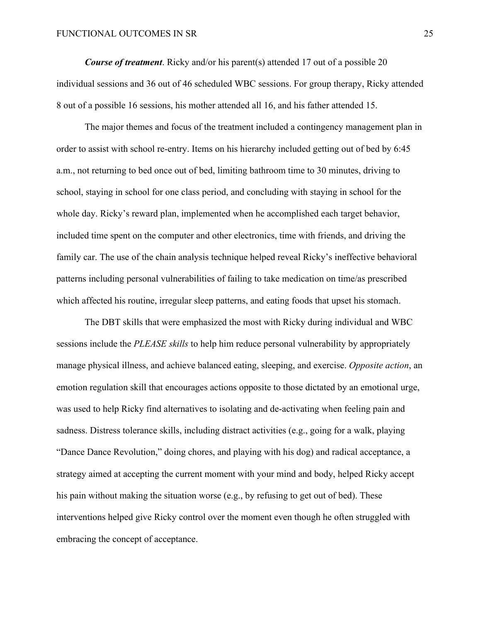*Course of treatment.* Ricky and/or his parent(s) attended 17 out of a possible 20 individual sessions and 36 out of 46 scheduled WBC sessions. For group therapy, Ricky attended 8 out of a possible 16 sessions, his mother attended all 16, and his father attended 15.

The major themes and focus of the treatment included a contingency management plan in order to assist with school re-entry. Items on his hierarchy included getting out of bed by 6:45 a.m., not returning to bed once out of bed, limiting bathroom time to 30 minutes, driving to school, staying in school for one class period, and concluding with staying in school for the whole day. Ricky's reward plan, implemented when he accomplished each target behavior, included time spent on the computer and other electronics, time with friends, and driving the family car. The use of the chain analysis technique helped reveal Ricky's ineffective behavioral patterns including personal vulnerabilities of failing to take medication on time/as prescribed which affected his routine, irregular sleep patterns, and eating foods that upset his stomach.

The DBT skills that were emphasized the most with Ricky during individual and WBC sessions include the *PLEASE skills* to help him reduce personal vulnerability by appropriately manage physical illness, and achieve balanced eating, sleeping, and exercise. *Opposite action*, an emotion regulation skill that encourages actions opposite to those dictated by an emotional urge, was used to help Ricky find alternatives to isolating and de-activating when feeling pain and sadness. Distress tolerance skills, including distract activities (e.g., going for a walk, playing "Dance Dance Revolution," doing chores, and playing with his dog) and radical acceptance, a strategy aimed at accepting the current moment with your mind and body, helped Ricky accept his pain without making the situation worse (e.g., by refusing to get out of bed). These interventions helped give Ricky control over the moment even though he often struggled with embracing the concept of acceptance.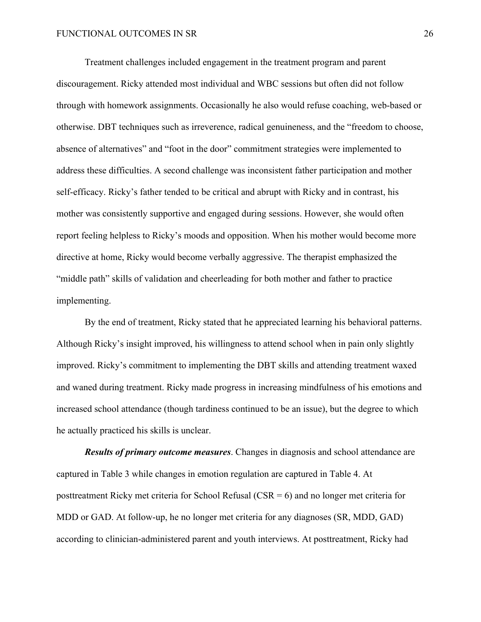Treatment challenges included engagement in the treatment program and parent discouragement. Ricky attended most individual and WBC sessions but often did not follow through with homework assignments. Occasionally he also would refuse coaching, web-based or otherwise. DBT techniques such as irreverence, radical genuineness, and the "freedom to choose, absence of alternatives" and "foot in the door" commitment strategies were implemented to address these difficulties. A second challenge was inconsistent father participation and mother self-efficacy. Ricky's father tended to be critical and abrupt with Ricky and in contrast, his mother was consistently supportive and engaged during sessions. However, she would often report feeling helpless to Ricky's moods and opposition. When his mother would become more directive at home, Ricky would become verbally aggressive. The therapist emphasized the "middle path" skills of validation and cheerleading for both mother and father to practice implementing.

By the end of treatment, Ricky stated that he appreciated learning his behavioral patterns. Although Ricky's insight improved, his willingness to attend school when in pain only slightly improved. Ricky's commitment to implementing the DBT skills and attending treatment waxed and waned during treatment. Ricky made progress in increasing mindfulness of his emotions and increased school attendance (though tardiness continued to be an issue), but the degree to which he actually practiced his skills is unclear.

*Results of primary outcome measures*. Changes in diagnosis and school attendance are captured in Table 3 while changes in emotion regulation are captured in Table 4. At posttreatment Ricky met criteria for School Refusal (CSR = 6) and no longer met criteria for MDD or GAD. At follow-up, he no longer met criteria for any diagnoses (SR, MDD, GAD) according to clinician-administered parent and youth interviews. At posttreatment, Ricky had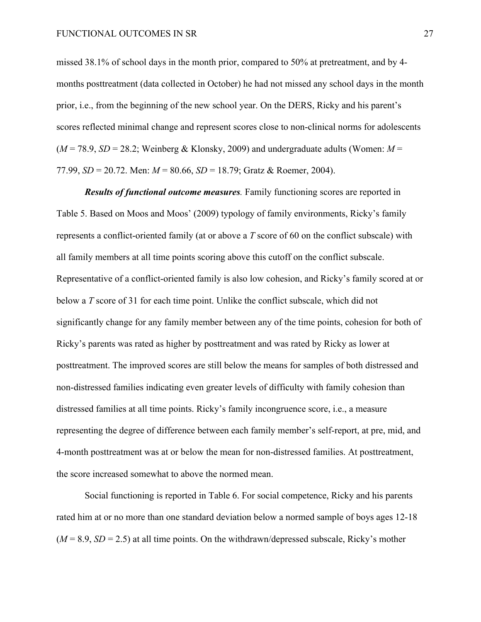#### FUNCTIONAL OUTCOMES IN SR 27

missed 38.1% of school days in the month prior, compared to 50% at pretreatment, and by 4 months posttreatment (data collected in October) he had not missed any school days in the month prior, i.e., from the beginning of the new school year. On the DERS, Ricky and his parent's scores reflected minimal change and represent scores close to non-clinical norms for adolescents  $(M = 78.9, SD = 28.2$ ; Weinberg & Klonsky, 2009) and undergraduate adults (Women:  $M =$ 77.99, *SD* = 20.72. Men: *M* = 80.66, *SD* = 18.79; Gratz & Roemer, 2004).

*Results of functional outcome measures.* Family functioning scores are reported in Table 5. Based on Moos and Moos' (2009) typology of family environments, Ricky's family represents a conflict-oriented family (at or above a *T* score of 60 on the conflict subscale) with all family members at all time points scoring above this cutoff on the conflict subscale. Representative of a conflict-oriented family is also low cohesion, and Ricky's family scored at or below a *T* score of 31 for each time point. Unlike the conflict subscale, which did not significantly change for any family member between any of the time points, cohesion for both of Ricky's parents was rated as higher by posttreatment and was rated by Ricky as lower at posttreatment. The improved scores are still below the means for samples of both distressed and non-distressed families indicating even greater levels of difficulty with family cohesion than distressed families at all time points. Ricky's family incongruence score, i.e., a measure representing the degree of difference between each family member's self-report, at pre, mid, and 4-month posttreatment was at or below the mean for non-distressed families. At posttreatment, the score increased somewhat to above the normed mean.

Social functioning is reported in Table 6. For social competence, Ricky and his parents rated him at or no more than one standard deviation below a normed sample of boys ages 12-18  $(M = 8.9, SD = 2.5)$  at all time points. On the withdrawn/depressed subscale, Ricky's mother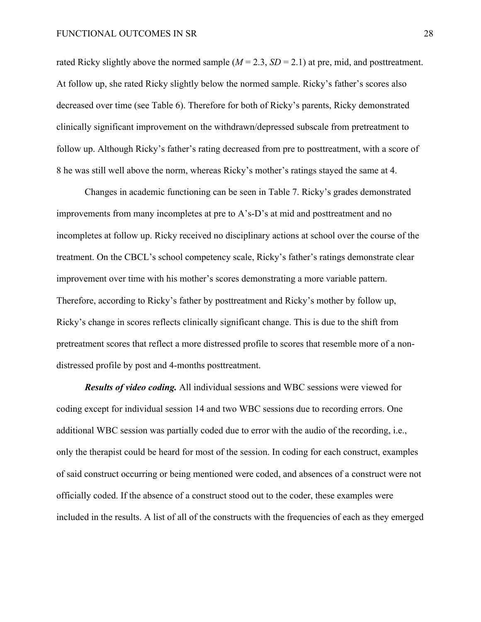rated Ricky slightly above the normed sample  $(M = 2.3, SD = 2.1)$  at pre, mid, and posttreatment. At follow up, she rated Ricky slightly below the normed sample. Ricky's father's scores also decreased over time (see Table 6). Therefore for both of Ricky's parents, Ricky demonstrated clinically significant improvement on the withdrawn/depressed subscale from pretreatment to follow up. Although Ricky's father's rating decreased from pre to posttreatment, with a score of 8 he was still well above the norm, whereas Ricky's mother's ratings stayed the same at 4.

Changes in academic functioning can be seen in Table 7. Ricky's grades demonstrated improvements from many incompletes at pre to A's-D's at mid and posttreatment and no incompletes at follow up. Ricky received no disciplinary actions at school over the course of the treatment. On the CBCL's school competency scale, Ricky's father's ratings demonstrate clear improvement over time with his mother's scores demonstrating a more variable pattern. Therefore, according to Ricky's father by posttreatment and Ricky's mother by follow up, Ricky's change in scores reflects clinically significant change. This is due to the shift from pretreatment scores that reflect a more distressed profile to scores that resemble more of a nondistressed profile by post and 4-months posttreatment.

*Results of video coding.* All individual sessions and WBC sessions were viewed for coding except for individual session 14 and two WBC sessions due to recording errors. One additional WBC session was partially coded due to error with the audio of the recording, i.e., only the therapist could be heard for most of the session. In coding for each construct, examples of said construct occurring or being mentioned were coded, and absences of a construct were not officially coded. If the absence of a construct stood out to the coder, these examples were included in the results. A list of all of the constructs with the frequencies of each as they emerged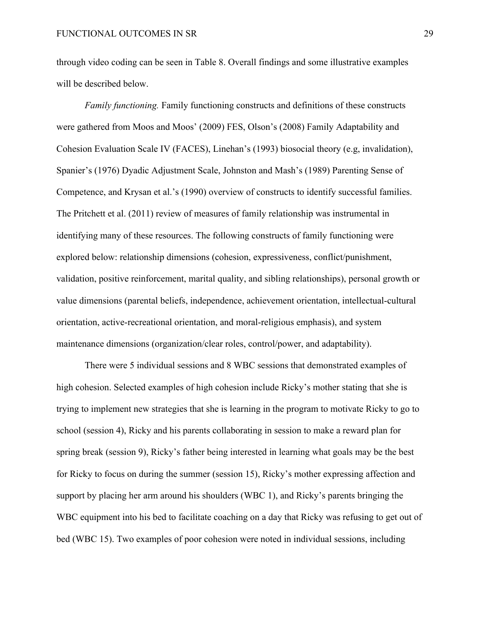through video coding can be seen in Table 8. Overall findings and some illustrative examples will be described below.

*Family functioning.* Family functioning constructs and definitions of these constructs were gathered from Moos and Moos' (2009) FES, Olson's (2008) Family Adaptability and Cohesion Evaluation Scale IV (FACES), Linehan's (1993) biosocial theory (e.g, invalidation), Spanier's (1976) Dyadic Adjustment Scale, Johnston and Mash's (1989) Parenting Sense of Competence, and Krysan et al.'s (1990) overview of constructs to identify successful families. The Pritchett et al. (2011) review of measures of family relationship was instrumental in identifying many of these resources. The following constructs of family functioning were explored below: relationship dimensions (cohesion, expressiveness, conflict/punishment, validation, positive reinforcement, marital quality, and sibling relationships), personal growth or value dimensions (parental beliefs, independence, achievement orientation, intellectual-cultural orientation, active-recreational orientation, and moral-religious emphasis), and system maintenance dimensions (organization/clear roles, control/power, and adaptability).

There were 5 individual sessions and 8 WBC sessions that demonstrated examples of high cohesion. Selected examples of high cohesion include Ricky's mother stating that she is trying to implement new strategies that she is learning in the program to motivate Ricky to go to school (session 4), Ricky and his parents collaborating in session to make a reward plan for spring break (session 9), Ricky's father being interested in learning what goals may be the best for Ricky to focus on during the summer (session 15), Ricky's mother expressing affection and support by placing her arm around his shoulders (WBC 1), and Ricky's parents bringing the WBC equipment into his bed to facilitate coaching on a day that Ricky was refusing to get out of bed (WBC 15). Two examples of poor cohesion were noted in individual sessions, including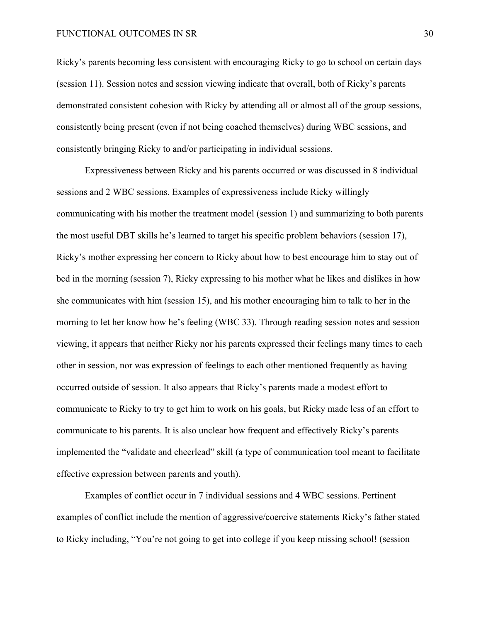#### FUNCTIONAL OUTCOMES IN SR 30

Ricky's parents becoming less consistent with encouraging Ricky to go to school on certain days (session 11). Session notes and session viewing indicate that overall, both of Ricky's parents demonstrated consistent cohesion with Ricky by attending all or almost all of the group sessions, consistently being present (even if not being coached themselves) during WBC sessions, and consistently bringing Ricky to and/or participating in individual sessions.

Expressiveness between Ricky and his parents occurred or was discussed in 8 individual sessions and 2 WBC sessions. Examples of expressiveness include Ricky willingly communicating with his mother the treatment model (session 1) and summarizing to both parents the most useful DBT skills he's learned to target his specific problem behaviors (session 17), Ricky's mother expressing her concern to Ricky about how to best encourage him to stay out of bed in the morning (session 7), Ricky expressing to his mother what he likes and dislikes in how she communicates with him (session 15), and his mother encouraging him to talk to her in the morning to let her know how he's feeling (WBC 33). Through reading session notes and session viewing, it appears that neither Ricky nor his parents expressed their feelings many times to each other in session, nor was expression of feelings to each other mentioned frequently as having occurred outside of session. It also appears that Ricky's parents made a modest effort to communicate to Ricky to try to get him to work on his goals, but Ricky made less of an effort to communicate to his parents. It is also unclear how frequent and effectively Ricky's parents implemented the "validate and cheerlead" skill (a type of communication tool meant to facilitate effective expression between parents and youth).

Examples of conflict occur in 7 individual sessions and 4 WBC sessions. Pertinent examples of conflict include the mention of aggressive/coercive statements Ricky's father stated to Ricky including, "You're not going to get into college if you keep missing school! (session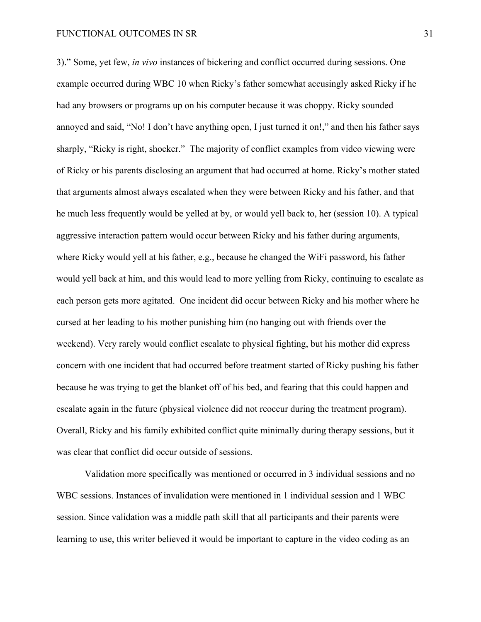3)." Some, yet few, *in vivo* instances of bickering and conflict occurred during sessions. One example occurred during WBC 10 when Ricky's father somewhat accusingly asked Ricky if he had any browsers or programs up on his computer because it was choppy. Ricky sounded annoyed and said, "No! I don't have anything open, I just turned it on!," and then his father says sharply, "Ricky is right, shocker." The majority of conflict examples from video viewing were of Ricky or his parents disclosing an argument that had occurred at home. Ricky's mother stated that arguments almost always escalated when they were between Ricky and his father, and that he much less frequently would be yelled at by, or would yell back to, her (session 10). A typical aggressive interaction pattern would occur between Ricky and his father during arguments, where Ricky would yell at his father, e.g., because he changed the WiFi password, his father would yell back at him, and this would lead to more yelling from Ricky, continuing to escalate as each person gets more agitated. One incident did occur between Ricky and his mother where he cursed at her leading to his mother punishing him (no hanging out with friends over the weekend). Very rarely would conflict escalate to physical fighting, but his mother did express concern with one incident that had occurred before treatment started of Ricky pushing his father because he was trying to get the blanket off of his bed, and fearing that this could happen and escalate again in the future (physical violence did not reoccur during the treatment program). Overall, Ricky and his family exhibited conflict quite minimally during therapy sessions, but it was clear that conflict did occur outside of sessions.

Validation more specifically was mentioned or occurred in 3 individual sessions and no WBC sessions. Instances of invalidation were mentioned in 1 individual session and 1 WBC session. Since validation was a middle path skill that all participants and their parents were learning to use, this writer believed it would be important to capture in the video coding as an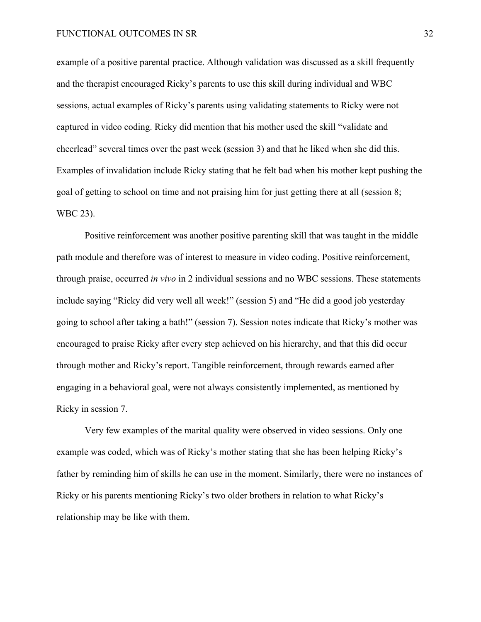example of a positive parental practice. Although validation was discussed as a skill frequently and the therapist encouraged Ricky's parents to use this skill during individual and WBC sessions, actual examples of Ricky's parents using validating statements to Ricky were not captured in video coding. Ricky did mention that his mother used the skill "validate and cheerlead" several times over the past week (session 3) and that he liked when she did this. Examples of invalidation include Ricky stating that he felt bad when his mother kept pushing the goal of getting to school on time and not praising him for just getting there at all (session 8; WBC 23).

Positive reinforcement was another positive parenting skill that was taught in the middle path module and therefore was of interest to measure in video coding. Positive reinforcement, through praise, occurred *in vivo* in 2 individual sessions and no WBC sessions. These statements include saying "Ricky did very well all week!" (session 5) and "He did a good job yesterday going to school after taking a bath!" (session 7). Session notes indicate that Ricky's mother was encouraged to praise Ricky after every step achieved on his hierarchy, and that this did occur through mother and Ricky's report. Tangible reinforcement, through rewards earned after engaging in a behavioral goal, were not always consistently implemented, as mentioned by Ricky in session 7.

Very few examples of the marital quality were observed in video sessions. Only one example was coded, which was of Ricky's mother stating that she has been helping Ricky's father by reminding him of skills he can use in the moment. Similarly, there were no instances of Ricky or his parents mentioning Ricky's two older brothers in relation to what Ricky's relationship may be like with them.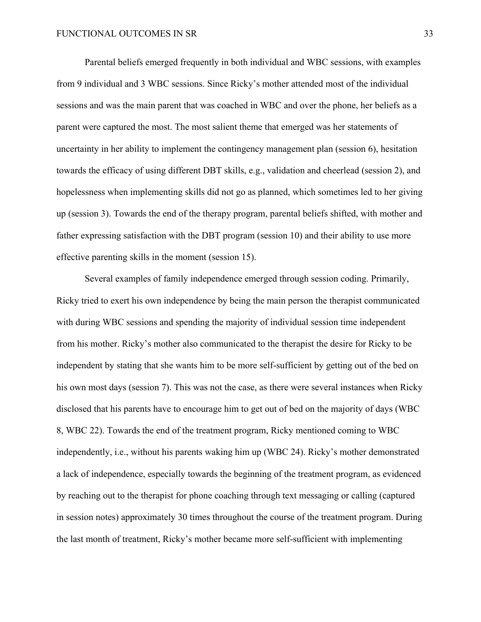Parental beliefs emerged frequently in both individual and WBC sessions, with examples from 9 individual and 3 WBC sessions. Since Ricky's mother attended most of the individual sessions and was the main parent that was coached in WBC and over the phone, her beliefs as a parent were captured the most. The most salient theme that emerged was her statements of uncertainty in her ability to implement the contingency management plan (session 6), hesitation towards the efficacy of using different DBT skills, e.g., validation and cheerlead (session 2), and hopelessness when implementing skills did not go as planned, which sometimes led to her giving up (session 3). Towards the end of the therapy program, parental beliefs shifted, with mother and father expressing satisfaction with the DBT program (session 10) and their ability to use more effective parenting skills in the moment (session 15).

Several examples of family independence emerged through session coding. Primarily, Ricky tried to exert his own independence by being the main person the therapist communicated with during WBC sessions and spending the majority of individual session time independent from his mother. Ricky's mother also communicated to the therapist the desire for Ricky to be independent by stating that she wants him to be more self-sufficient by getting out of the bed on his own most days (session 7). This was not the case, as there were several instances when Ricky disclosed that his parents have to encourage him to get out of bed on the majority of days (WBC 8, WBC 22). Towards the end of the treatment program, Ricky mentioned coming to WBC independently, i.e., without his parents waking him up (WBC 24). Ricky's mother demonstrated a lack of independence, especially towards the beginning of the treatment program, as evidenced by reaching out to the therapist for phone coaching through text messaging or calling (captured in session notes) approximately 30 times throughout the course of the treatment program. During the last month of treatment, Ricky's mother became more self-sufficient with implementing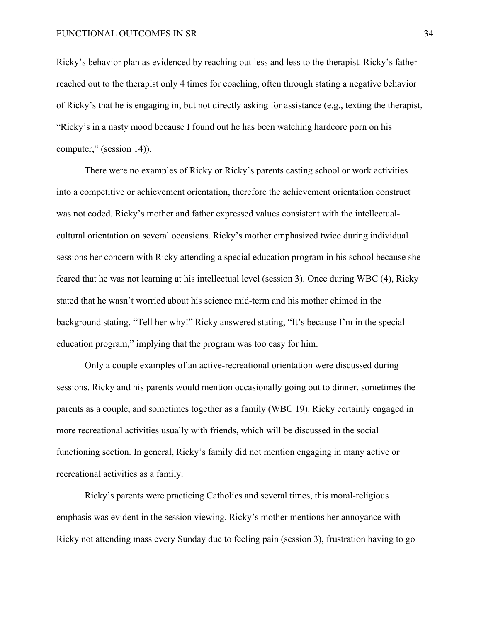Ricky's behavior plan as evidenced by reaching out less and less to the therapist. Ricky's father reached out to the therapist only 4 times for coaching, often through stating a negative behavior of Ricky's that he is engaging in, but not directly asking for assistance (e.g., texting the therapist, "Ricky's in a nasty mood because I found out he has been watching hardcore porn on his computer," (session 14)).

There were no examples of Ricky or Ricky's parents casting school or work activities into a competitive or achievement orientation, therefore the achievement orientation construct was not coded. Ricky's mother and father expressed values consistent with the intellectualcultural orientation on several occasions. Ricky's mother emphasized twice during individual sessions her concern with Ricky attending a special education program in his school because she feared that he was not learning at his intellectual level (session 3). Once during WBC (4), Ricky stated that he wasn't worried about his science mid-term and his mother chimed in the background stating, "Tell her why!" Ricky answered stating, "It's because I'm in the special education program," implying that the program was too easy for him.

Only a couple examples of an active-recreational orientation were discussed during sessions. Ricky and his parents would mention occasionally going out to dinner, sometimes the parents as a couple, and sometimes together as a family (WBC 19). Ricky certainly engaged in more recreational activities usually with friends, which will be discussed in the social functioning section. In general, Ricky's family did not mention engaging in many active or recreational activities as a family.

Ricky's parents were practicing Catholics and several times, this moral-religious emphasis was evident in the session viewing. Ricky's mother mentions her annoyance with Ricky not attending mass every Sunday due to feeling pain (session 3), frustration having to go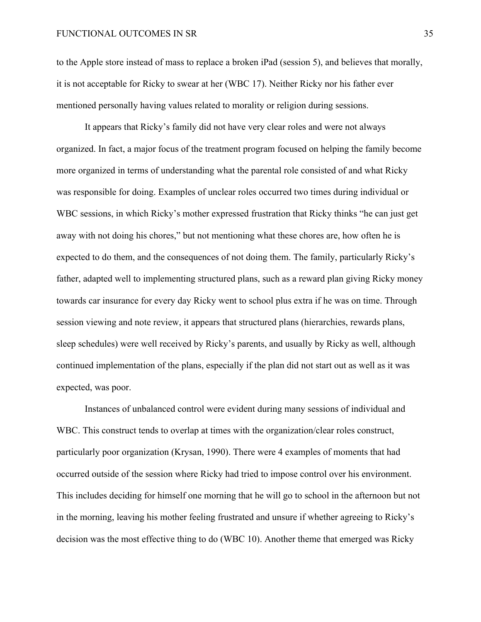to the Apple store instead of mass to replace a broken iPad (session 5), and believes that morally, it is not acceptable for Ricky to swear at her (WBC 17). Neither Ricky nor his father ever mentioned personally having values related to morality or religion during sessions.

It appears that Ricky's family did not have very clear roles and were not always organized. In fact, a major focus of the treatment program focused on helping the family become more organized in terms of understanding what the parental role consisted of and what Ricky was responsible for doing. Examples of unclear roles occurred two times during individual or WBC sessions, in which Ricky's mother expressed frustration that Ricky thinks "he can just get away with not doing his chores," but not mentioning what these chores are, how often he is expected to do them, and the consequences of not doing them. The family, particularly Ricky's father, adapted well to implementing structured plans, such as a reward plan giving Ricky money towards car insurance for every day Ricky went to school plus extra if he was on time. Through session viewing and note review, it appears that structured plans (hierarchies, rewards plans, sleep schedules) were well received by Ricky's parents, and usually by Ricky as well, although continued implementation of the plans, especially if the plan did not start out as well as it was expected, was poor.

Instances of unbalanced control were evident during many sessions of individual and WBC. This construct tends to overlap at times with the organization/clear roles construct, particularly poor organization (Krysan, 1990). There were 4 examples of moments that had occurred outside of the session where Ricky had tried to impose control over his environment. This includes deciding for himself one morning that he will go to school in the afternoon but not in the morning, leaving his mother feeling frustrated and unsure if whether agreeing to Ricky's decision was the most effective thing to do (WBC 10). Another theme that emerged was Ricky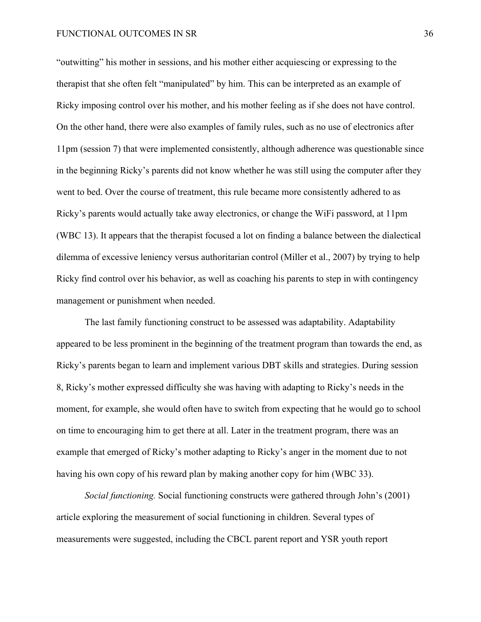"outwitting" his mother in sessions, and his mother either acquiescing or expressing to the therapist that she often felt "manipulated" by him. This can be interpreted as an example of Ricky imposing control over his mother, and his mother feeling as if she does not have control. On the other hand, there were also examples of family rules, such as no use of electronics after 11pm (session 7) that were implemented consistently, although adherence was questionable since in the beginning Ricky's parents did not know whether he was still using the computer after they went to bed. Over the course of treatment, this rule became more consistently adhered to as Ricky's parents would actually take away electronics, or change the WiFi password, at 11pm (WBC 13). It appears that the therapist focused a lot on finding a balance between the dialectical dilemma of excessive leniency versus authoritarian control (Miller et al., 2007) by trying to help Ricky find control over his behavior, as well as coaching his parents to step in with contingency management or punishment when needed.

The last family functioning construct to be assessed was adaptability. Adaptability appeared to be less prominent in the beginning of the treatment program than towards the end, as Ricky's parents began to learn and implement various DBT skills and strategies. During session 8, Ricky's mother expressed difficulty she was having with adapting to Ricky's needs in the moment, for example, she would often have to switch from expecting that he would go to school on time to encouraging him to get there at all. Later in the treatment program, there was an example that emerged of Ricky's mother adapting to Ricky's anger in the moment due to not having his own copy of his reward plan by making another copy for him (WBC 33).

*Social functioning.* Social functioning constructs were gathered through John's (2001) article exploring the measurement of social functioning in children. Several types of measurements were suggested, including the CBCL parent report and YSR youth report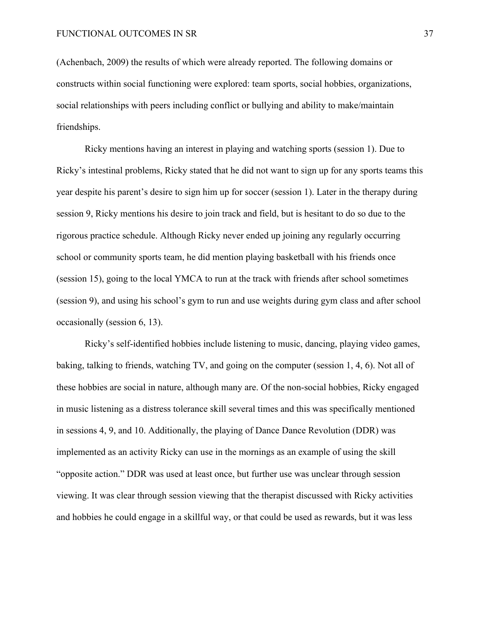(Achenbach, 2009) the results of which were already reported. The following domains or constructs within social functioning were explored: team sports, social hobbies, organizations, social relationships with peers including conflict or bullying and ability to make/maintain friendships.

Ricky mentions having an interest in playing and watching sports (session 1). Due to Ricky's intestinal problems, Ricky stated that he did not want to sign up for any sports teams this year despite his parent's desire to sign him up for soccer (session 1). Later in the therapy during session 9, Ricky mentions his desire to join track and field, but is hesitant to do so due to the rigorous practice schedule. Although Ricky never ended up joining any regularly occurring school or community sports team, he did mention playing basketball with his friends once (session 15), going to the local YMCA to run at the track with friends after school sometimes (session 9), and using his school's gym to run and use weights during gym class and after school occasionally (session 6, 13).

Ricky's self-identified hobbies include listening to music, dancing, playing video games, baking, talking to friends, watching TV, and going on the computer (session 1, 4, 6). Not all of these hobbies are social in nature, although many are. Of the non-social hobbies, Ricky engaged in music listening as a distress tolerance skill several times and this was specifically mentioned in sessions 4, 9, and 10. Additionally, the playing of Dance Dance Revolution (DDR) was implemented as an activity Ricky can use in the mornings as an example of using the skill "opposite action." DDR was used at least once, but further use was unclear through session viewing. It was clear through session viewing that the therapist discussed with Ricky activities and hobbies he could engage in a skillful way, or that could be used as rewards, but it was less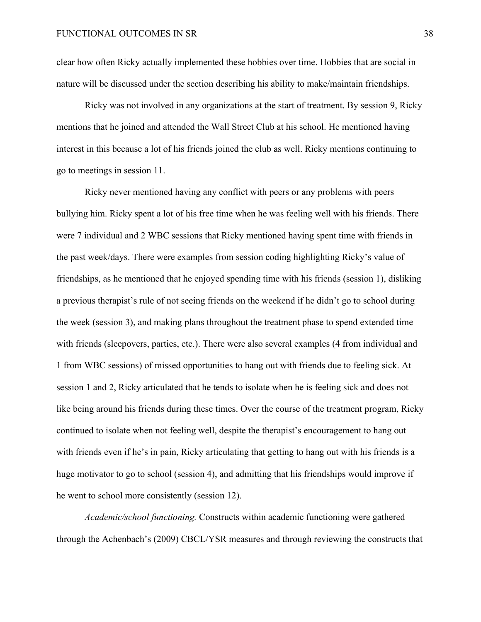clear how often Ricky actually implemented these hobbies over time. Hobbies that are social in nature will be discussed under the section describing his ability to make/maintain friendships.

Ricky was not involved in any organizations at the start of treatment. By session 9, Ricky mentions that he joined and attended the Wall Street Club at his school. He mentioned having interest in this because a lot of his friends joined the club as well. Ricky mentions continuing to go to meetings in session 11.

Ricky never mentioned having any conflict with peers or any problems with peers bullying him. Ricky spent a lot of his free time when he was feeling well with his friends. There were 7 individual and 2 WBC sessions that Ricky mentioned having spent time with friends in the past week/days. There were examples from session coding highlighting Ricky's value of friendships, as he mentioned that he enjoyed spending time with his friends (session 1), disliking a previous therapist's rule of not seeing friends on the weekend if he didn't go to school during the week (session 3), and making plans throughout the treatment phase to spend extended time with friends (sleepovers, parties, etc.). There were also several examples (4 from individual and 1 from WBC sessions) of missed opportunities to hang out with friends due to feeling sick. At session 1 and 2, Ricky articulated that he tends to isolate when he is feeling sick and does not like being around his friends during these times. Over the course of the treatment program, Ricky continued to isolate when not feeling well, despite the therapist's encouragement to hang out with friends even if he's in pain, Ricky articulating that getting to hang out with his friends is a huge motivator to go to school (session 4), and admitting that his friendships would improve if he went to school more consistently (session 12).

*Academic/school functioning.* Constructs within academic functioning were gathered through the Achenbach's (2009) CBCL/YSR measures and through reviewing the constructs that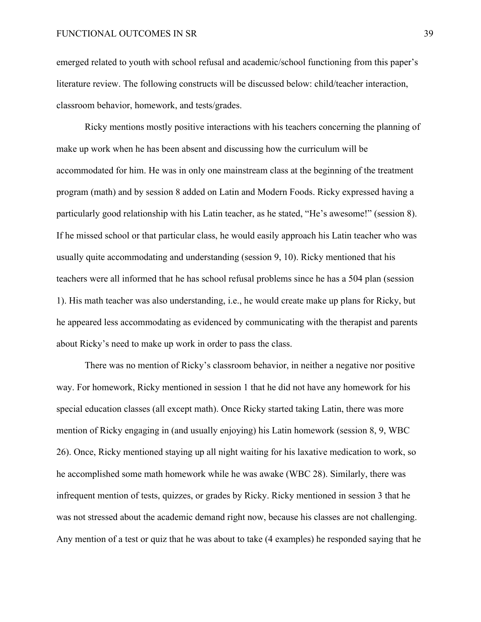emerged related to youth with school refusal and academic/school functioning from this paper's literature review. The following constructs will be discussed below: child/teacher interaction, classroom behavior, homework, and tests/grades.

Ricky mentions mostly positive interactions with his teachers concerning the planning of make up work when he has been absent and discussing how the curriculum will be accommodated for him. He was in only one mainstream class at the beginning of the treatment program (math) and by session 8 added on Latin and Modern Foods. Ricky expressed having a particularly good relationship with his Latin teacher, as he stated, "He's awesome!" (session 8). If he missed school or that particular class, he would easily approach his Latin teacher who was usually quite accommodating and understanding (session 9, 10). Ricky mentioned that his teachers were all informed that he has school refusal problems since he has a 504 plan (session 1). His math teacher was also understanding, i.e., he would create make up plans for Ricky, but he appeared less accommodating as evidenced by communicating with the therapist and parents about Ricky's need to make up work in order to pass the class.

There was no mention of Ricky's classroom behavior, in neither a negative nor positive way. For homework, Ricky mentioned in session 1 that he did not have any homework for his special education classes (all except math). Once Ricky started taking Latin, there was more mention of Ricky engaging in (and usually enjoying) his Latin homework (session 8, 9, WBC 26). Once, Ricky mentioned staying up all night waiting for his laxative medication to work, so he accomplished some math homework while he was awake (WBC 28). Similarly, there was infrequent mention of tests, quizzes, or grades by Ricky. Ricky mentioned in session 3 that he was not stressed about the academic demand right now, because his classes are not challenging. Any mention of a test or quiz that he was about to take (4 examples) he responded saying that he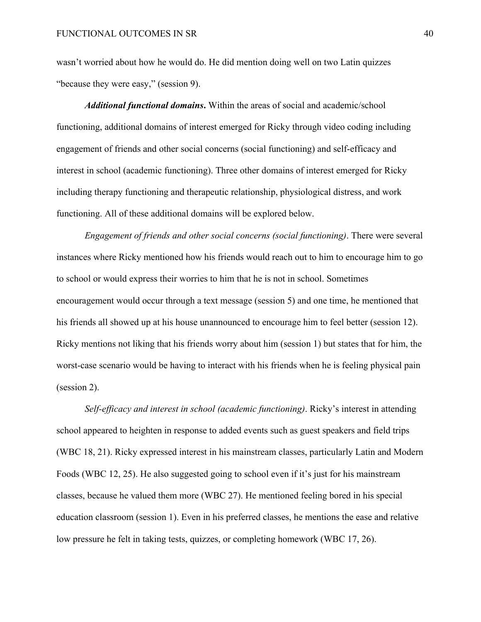wasn't worried about how he would do. He did mention doing well on two Latin quizzes "because they were easy," (session 9).

*Additional functional domains***.** Within the areas of social and academic/school functioning, additional domains of interest emerged for Ricky through video coding including engagement of friends and other social concerns (social functioning) and self-efficacy and interest in school (academic functioning). Three other domains of interest emerged for Ricky including therapy functioning and therapeutic relationship, physiological distress, and work functioning. All of these additional domains will be explored below.

*Engagement of friends and other social concerns (social functioning)*. There were several instances where Ricky mentioned how his friends would reach out to him to encourage him to go to school or would express their worries to him that he is not in school. Sometimes encouragement would occur through a text message (session 5) and one time, he mentioned that his friends all showed up at his house unannounced to encourage him to feel better (session 12). Ricky mentions not liking that his friends worry about him (session 1) but states that for him, the worst-case scenario would be having to interact with his friends when he is feeling physical pain (session 2).

*Self-efficacy and interest in school (academic functioning)*. Ricky's interest in attending school appeared to heighten in response to added events such as guest speakers and field trips (WBC 18, 21). Ricky expressed interest in his mainstream classes, particularly Latin and Modern Foods (WBC 12, 25). He also suggested going to school even if it's just for his mainstream classes, because he valued them more (WBC 27). He mentioned feeling bored in his special education classroom (session 1). Even in his preferred classes, he mentions the ease and relative low pressure he felt in taking tests, quizzes, or completing homework (WBC 17, 26).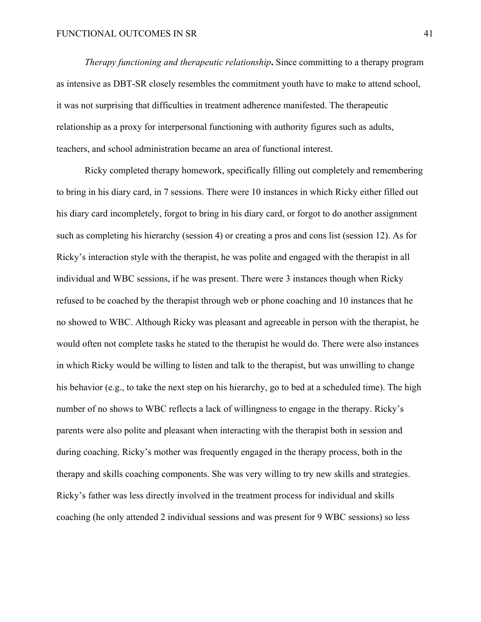*Therapy functioning and therapeutic relationship***.** Since committing to a therapy program as intensive as DBT-SR closely resembles the commitment youth have to make to attend school, it was not surprising that difficulties in treatment adherence manifested. The therapeutic relationship as a proxy for interpersonal functioning with authority figures such as adults, teachers, and school administration became an area of functional interest.

Ricky completed therapy homework, specifically filling out completely and remembering to bring in his diary card, in 7 sessions. There were 10 instances in which Ricky either filled out his diary card incompletely, forgot to bring in his diary card, or forgot to do another assignment such as completing his hierarchy (session 4) or creating a pros and cons list (session 12). As for Ricky's interaction style with the therapist, he was polite and engaged with the therapist in all individual and WBC sessions, if he was present. There were 3 instances though when Ricky refused to be coached by the therapist through web or phone coaching and 10 instances that he no showed to WBC. Although Ricky was pleasant and agreeable in person with the therapist, he would often not complete tasks he stated to the therapist he would do. There were also instances in which Ricky would be willing to listen and talk to the therapist, but was unwilling to change his behavior (e.g., to take the next step on his hierarchy, go to bed at a scheduled time). The high number of no shows to WBC reflects a lack of willingness to engage in the therapy. Ricky's parents were also polite and pleasant when interacting with the therapist both in session and during coaching. Ricky's mother was frequently engaged in the therapy process, both in the therapy and skills coaching components. She was very willing to try new skills and strategies. Ricky's father was less directly involved in the treatment process for individual and skills coaching (he only attended 2 individual sessions and was present for 9 WBC sessions) so less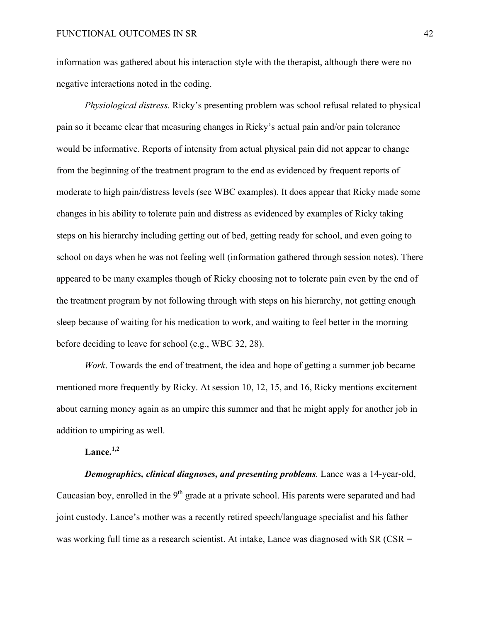information was gathered about his interaction style with the therapist, although there were no negative interactions noted in the coding.

*Physiological distress.* Ricky's presenting problem was school refusal related to physical pain so it became clear that measuring changes in Ricky's actual pain and/or pain tolerance would be informative. Reports of intensity from actual physical pain did not appear to change from the beginning of the treatment program to the end as evidenced by frequent reports of moderate to high pain/distress levels (see WBC examples). It does appear that Ricky made some changes in his ability to tolerate pain and distress as evidenced by examples of Ricky taking steps on his hierarchy including getting out of bed, getting ready for school, and even going to school on days when he was not feeling well (information gathered through session notes). There appeared to be many examples though of Ricky choosing not to tolerate pain even by the end of the treatment program by not following through with steps on his hierarchy, not getting enough sleep because of waiting for his medication to work, and waiting to feel better in the morning before deciding to leave for school (e.g., WBC 32, 28).

*Work*. Towards the end of treatment, the idea and hope of getting a summer job became mentioned more frequently by Ricky. At session 10, 12, 15, and 16, Ricky mentions excitement about earning money again as an umpire this summer and that he might apply for another job in addition to umpiring as well.

# **Lance.1,2**

*Demographics, clinical diagnoses, and presenting problems.* Lance was a 14-year-old, Caucasian boy, enrolled in the  $9<sup>th</sup>$  grade at a private school. His parents were separated and had joint custody. Lance's mother was a recently retired speech/language specialist and his father was working full time as a research scientist. At intake, Lance was diagnosed with SR (CSR =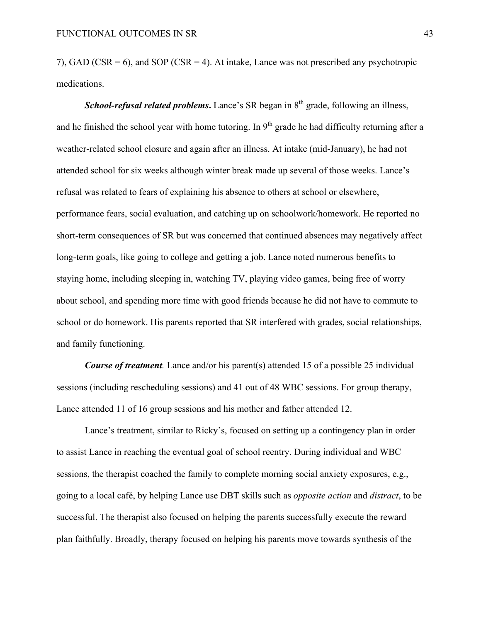7), GAD (CSR = 6), and SOP (CSR = 4). At intake, Lance was not prescribed any psychotropic medications.

*School-refusal related problems*. Lance's SR began in 8<sup>th</sup> grade, following an illness, and he finished the school year with home tutoring. In  $9<sup>th</sup>$  grade he had difficulty returning after a weather-related school closure and again after an illness. At intake (mid-January), he had not attended school for six weeks although winter break made up several of those weeks. Lance's refusal was related to fears of explaining his absence to others at school or elsewhere, performance fears, social evaluation, and catching up on schoolwork/homework. He reported no short-term consequences of SR but was concerned that continued absences may negatively affect long-term goals, like going to college and getting a job. Lance noted numerous benefits to staying home, including sleeping in, watching TV, playing video games, being free of worry about school, and spending more time with good friends because he did not have to commute to school or do homework. His parents reported that SR interfered with grades, social relationships, and family functioning.

*Course of treatment.* Lance and/or his parent(s) attended 15 of a possible 25 individual sessions (including rescheduling sessions) and 41 out of 48 WBC sessions. For group therapy, Lance attended 11 of 16 group sessions and his mother and father attended 12.

Lance's treatment, similar to Ricky's, focused on setting up a contingency plan in order to assist Lance in reaching the eventual goal of school reentry. During individual and WBC sessions, the therapist coached the family to complete morning social anxiety exposures, e.g., going to a local café, by helping Lance use DBT skills such as *opposite action* and *distract*, to be successful. The therapist also focused on helping the parents successfully execute the reward plan faithfully. Broadly, therapy focused on helping his parents move towards synthesis of the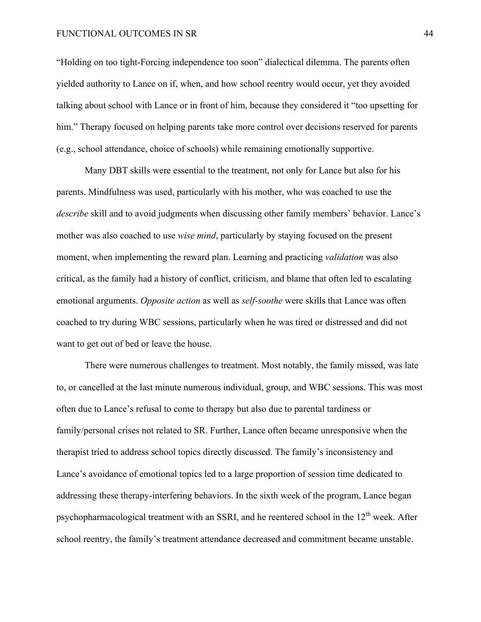"Holding on too tight-Forcing independence too soon" dialectical dilemma. The parents often yielded authority to Lance on if, when, and how school reentry would occur, yet they avoided talking about school with Lance or in front of him, because they considered it "too upsetting for him." Therapy focused on helping parents take more control over decisions reserved for parents (e.g., school attendance, choice of schools) while remaining emotionally supportive.

Many DBT skills were essential to the treatment, not only for Lance but also for his parents. Mindfulness was used, particularly with his mother, who was coached to use the *describe* skill and to avoid judgments when discussing other family members' behavior. Lance's mother was also coached to use *wise mind*, particularly by staying focused on the present moment, when implementing the reward plan. Learning and practicing *validation* was also critical, as the family had a history of conflict, criticism, and blame that often led to escalating emotional arguments. *Opposite action* as well as *self-soothe* were skills that Lance was often coached to try during WBC sessions, particularly when he was tired or distressed and did not want to get out of bed or leave the house.

There were numerous challenges to treatment. Most notably, the family missed, was late to, or cancelled at the last minute numerous individual, group, and WBC sessions. This was most often due to Lance's refusal to come to therapy but also due to parental tardiness or family/personal crises not related to SR. Further, Lance often became unresponsive when the therapist tried to address school topics directly discussed. The family's inconsistency and Lance's avoidance of emotional topics led to a large proportion of session time dedicated to addressing these therapy-interfering behaviors. In the sixth week of the program, Lance began psychopharmacological treatment with an SSRI, and he reentered school in the 12<sup>th</sup> week. After school reentry, the family's treatment attendance decreased and commitment became unstable.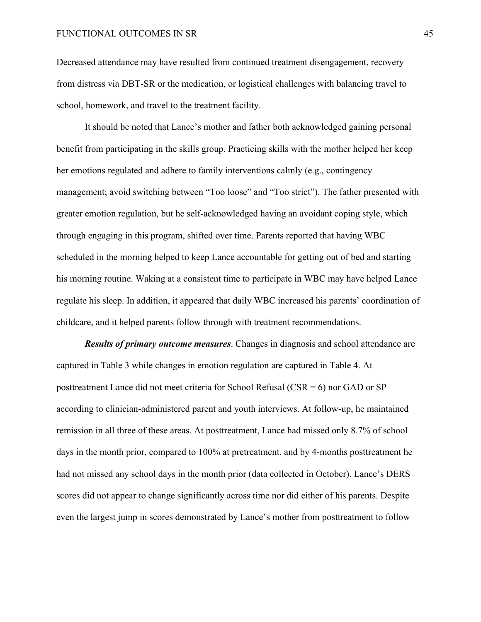Decreased attendance may have resulted from continued treatment disengagement, recovery from distress via DBT-SR or the medication, or logistical challenges with balancing travel to school, homework, and travel to the treatment facility.

It should be noted that Lance's mother and father both acknowledged gaining personal benefit from participating in the skills group. Practicing skills with the mother helped her keep her emotions regulated and adhere to family interventions calmly (e.g., contingency management; avoid switching between "Too loose" and "Too strict"). The father presented with greater emotion regulation, but he self-acknowledged having an avoidant coping style, which through engaging in this program, shifted over time. Parents reported that having WBC scheduled in the morning helped to keep Lance accountable for getting out of bed and starting his morning routine. Waking at a consistent time to participate in WBC may have helped Lance regulate his sleep. In addition, it appeared that daily WBC increased his parents' coordination of childcare, and it helped parents follow through with treatment recommendations.

*Results of primary outcome measures*. Changes in diagnosis and school attendance are captured in Table 3 while changes in emotion regulation are captured in Table 4. At posttreatment Lance did not meet criteria for School Refusal (CSR = 6) nor GAD or SP according to clinician-administered parent and youth interviews. At follow-up, he maintained remission in all three of these areas. At posttreatment, Lance had missed only 8.7% of school days in the month prior, compared to 100% at pretreatment, and by 4-months posttreatment he had not missed any school days in the month prior (data collected in October). Lance's DERS scores did not appear to change significantly across time nor did either of his parents. Despite even the largest jump in scores demonstrated by Lance's mother from posttreatment to follow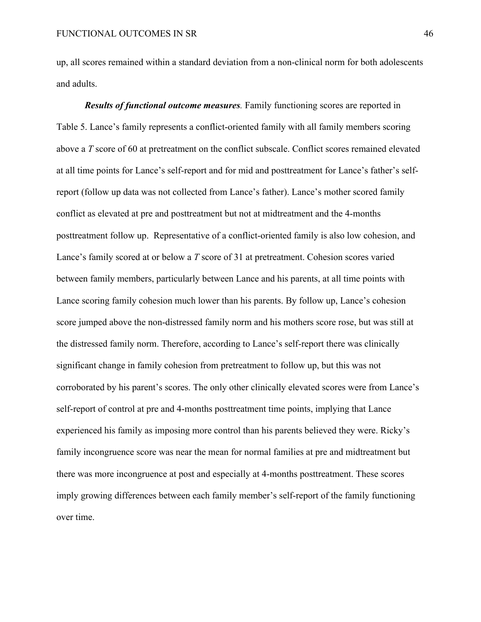up, all scores remained within a standard deviation from a non-clinical norm for both adolescents and adults.

*Results of functional outcome measures.* Family functioning scores are reported in Table 5. Lance's family represents a conflict-oriented family with all family members scoring above a *T* score of 60 at pretreatment on the conflict subscale. Conflict scores remained elevated at all time points for Lance's self-report and for mid and posttreatment for Lance's father's selfreport (follow up data was not collected from Lance's father). Lance's mother scored family conflict as elevated at pre and posttreatment but not at midtreatment and the 4-months posttreatment follow up. Representative of a conflict-oriented family is also low cohesion, and Lance's family scored at or below a *T* score of 31 at pretreatment. Cohesion scores varied between family members, particularly between Lance and his parents, at all time points with Lance scoring family cohesion much lower than his parents. By follow up, Lance's cohesion score jumped above the non-distressed family norm and his mothers score rose, but was still at the distressed family norm. Therefore, according to Lance's self-report there was clinically significant change in family cohesion from pretreatment to follow up, but this was not corroborated by his parent's scores. The only other clinically elevated scores were from Lance's self-report of control at pre and 4-months posttreatment time points, implying that Lance experienced his family as imposing more control than his parents believed they were. Ricky's family incongruence score was near the mean for normal families at pre and midtreatment but there was more incongruence at post and especially at 4-months posttreatment. These scores imply growing differences between each family member's self-report of the family functioning over time.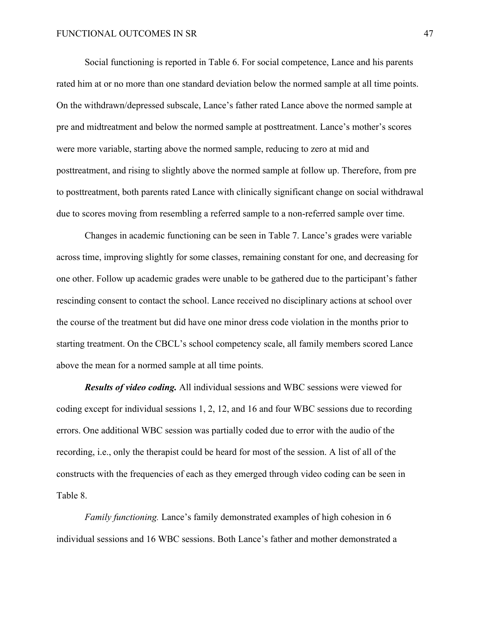Social functioning is reported in Table 6. For social competence, Lance and his parents rated him at or no more than one standard deviation below the normed sample at all time points. On the withdrawn/depressed subscale, Lance's father rated Lance above the normed sample at pre and midtreatment and below the normed sample at posttreatment. Lance's mother's scores were more variable, starting above the normed sample, reducing to zero at mid and posttreatment, and rising to slightly above the normed sample at follow up. Therefore, from pre to posttreatment, both parents rated Lance with clinically significant change on social withdrawal due to scores moving from resembling a referred sample to a non-referred sample over time.

Changes in academic functioning can be seen in Table 7. Lance's grades were variable across time, improving slightly for some classes, remaining constant for one, and decreasing for one other. Follow up academic grades were unable to be gathered due to the participant's father rescinding consent to contact the school. Lance received no disciplinary actions at school over the course of the treatment but did have one minor dress code violation in the months prior to starting treatment. On the CBCL's school competency scale, all family members scored Lance above the mean for a normed sample at all time points.

*Results of video coding.* All individual sessions and WBC sessions were viewed for coding except for individual sessions 1, 2, 12, and 16 and four WBC sessions due to recording errors. One additional WBC session was partially coded due to error with the audio of the recording, i.e., only the therapist could be heard for most of the session. A list of all of the constructs with the frequencies of each as they emerged through video coding can be seen in Table 8.

*Family functioning.* Lance's family demonstrated examples of high cohesion in 6 individual sessions and 16 WBC sessions. Both Lance's father and mother demonstrated a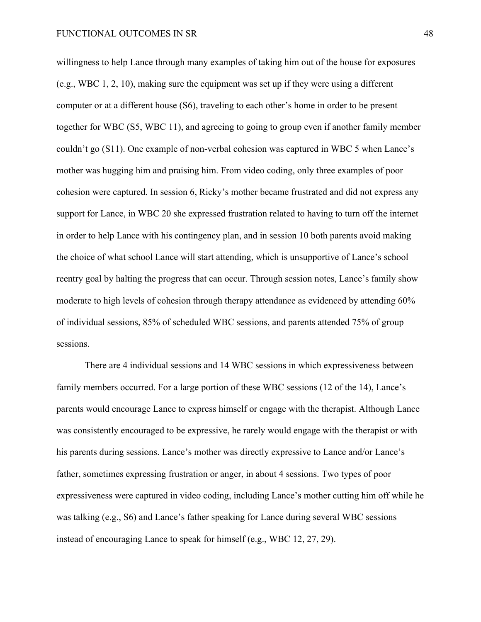willingness to help Lance through many examples of taking him out of the house for exposures (e.g., WBC 1, 2, 10), making sure the equipment was set up if they were using a different computer or at a different house (S6), traveling to each other's home in order to be present together for WBC (S5, WBC 11), and agreeing to going to group even if another family member couldn't go (S11). One example of non-verbal cohesion was captured in WBC 5 when Lance's mother was hugging him and praising him. From video coding, only three examples of poor cohesion were captured. In session 6, Ricky's mother became frustrated and did not express any support for Lance, in WBC 20 she expressed frustration related to having to turn off the internet in order to help Lance with his contingency plan, and in session 10 both parents avoid making the choice of what school Lance will start attending, which is unsupportive of Lance's school reentry goal by halting the progress that can occur. Through session notes, Lance's family show moderate to high levels of cohesion through therapy attendance as evidenced by attending 60% of individual sessions, 85% of scheduled WBC sessions, and parents attended 75% of group sessions.

There are 4 individual sessions and 14 WBC sessions in which expressiveness between family members occurred. For a large portion of these WBC sessions (12 of the 14), Lance's parents would encourage Lance to express himself or engage with the therapist. Although Lance was consistently encouraged to be expressive, he rarely would engage with the therapist or with his parents during sessions. Lance's mother was directly expressive to Lance and/or Lance's father, sometimes expressing frustration or anger, in about 4 sessions. Two types of poor expressiveness were captured in video coding, including Lance's mother cutting him off while he was talking (e.g., S6) and Lance's father speaking for Lance during several WBC sessions instead of encouraging Lance to speak for himself (e.g., WBC 12, 27, 29).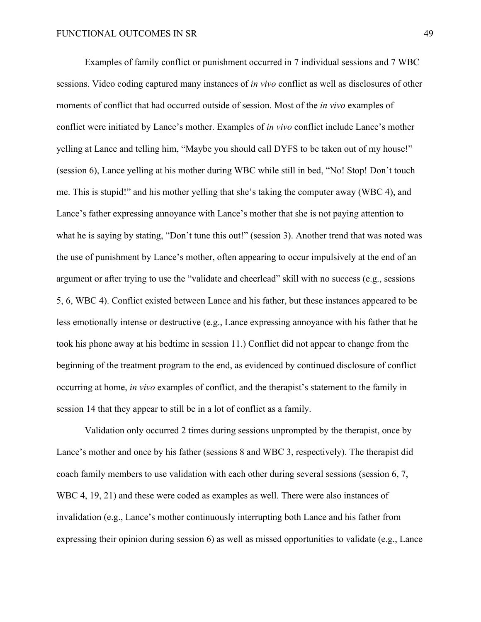Examples of family conflict or punishment occurred in 7 individual sessions and 7 WBC sessions. Video coding captured many instances of *in vivo* conflict as well as disclosures of other moments of conflict that had occurred outside of session. Most of the *in vivo* examples of conflict were initiated by Lance's mother. Examples of *in vivo* conflict include Lance's mother yelling at Lance and telling him, "Maybe you should call DYFS to be taken out of my house!" (session 6), Lance yelling at his mother during WBC while still in bed, "No! Stop! Don't touch me. This is stupid!" and his mother yelling that she's taking the computer away (WBC 4), and Lance's father expressing annoyance with Lance's mother that she is not paying attention to what he is saying by stating, "Don't tune this out!" (session 3). Another trend that was noted was the use of punishment by Lance's mother, often appearing to occur impulsively at the end of an argument or after trying to use the "validate and cheerlead" skill with no success (e.g., sessions 5, 6, WBC 4). Conflict existed between Lance and his father, but these instances appeared to be less emotionally intense or destructive (e.g., Lance expressing annoyance with his father that he took his phone away at his bedtime in session 11.) Conflict did not appear to change from the beginning of the treatment program to the end, as evidenced by continued disclosure of conflict occurring at home, *in vivo* examples of conflict, and the therapist's statement to the family in session 14 that they appear to still be in a lot of conflict as a family.

Validation only occurred 2 times during sessions unprompted by the therapist, once by Lance's mother and once by his father (sessions 8 and WBC 3, respectively). The therapist did coach family members to use validation with each other during several sessions (session 6, 7, WBC 4, 19, 21) and these were coded as examples as well. There were also instances of invalidation (e.g., Lance's mother continuously interrupting both Lance and his father from expressing their opinion during session 6) as well as missed opportunities to validate (e.g., Lance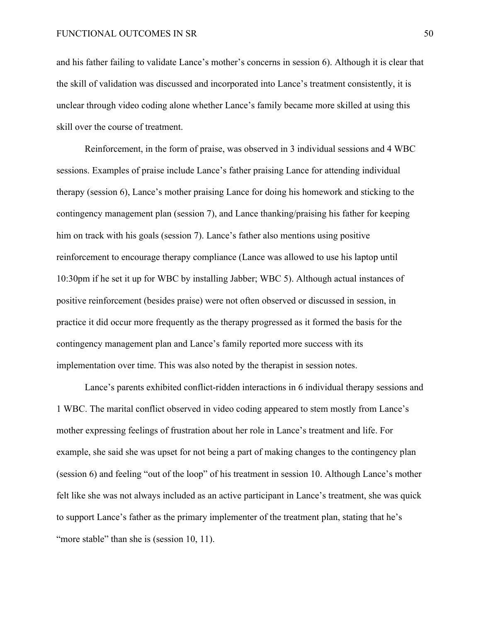and his father failing to validate Lance's mother's concerns in session 6). Although it is clear that the skill of validation was discussed and incorporated into Lance's treatment consistently, it is unclear through video coding alone whether Lance's family became more skilled at using this skill over the course of treatment.

Reinforcement, in the form of praise, was observed in 3 individual sessions and 4 WBC sessions. Examples of praise include Lance's father praising Lance for attending individual therapy (session 6), Lance's mother praising Lance for doing his homework and sticking to the contingency management plan (session 7), and Lance thanking/praising his father for keeping him on track with his goals (session 7). Lance's father also mentions using positive reinforcement to encourage therapy compliance (Lance was allowed to use his laptop until 10:30pm if he set it up for WBC by installing Jabber; WBC 5). Although actual instances of positive reinforcement (besides praise) were not often observed or discussed in session, in practice it did occur more frequently as the therapy progressed as it formed the basis for the contingency management plan and Lance's family reported more success with its implementation over time. This was also noted by the therapist in session notes.

Lance's parents exhibited conflict-ridden interactions in 6 individual therapy sessions and 1 WBC. The marital conflict observed in video coding appeared to stem mostly from Lance's mother expressing feelings of frustration about her role in Lance's treatment and life. For example, she said she was upset for not being a part of making changes to the contingency plan (session 6) and feeling "out of the loop" of his treatment in session 10. Although Lance's mother felt like she was not always included as an active participant in Lance's treatment, she was quick to support Lance's father as the primary implementer of the treatment plan, stating that he's "more stable" than she is (session 10, 11).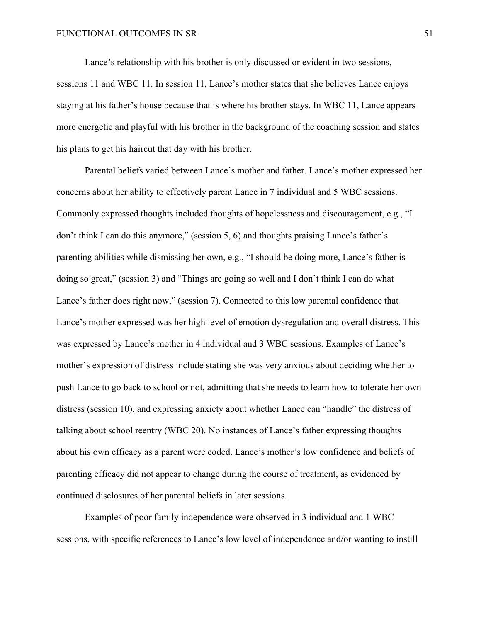Lance's relationship with his brother is only discussed or evident in two sessions, sessions 11 and WBC 11. In session 11, Lance's mother states that she believes Lance enjoys staying at his father's house because that is where his brother stays. In WBC 11, Lance appears more energetic and playful with his brother in the background of the coaching session and states his plans to get his haircut that day with his brother.

Parental beliefs varied between Lance's mother and father. Lance's mother expressed her concerns about her ability to effectively parent Lance in 7 individual and 5 WBC sessions. Commonly expressed thoughts included thoughts of hopelessness and discouragement, e.g., "I don't think I can do this anymore," (session 5, 6) and thoughts praising Lance's father's parenting abilities while dismissing her own, e.g., "I should be doing more, Lance's father is doing so great," (session 3) and "Things are going so well and I don't think I can do what Lance's father does right now," (session 7). Connected to this low parental confidence that Lance's mother expressed was her high level of emotion dysregulation and overall distress. This was expressed by Lance's mother in 4 individual and 3 WBC sessions. Examples of Lance's mother's expression of distress include stating she was very anxious about deciding whether to push Lance to go back to school or not, admitting that she needs to learn how to tolerate her own distress (session 10), and expressing anxiety about whether Lance can "handle" the distress of talking about school reentry (WBC 20). No instances of Lance's father expressing thoughts about his own efficacy as a parent were coded. Lance's mother's low confidence and beliefs of parenting efficacy did not appear to change during the course of treatment, as evidenced by continued disclosures of her parental beliefs in later sessions.

Examples of poor family independence were observed in 3 individual and 1 WBC sessions, with specific references to Lance's low level of independence and/or wanting to instill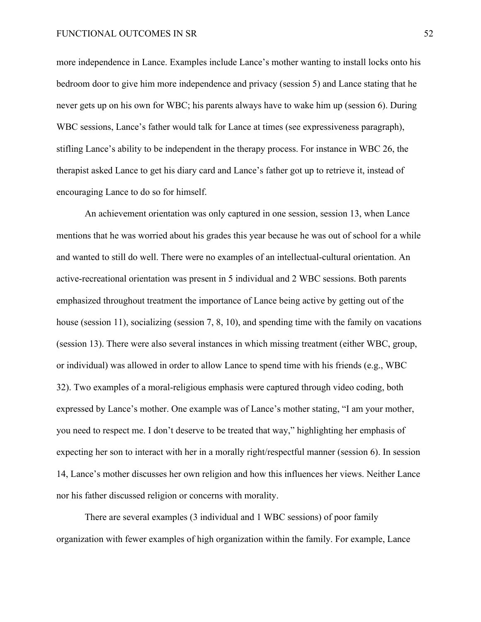more independence in Lance. Examples include Lance's mother wanting to install locks onto his bedroom door to give him more independence and privacy (session 5) and Lance stating that he never gets up on his own for WBC; his parents always have to wake him up (session 6). During WBC sessions, Lance's father would talk for Lance at times (see expressiveness paragraph), stifling Lance's ability to be independent in the therapy process. For instance in WBC 26, the therapist asked Lance to get his diary card and Lance's father got up to retrieve it, instead of encouraging Lance to do so for himself.

An achievement orientation was only captured in one session, session 13, when Lance mentions that he was worried about his grades this year because he was out of school for a while and wanted to still do well. There were no examples of an intellectual-cultural orientation. An active-recreational orientation was present in 5 individual and 2 WBC sessions. Both parents emphasized throughout treatment the importance of Lance being active by getting out of the house (session 11), socializing (session 7, 8, 10), and spending time with the family on vacations (session 13). There were also several instances in which missing treatment (either WBC, group, or individual) was allowed in order to allow Lance to spend time with his friends (e.g., WBC 32). Two examples of a moral-religious emphasis were captured through video coding, both expressed by Lance's mother. One example was of Lance's mother stating, "I am your mother, you need to respect me. I don't deserve to be treated that way," highlighting her emphasis of expecting her son to interact with her in a morally right/respectful manner (session 6). In session 14, Lance's mother discusses her own religion and how this influences her views. Neither Lance nor his father discussed religion or concerns with morality.

There are several examples (3 individual and 1 WBC sessions) of poor family organization with fewer examples of high organization within the family. For example, Lance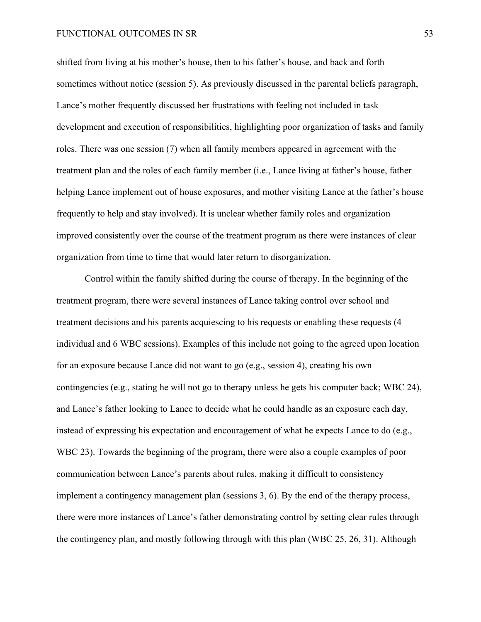shifted from living at his mother's house, then to his father's house, and back and forth sometimes without notice (session 5). As previously discussed in the parental beliefs paragraph, Lance's mother frequently discussed her frustrations with feeling not included in task development and execution of responsibilities, highlighting poor organization of tasks and family roles. There was one session (7) when all family members appeared in agreement with the treatment plan and the roles of each family member (i.e., Lance living at father's house, father helping Lance implement out of house exposures, and mother visiting Lance at the father's house frequently to help and stay involved). It is unclear whether family roles and organization improved consistently over the course of the treatment program as there were instances of clear organization from time to time that would later return to disorganization.

Control within the family shifted during the course of therapy. In the beginning of the treatment program, there were several instances of Lance taking control over school and treatment decisions and his parents acquiescing to his requests or enabling these requests (4 individual and 6 WBC sessions). Examples of this include not going to the agreed upon location for an exposure because Lance did not want to go (e.g., session 4), creating his own contingencies (e.g., stating he will not go to therapy unless he gets his computer back; WBC 24), and Lance's father looking to Lance to decide what he could handle as an exposure each day, instead of expressing his expectation and encouragement of what he expects Lance to do (e.g., WBC 23). Towards the beginning of the program, there were also a couple examples of poor communication between Lance's parents about rules, making it difficult to consistency implement a contingency management plan (sessions 3, 6). By the end of the therapy process, there were more instances of Lance's father demonstrating control by setting clear rules through the contingency plan, and mostly following through with this plan (WBC 25, 26, 31). Although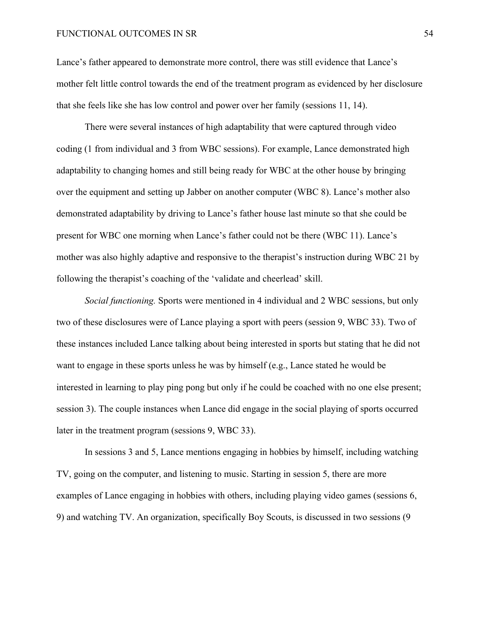Lance's father appeared to demonstrate more control, there was still evidence that Lance's mother felt little control towards the end of the treatment program as evidenced by her disclosure that she feels like she has low control and power over her family (sessions 11, 14).

There were several instances of high adaptability that were captured through video coding (1 from individual and 3 from WBC sessions). For example, Lance demonstrated high adaptability to changing homes and still being ready for WBC at the other house by bringing over the equipment and setting up Jabber on another computer (WBC 8). Lance's mother also demonstrated adaptability by driving to Lance's father house last minute so that she could be present for WBC one morning when Lance's father could not be there (WBC 11). Lance's mother was also highly adaptive and responsive to the therapist's instruction during WBC 21 by following the therapist's coaching of the 'validate and cheerlead' skill.

*Social functioning.* Sports were mentioned in 4 individual and 2 WBC sessions, but only two of these disclosures were of Lance playing a sport with peers (session 9, WBC 33). Two of these instances included Lance talking about being interested in sports but stating that he did not want to engage in these sports unless he was by himself (e.g., Lance stated he would be interested in learning to play ping pong but only if he could be coached with no one else present; session 3). The couple instances when Lance did engage in the social playing of sports occurred later in the treatment program (sessions 9, WBC 33).

In sessions 3 and 5, Lance mentions engaging in hobbies by himself, including watching TV, going on the computer, and listening to music. Starting in session 5, there are more examples of Lance engaging in hobbies with others, including playing video games (sessions 6, 9) and watching TV. An organization, specifically Boy Scouts, is discussed in two sessions (9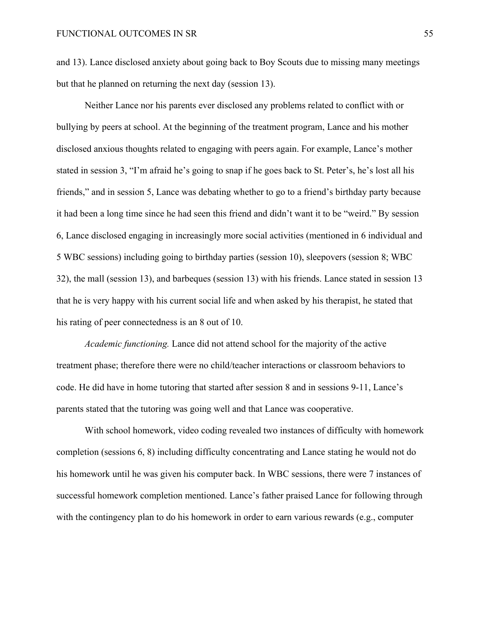and 13). Lance disclosed anxiety about going back to Boy Scouts due to missing many meetings but that he planned on returning the next day (session 13).

Neither Lance nor his parents ever disclosed any problems related to conflict with or bullying by peers at school. At the beginning of the treatment program, Lance and his mother disclosed anxious thoughts related to engaging with peers again. For example, Lance's mother stated in session 3, "I'm afraid he's going to snap if he goes back to St. Peter's, he's lost all his friends," and in session 5, Lance was debating whether to go to a friend's birthday party because it had been a long time since he had seen this friend and didn't want it to be "weird." By session 6, Lance disclosed engaging in increasingly more social activities (mentioned in 6 individual and 5 WBC sessions) including going to birthday parties (session 10), sleepovers (session 8; WBC 32), the mall (session 13), and barbeques (session 13) with his friends. Lance stated in session 13 that he is very happy with his current social life and when asked by his therapist, he stated that his rating of peer connectedness is an 8 out of 10.

*Academic functioning.* Lance did not attend school for the majority of the active treatment phase; therefore there were no child/teacher interactions or classroom behaviors to code. He did have in home tutoring that started after session 8 and in sessions 9-11, Lance's parents stated that the tutoring was going well and that Lance was cooperative.

With school homework, video coding revealed two instances of difficulty with homework completion (sessions 6, 8) including difficulty concentrating and Lance stating he would not do his homework until he was given his computer back. In WBC sessions, there were 7 instances of successful homework completion mentioned. Lance's father praised Lance for following through with the contingency plan to do his homework in order to earn various rewards (e.g., computer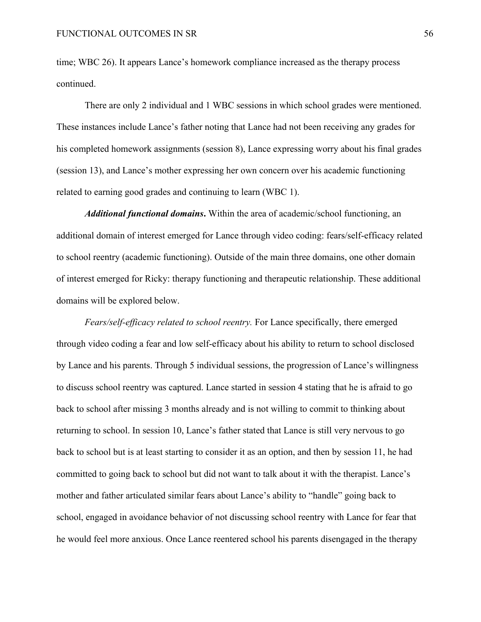time; WBC 26). It appears Lance's homework compliance increased as the therapy process continued.

There are only 2 individual and 1 WBC sessions in which school grades were mentioned. These instances include Lance's father noting that Lance had not been receiving any grades for his completed homework assignments (session 8), Lance expressing worry about his final grades (session 13), and Lance's mother expressing her own concern over his academic functioning related to earning good grades and continuing to learn (WBC 1).

*Additional functional domains***.** Within the area of academic/school functioning, an additional domain of interest emerged for Lance through video coding: fears/self-efficacy related to school reentry (academic functioning). Outside of the main three domains, one other domain of interest emerged for Ricky: therapy functioning and therapeutic relationship. These additional domains will be explored below.

*Fears/self-efficacy related to school reentry.* For Lance specifically, there emerged through video coding a fear and low self-efficacy about his ability to return to school disclosed by Lance and his parents. Through 5 individual sessions, the progression of Lance's willingness to discuss school reentry was captured. Lance started in session 4 stating that he is afraid to go back to school after missing 3 months already and is not willing to commit to thinking about returning to school. In session 10, Lance's father stated that Lance is still very nervous to go back to school but is at least starting to consider it as an option, and then by session 11, he had committed to going back to school but did not want to talk about it with the therapist. Lance's mother and father articulated similar fears about Lance's ability to "handle" going back to school, engaged in avoidance behavior of not discussing school reentry with Lance for fear that he would feel more anxious. Once Lance reentered school his parents disengaged in the therapy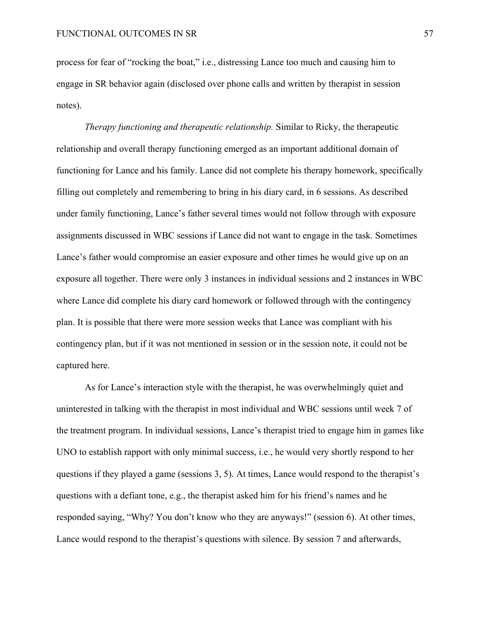process for fear of "rocking the boat," i.e., distressing Lance too much and causing him to engage in SR behavior again (disclosed over phone calls and written by therapist in session notes).

*Therapy functioning and therapeutic relationship.* Similar to Ricky, the therapeutic relationship and overall therapy functioning emerged as an important additional domain of functioning for Lance and his family. Lance did not complete his therapy homework, specifically filling out completely and remembering to bring in his diary card, in 6 sessions. As described under family functioning, Lance's father several times would not follow through with exposure assignments discussed in WBC sessions if Lance did not want to engage in the task. Sometimes Lance's father would compromise an easier exposure and other times he would give up on an exposure all together. There were only 3 instances in individual sessions and 2 instances in WBC where Lance did complete his diary card homework or followed through with the contingency plan. It is possible that there were more session weeks that Lance was compliant with his contingency plan, but if it was not mentioned in session or in the session note, it could not be captured here.

As for Lance's interaction style with the therapist, he was overwhelmingly quiet and uninterested in talking with the therapist in most individual and WBC sessions until week 7 of the treatment program. In individual sessions, Lance's therapist tried to engage him in games like UNO to establish rapport with only minimal success, i.e., he would very shortly respond to her questions if they played a game (sessions 3, 5). At times, Lance would respond to the therapist's questions with a defiant tone, e.g., the therapist asked him for his friend's names and he responded saying, "Why? You don't know who they are anyways!" (session 6). At other times, Lance would respond to the therapist's questions with silence. By session 7 and afterwards,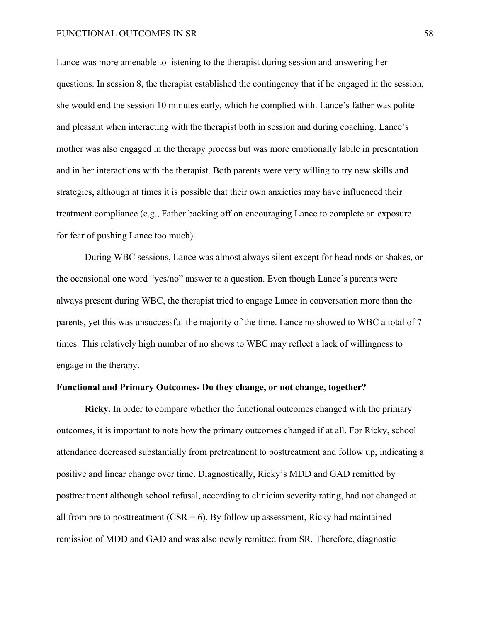Lance was more amenable to listening to the therapist during session and answering her questions. In session 8, the therapist established the contingency that if he engaged in the session, she would end the session 10 minutes early, which he complied with. Lance's father was polite and pleasant when interacting with the therapist both in session and during coaching. Lance's mother was also engaged in the therapy process but was more emotionally labile in presentation and in her interactions with the therapist. Both parents were very willing to try new skills and strategies, although at times it is possible that their own anxieties may have influenced their treatment compliance (e.g., Father backing off on encouraging Lance to complete an exposure for fear of pushing Lance too much).

During WBC sessions, Lance was almost always silent except for head nods or shakes, or the occasional one word "yes/no" answer to a question. Even though Lance's parents were always present during WBC, the therapist tried to engage Lance in conversation more than the parents, yet this was unsuccessful the majority of the time. Lance no showed to WBC a total of 7 times. This relatively high number of no shows to WBC may reflect a lack of willingness to engage in the therapy.

# **Functional and Primary Outcomes- Do they change, or not change, together?**

**Ricky.** In order to compare whether the functional outcomes changed with the primary outcomes, it is important to note how the primary outcomes changed if at all. For Ricky, school attendance decreased substantially from pretreatment to posttreatment and follow up, indicating a positive and linear change over time. Diagnostically, Ricky's MDD and GAD remitted by posttreatment although school refusal, according to clinician severity rating, had not changed at all from pre to posttreatment  $(CSR = 6)$ . By follow up assessment, Ricky had maintained remission of MDD and GAD and was also newly remitted from SR. Therefore, diagnostic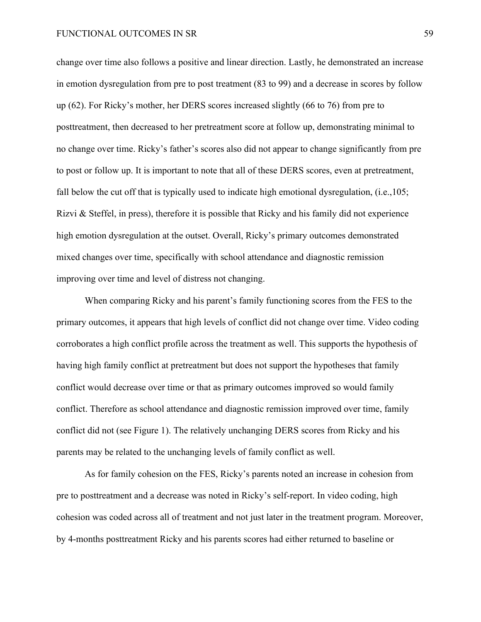change over time also follows a positive and linear direction. Lastly, he demonstrated an increase in emotion dysregulation from pre to post treatment (83 to 99) and a decrease in scores by follow up (62). For Ricky's mother, her DERS scores increased slightly (66 to 76) from pre to posttreatment, then decreased to her pretreatment score at follow up, demonstrating minimal to no change over time. Ricky's father's scores also did not appear to change significantly from pre to post or follow up. It is important to note that all of these DERS scores, even at pretreatment, fall below the cut off that is typically used to indicate high emotional dysregulation, (i.e., 105; Rizvi & Steffel, in press), therefore it is possible that Ricky and his family did not experience high emotion dysregulation at the outset. Overall, Ricky's primary outcomes demonstrated mixed changes over time, specifically with school attendance and diagnostic remission improving over time and level of distress not changing.

When comparing Ricky and his parent's family functioning scores from the FES to the primary outcomes, it appears that high levels of conflict did not change over time. Video coding corroborates a high conflict profile across the treatment as well. This supports the hypothesis of having high family conflict at pretreatment but does not support the hypotheses that family conflict would decrease over time or that as primary outcomes improved so would family conflict. Therefore as school attendance and diagnostic remission improved over time, family conflict did not (see Figure 1). The relatively unchanging DERS scores from Ricky and his parents may be related to the unchanging levels of family conflict as well.

As for family cohesion on the FES, Ricky's parents noted an increase in cohesion from pre to posttreatment and a decrease was noted in Ricky's self-report. In video coding, high cohesion was coded across all of treatment and not just later in the treatment program. Moreover, by 4-months posttreatment Ricky and his parents scores had either returned to baseline or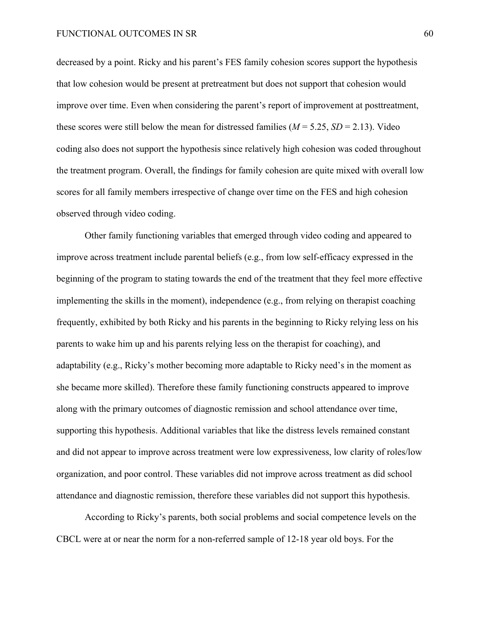decreased by a point. Ricky and his parent's FES family cohesion scores support the hypothesis that low cohesion would be present at pretreatment but does not support that cohesion would improve over time. Even when considering the parent's report of improvement at posttreatment, these scores were still below the mean for distressed families ( $M = 5.25$ ,  $SD = 2.13$ ). Video coding also does not support the hypothesis since relatively high cohesion was coded throughout the treatment program. Overall, the findings for family cohesion are quite mixed with overall low scores for all family members irrespective of change over time on the FES and high cohesion observed through video coding.

Other family functioning variables that emerged through video coding and appeared to improve across treatment include parental beliefs (e.g., from low self-efficacy expressed in the beginning of the program to stating towards the end of the treatment that they feel more effective implementing the skills in the moment), independence (e.g., from relying on therapist coaching frequently, exhibited by both Ricky and his parents in the beginning to Ricky relying less on his parents to wake him up and his parents relying less on the therapist for coaching), and adaptability (e.g., Ricky's mother becoming more adaptable to Ricky need's in the moment as she became more skilled). Therefore these family functioning constructs appeared to improve along with the primary outcomes of diagnostic remission and school attendance over time, supporting this hypothesis. Additional variables that like the distress levels remained constant and did not appear to improve across treatment were low expressiveness, low clarity of roles/low organization, and poor control. These variables did not improve across treatment as did school attendance and diagnostic remission, therefore these variables did not support this hypothesis.

According to Ricky's parents, both social problems and social competence levels on the CBCL were at or near the norm for a non-referred sample of 12-18 year old boys. For the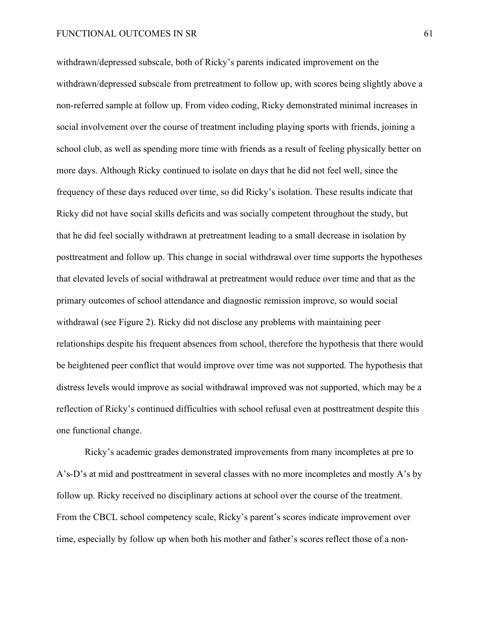withdrawn/depressed subscale, both of Ricky's parents indicated improvement on the withdrawn/depressed subscale from pretreatment to follow up, with scores being slightly above a non-referred sample at follow up. From video coding, Ricky demonstrated minimal increases in social involvement over the course of treatment including playing sports with friends, joining a school club, as well as spending more time with friends as a result of feeling physically better on more days. Although Ricky continued to isolate on days that he did not feel well, since the frequency of these days reduced over time, so did Ricky's isolation. These results indicate that Ricky did not have social skills deficits and was socially competent throughout the study, but that he did feel socially withdrawn at pretreatment leading to a small decrease in isolation by posttreatment and follow up. This change in social withdrawal over time supports the hypotheses that elevated levels of social withdrawal at pretreatment would reduce over time and that as the primary outcomes of school attendance and diagnostic remission improve, so would social withdrawal (see Figure 2). Ricky did not disclose any problems with maintaining peer relationships despite his frequent absences from school, therefore the hypothesis that there would be heightened peer conflict that would improve over time was not supported. The hypothesis that distress levels would improve as social withdrawal improved was not supported, which may be a reflection of Ricky's continued difficulties with school refusal even at posttreatment despite this one functional change.

Ricky's academic grades demonstrated improvements from many incompletes at pre to A's-D's at mid and posttreatment in several classes with no more incompletes and mostly A's by follow up. Ricky received no disciplinary actions at school over the course of the treatment. From the CBCL school competency scale, Ricky's parent's scores indicate improvement over time, especially by follow up when both his mother and father's scores reflect those of a non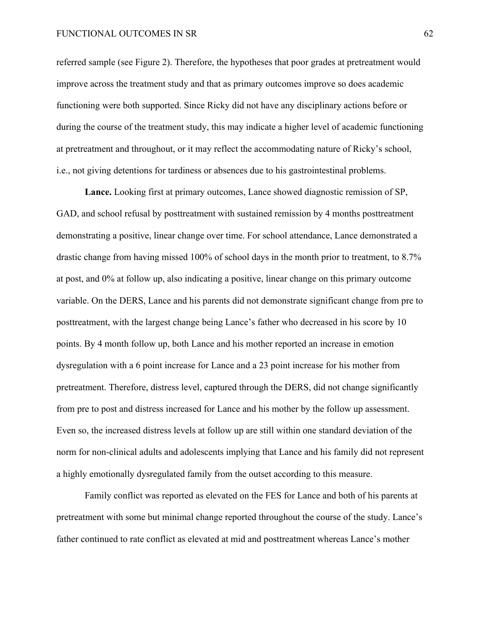referred sample (see Figure 2). Therefore, the hypotheses that poor grades at pretreatment would improve across the treatment study and that as primary outcomes improve so does academic functioning were both supported. Since Ricky did not have any disciplinary actions before or during the course of the treatment study, this may indicate a higher level of academic functioning at pretreatment and throughout, or it may reflect the accommodating nature of Ricky's school, i.e., not giving detentions for tardiness or absences due to his gastrointestinal problems.

**Lance.** Looking first at primary outcomes, Lance showed diagnostic remission of SP, GAD, and school refusal by posttreatment with sustained remission by 4 months posttreatment demonstrating a positive, linear change over time. For school attendance, Lance demonstrated a drastic change from having missed 100% of school days in the month prior to treatment, to 8.7% at post, and 0% at follow up, also indicating a positive, linear change on this primary outcome variable. On the DERS, Lance and his parents did not demonstrate significant change from pre to posttreatment, with the largest change being Lance's father who decreased in his score by 10 points. By 4 month follow up, both Lance and his mother reported an increase in emotion dysregulation with a 6 point increase for Lance and a 23 point increase for his mother from pretreatment. Therefore, distress level, captured through the DERS, did not change significantly from pre to post and distress increased for Lance and his mother by the follow up assessment. Even so, the increased distress levels at follow up are still within one standard deviation of the norm for non-clinical adults and adolescents implying that Lance and his family did not represent a highly emotionally dysregulated family from the outset according to this measure.

Family conflict was reported as elevated on the FES for Lance and both of his parents at pretreatment with some but minimal change reported throughout the course of the study. Lance's father continued to rate conflict as elevated at mid and posttreatment whereas Lance's mother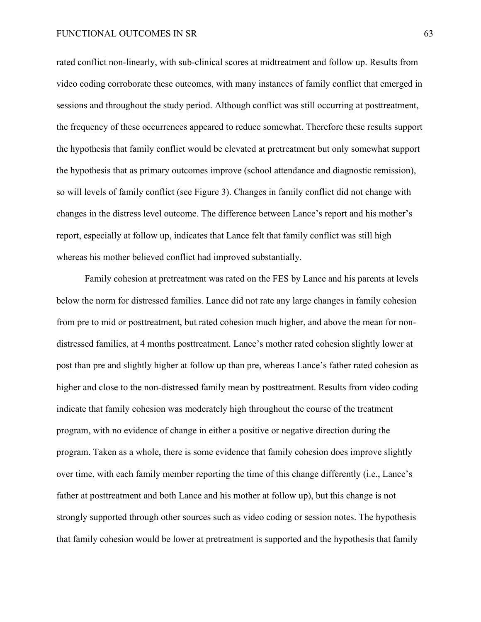rated conflict non-linearly, with sub-clinical scores at midtreatment and follow up. Results from video coding corroborate these outcomes, with many instances of family conflict that emerged in sessions and throughout the study period. Although conflict was still occurring at posttreatment, the frequency of these occurrences appeared to reduce somewhat. Therefore these results support the hypothesis that family conflict would be elevated at pretreatment but only somewhat support the hypothesis that as primary outcomes improve (school attendance and diagnostic remission), so will levels of family conflict (see Figure 3). Changes in family conflict did not change with changes in the distress level outcome. The difference between Lance's report and his mother's report, especially at follow up, indicates that Lance felt that family conflict was still high whereas his mother believed conflict had improved substantially.

Family cohesion at pretreatment was rated on the FES by Lance and his parents at levels below the norm for distressed families. Lance did not rate any large changes in family cohesion from pre to mid or posttreatment, but rated cohesion much higher, and above the mean for nondistressed families, at 4 months posttreatment. Lance's mother rated cohesion slightly lower at post than pre and slightly higher at follow up than pre, whereas Lance's father rated cohesion as higher and close to the non-distressed family mean by posttreatment. Results from video coding indicate that family cohesion was moderately high throughout the course of the treatment program, with no evidence of change in either a positive or negative direction during the program. Taken as a whole, there is some evidence that family cohesion does improve slightly over time, with each family member reporting the time of this change differently (i.e., Lance's father at posttreatment and both Lance and his mother at follow up), but this change is not strongly supported through other sources such as video coding or session notes. The hypothesis that family cohesion would be lower at pretreatment is supported and the hypothesis that family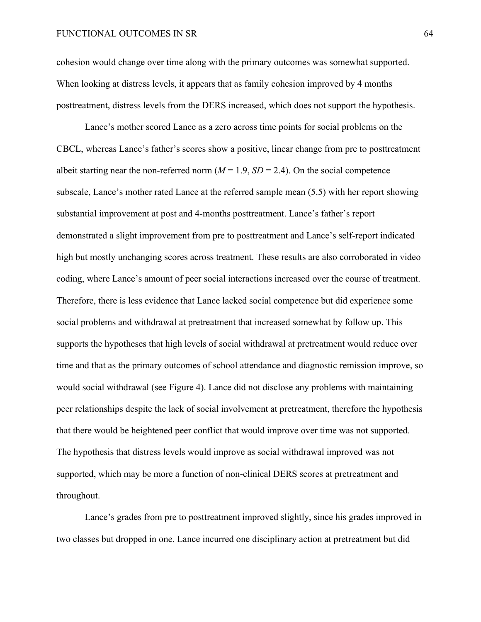cohesion would change over time along with the primary outcomes was somewhat supported. When looking at distress levels, it appears that as family cohesion improved by 4 months posttreatment, distress levels from the DERS increased, which does not support the hypothesis.

Lance's mother scored Lance as a zero across time points for social problems on the CBCL, whereas Lance's father's scores show a positive, linear change from pre to posttreatment albeit starting near the non-referred norm  $(M = 1.9, SD = 2.4)$ . On the social competence subscale, Lance's mother rated Lance at the referred sample mean (5.5) with her report showing substantial improvement at post and 4-months posttreatment. Lance's father's report demonstrated a slight improvement from pre to posttreatment and Lance's self-report indicated high but mostly unchanging scores across treatment. These results are also corroborated in video coding, where Lance's amount of peer social interactions increased over the course of treatment. Therefore, there is less evidence that Lance lacked social competence but did experience some social problems and withdrawal at pretreatment that increased somewhat by follow up. This supports the hypotheses that high levels of social withdrawal at pretreatment would reduce over time and that as the primary outcomes of school attendance and diagnostic remission improve, so would social withdrawal (see Figure 4). Lance did not disclose any problems with maintaining peer relationships despite the lack of social involvement at pretreatment, therefore the hypothesis that there would be heightened peer conflict that would improve over time was not supported. The hypothesis that distress levels would improve as social withdrawal improved was not supported, which may be more a function of non-clinical DERS scores at pretreatment and throughout.

Lance's grades from pre to posttreatment improved slightly, since his grades improved in two classes but dropped in one. Lance incurred one disciplinary action at pretreatment but did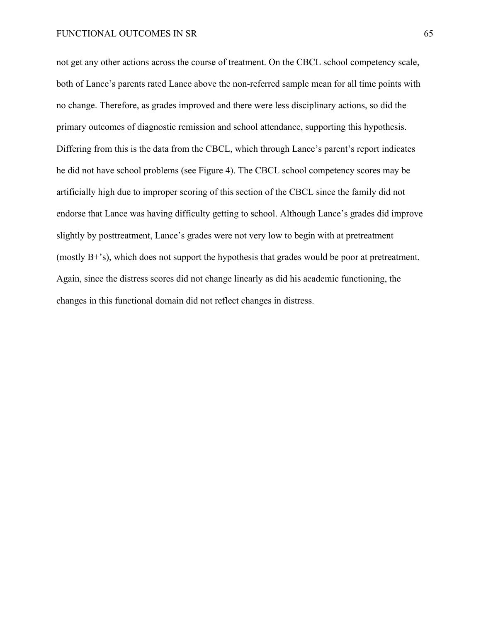not get any other actions across the course of treatment. On the CBCL school competency scale, both of Lance's parents rated Lance above the non-referred sample mean for all time points with no change. Therefore, as grades improved and there were less disciplinary actions, so did the primary outcomes of diagnostic remission and school attendance, supporting this hypothesis. Differing from this is the data from the CBCL, which through Lance's parent's report indicates he did not have school problems (see Figure 4). The CBCL school competency scores may be artificially high due to improper scoring of this section of the CBCL since the family did not endorse that Lance was having difficulty getting to school. Although Lance's grades did improve slightly by posttreatment, Lance's grades were not very low to begin with at pretreatment (mostly B+'s), which does not support the hypothesis that grades would be poor at pretreatment. Again, since the distress scores did not change linearly as did his academic functioning, the changes in this functional domain did not reflect changes in distress.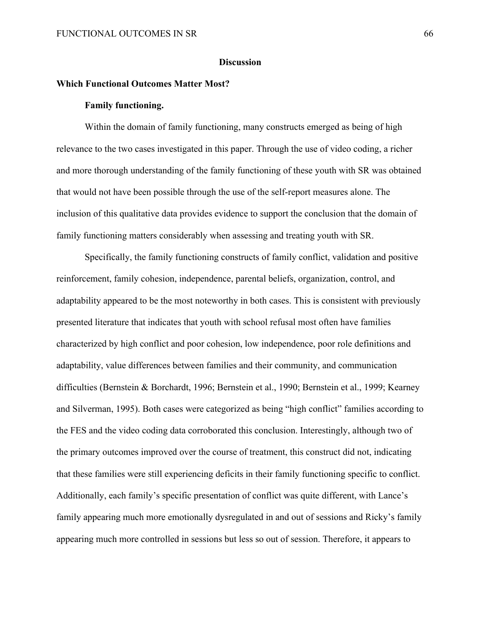# **Discussion**

# **Which Functional Outcomes Matter Most?**

# **Family functioning.**

Within the domain of family functioning, many constructs emerged as being of high relevance to the two cases investigated in this paper. Through the use of video coding, a richer and more thorough understanding of the family functioning of these youth with SR was obtained that would not have been possible through the use of the self-report measures alone. The inclusion of this qualitative data provides evidence to support the conclusion that the domain of family functioning matters considerably when assessing and treating youth with SR.

Specifically, the family functioning constructs of family conflict, validation and positive reinforcement, family cohesion, independence, parental beliefs, organization, control, and adaptability appeared to be the most noteworthy in both cases. This is consistent with previously presented literature that indicates that youth with school refusal most often have families characterized by high conflict and poor cohesion, low independence, poor role definitions and adaptability, value differences between families and their community, and communication difficulties (Bernstein & Borchardt, 1996; Bernstein et al., 1990; Bernstein et al., 1999; Kearney and Silverman, 1995). Both cases were categorized as being "high conflict" families according to the FES and the video coding data corroborated this conclusion. Interestingly, although two of the primary outcomes improved over the course of treatment, this construct did not, indicating that these families were still experiencing deficits in their family functioning specific to conflict. Additionally, each family's specific presentation of conflict was quite different, with Lance's family appearing much more emotionally dysregulated in and out of sessions and Ricky's family appearing much more controlled in sessions but less so out of session. Therefore, it appears to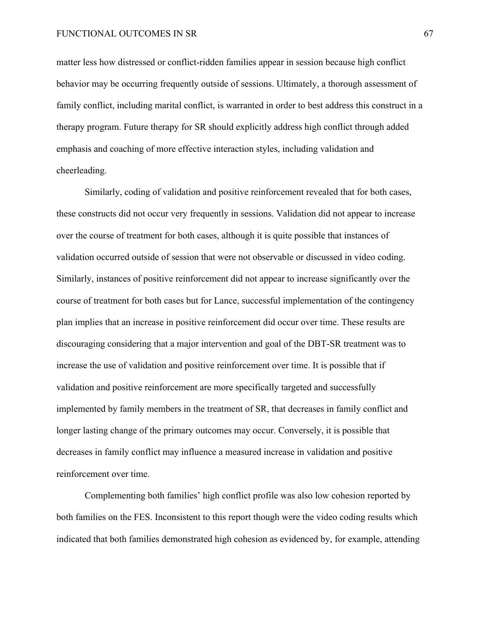matter less how distressed or conflict-ridden families appear in session because high conflict behavior may be occurring frequently outside of sessions. Ultimately, a thorough assessment of family conflict, including marital conflict, is warranted in order to best address this construct in a therapy program. Future therapy for SR should explicitly address high conflict through added emphasis and coaching of more effective interaction styles, including validation and cheerleading.

Similarly, coding of validation and positive reinforcement revealed that for both cases, these constructs did not occur very frequently in sessions. Validation did not appear to increase over the course of treatment for both cases, although it is quite possible that instances of validation occurred outside of session that were not observable or discussed in video coding. Similarly, instances of positive reinforcement did not appear to increase significantly over the course of treatment for both cases but for Lance, successful implementation of the contingency plan implies that an increase in positive reinforcement did occur over time. These results are discouraging considering that a major intervention and goal of the DBT-SR treatment was to increase the use of validation and positive reinforcement over time. It is possible that if validation and positive reinforcement are more specifically targeted and successfully implemented by family members in the treatment of SR, that decreases in family conflict and longer lasting change of the primary outcomes may occur. Conversely, it is possible that decreases in family conflict may influence a measured increase in validation and positive reinforcement over time.

Complementing both families' high conflict profile was also low cohesion reported by both families on the FES. Inconsistent to this report though were the video coding results which indicated that both families demonstrated high cohesion as evidenced by, for example, attending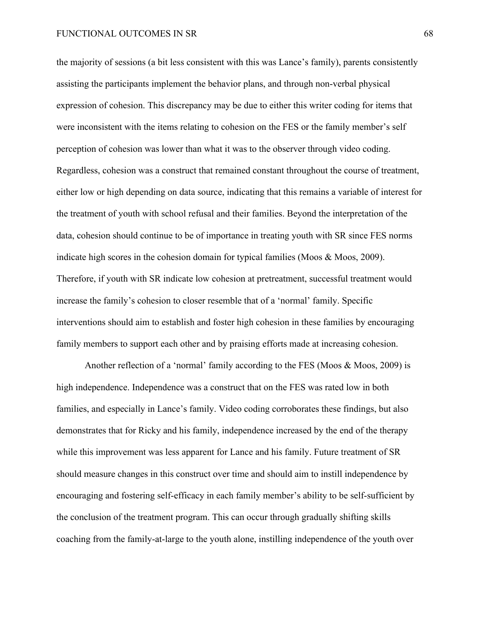the majority of sessions (a bit less consistent with this was Lance's family), parents consistently assisting the participants implement the behavior plans, and through non-verbal physical expression of cohesion. This discrepancy may be due to either this writer coding for items that were inconsistent with the items relating to cohesion on the FES or the family member's self perception of cohesion was lower than what it was to the observer through video coding. Regardless, cohesion was a construct that remained constant throughout the course of treatment, either low or high depending on data source, indicating that this remains a variable of interest for the treatment of youth with school refusal and their families. Beyond the interpretation of the data, cohesion should continue to be of importance in treating youth with SR since FES norms indicate high scores in the cohesion domain for typical families (Moos & Moos, 2009). Therefore, if youth with SR indicate low cohesion at pretreatment, successful treatment would increase the family's cohesion to closer resemble that of a 'normal' family. Specific interventions should aim to establish and foster high cohesion in these families by encouraging family members to support each other and by praising efforts made at increasing cohesion.

Another reflection of a 'normal' family according to the FES (Moos & Moos, 2009) is high independence. Independence was a construct that on the FES was rated low in both families, and especially in Lance's family. Video coding corroborates these findings, but also demonstrates that for Ricky and his family, independence increased by the end of the therapy while this improvement was less apparent for Lance and his family. Future treatment of SR should measure changes in this construct over time and should aim to instill independence by encouraging and fostering self-efficacy in each family member's ability to be self-sufficient by the conclusion of the treatment program. This can occur through gradually shifting skills coaching from the family-at-large to the youth alone, instilling independence of the youth over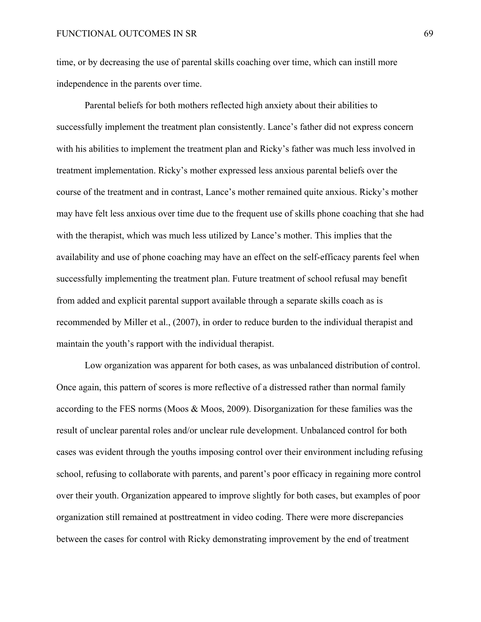time, or by decreasing the use of parental skills coaching over time, which can instill more independence in the parents over time.

Parental beliefs for both mothers reflected high anxiety about their abilities to successfully implement the treatment plan consistently. Lance's father did not express concern with his abilities to implement the treatment plan and Ricky's father was much less involved in treatment implementation. Ricky's mother expressed less anxious parental beliefs over the course of the treatment and in contrast, Lance's mother remained quite anxious. Ricky's mother may have felt less anxious over time due to the frequent use of skills phone coaching that she had with the therapist, which was much less utilized by Lance's mother. This implies that the availability and use of phone coaching may have an effect on the self-efficacy parents feel when successfully implementing the treatment plan. Future treatment of school refusal may benefit from added and explicit parental support available through a separate skills coach as is recommended by Miller et al., (2007), in order to reduce burden to the individual therapist and maintain the youth's rapport with the individual therapist.

Low organization was apparent for both cases, as was unbalanced distribution of control. Once again, this pattern of scores is more reflective of a distressed rather than normal family according to the FES norms (Moos & Moos, 2009). Disorganization for these families was the result of unclear parental roles and/or unclear rule development. Unbalanced control for both cases was evident through the youths imposing control over their environment including refusing school, refusing to collaborate with parents, and parent's poor efficacy in regaining more control over their youth. Organization appeared to improve slightly for both cases, but examples of poor organization still remained at posttreatment in video coding. There were more discrepancies between the cases for control with Ricky demonstrating improvement by the end of treatment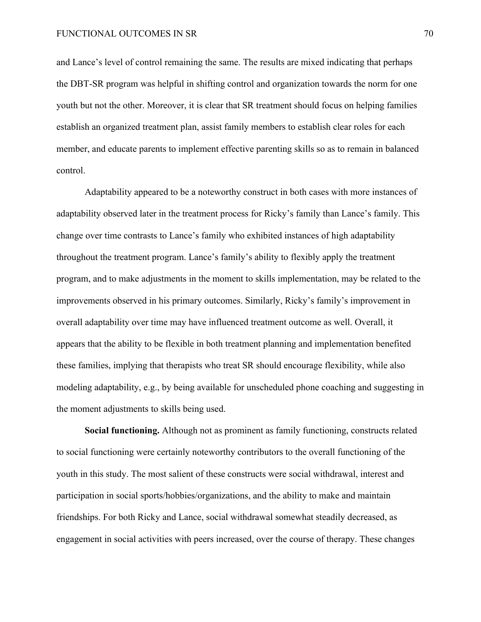and Lance's level of control remaining the same. The results are mixed indicating that perhaps the DBT-SR program was helpful in shifting control and organization towards the norm for one youth but not the other. Moreover, it is clear that SR treatment should focus on helping families establish an organized treatment plan, assist family members to establish clear roles for each member, and educate parents to implement effective parenting skills so as to remain in balanced control.

Adaptability appeared to be a noteworthy construct in both cases with more instances of adaptability observed later in the treatment process for Ricky's family than Lance's family. This change over time contrasts to Lance's family who exhibited instances of high adaptability throughout the treatment program. Lance's family's ability to flexibly apply the treatment program, and to make adjustments in the moment to skills implementation, may be related to the improvements observed in his primary outcomes. Similarly, Ricky's family's improvement in overall adaptability over time may have influenced treatment outcome as well. Overall, it appears that the ability to be flexible in both treatment planning and implementation benefited these families, implying that therapists who treat SR should encourage flexibility, while also modeling adaptability, e.g., by being available for unscheduled phone coaching and suggesting in the moment adjustments to skills being used.

**Social functioning.** Although not as prominent as family functioning, constructs related to social functioning were certainly noteworthy contributors to the overall functioning of the youth in this study. The most salient of these constructs were social withdrawal, interest and participation in social sports/hobbies/organizations, and the ability to make and maintain friendships. For both Ricky and Lance, social withdrawal somewhat steadily decreased, as engagement in social activities with peers increased, over the course of therapy. These changes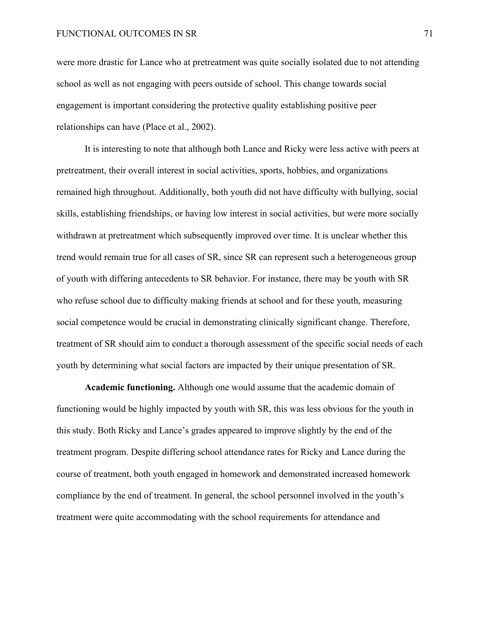were more drastic for Lance who at pretreatment was quite socially isolated due to not attending school as well as not engaging with peers outside of school. This change towards social engagement is important considering the protective quality establishing positive peer relationships can have (Place et al., 2002).

It is interesting to note that although both Lance and Ricky were less active with peers at pretreatment, their overall interest in social activities, sports, hobbies, and organizations remained high throughout. Additionally, both youth did not have difficulty with bullying, social skills, establishing friendships, or having low interest in social activities, but were more socially withdrawn at pretreatment which subsequently improved over time. It is unclear whether this trend would remain true for all cases of SR, since SR can represent such a heterogeneous group of youth with differing antecedents to SR behavior. For instance, there may be youth with SR who refuse school due to difficulty making friends at school and for these youth, measuring social competence would be crucial in demonstrating clinically significant change. Therefore, treatment of SR should aim to conduct a thorough assessment of the specific social needs of each youth by determining what social factors are impacted by their unique presentation of SR.

**Academic functioning.** Although one would assume that the academic domain of functioning would be highly impacted by youth with SR, this was less obvious for the youth in this study. Both Ricky and Lance's grades appeared to improve slightly by the end of the treatment program. Despite differing school attendance rates for Ricky and Lance during the course of treatment, both youth engaged in homework and demonstrated increased homework compliance by the end of treatment. In general, the school personnel involved in the youth's treatment were quite accommodating with the school requirements for attendance and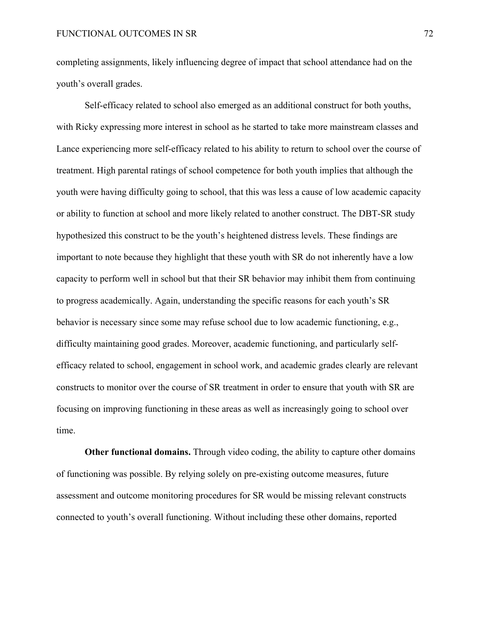completing assignments, likely influencing degree of impact that school attendance had on the youth's overall grades.

Self-efficacy related to school also emerged as an additional construct for both youths, with Ricky expressing more interest in school as he started to take more mainstream classes and Lance experiencing more self-efficacy related to his ability to return to school over the course of treatment. High parental ratings of school competence for both youth implies that although the youth were having difficulty going to school, that this was less a cause of low academic capacity or ability to function at school and more likely related to another construct. The DBT-SR study hypothesized this construct to be the youth's heightened distress levels. These findings are important to note because they highlight that these youth with SR do not inherently have a low capacity to perform well in school but that their SR behavior may inhibit them from continuing to progress academically. Again, understanding the specific reasons for each youth's SR behavior is necessary since some may refuse school due to low academic functioning, e.g., difficulty maintaining good grades. Moreover, academic functioning, and particularly selfefficacy related to school, engagement in school work, and academic grades clearly are relevant constructs to monitor over the course of SR treatment in order to ensure that youth with SR are focusing on improving functioning in these areas as well as increasingly going to school over time.

**Other functional domains.** Through video coding, the ability to capture other domains of functioning was possible. By relying solely on pre-existing outcome measures, future assessment and outcome monitoring procedures for SR would be missing relevant constructs connected to youth's overall functioning. Without including these other domains, reported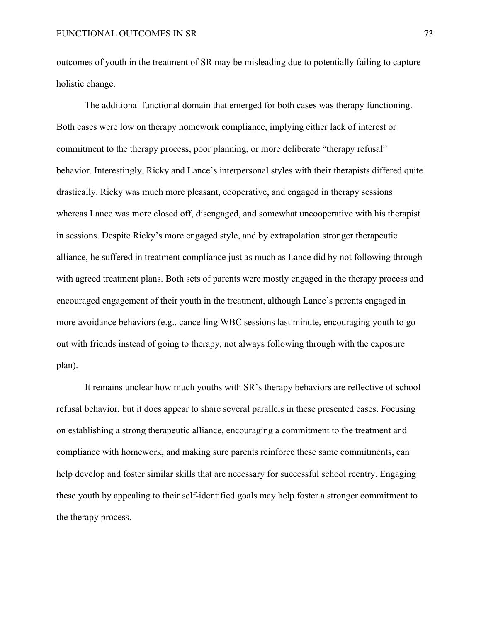outcomes of youth in the treatment of SR may be misleading due to potentially failing to capture holistic change.

The additional functional domain that emerged for both cases was therapy functioning. Both cases were low on therapy homework compliance, implying either lack of interest or commitment to the therapy process, poor planning, or more deliberate "therapy refusal" behavior. Interestingly, Ricky and Lance's interpersonal styles with their therapists differed quite drastically. Ricky was much more pleasant, cooperative, and engaged in therapy sessions whereas Lance was more closed off, disengaged, and somewhat uncooperative with his therapist in sessions. Despite Ricky's more engaged style, and by extrapolation stronger therapeutic alliance, he suffered in treatment compliance just as much as Lance did by not following through with agreed treatment plans. Both sets of parents were mostly engaged in the therapy process and encouraged engagement of their youth in the treatment, although Lance's parents engaged in more avoidance behaviors (e.g., cancelling WBC sessions last minute, encouraging youth to go out with friends instead of going to therapy, not always following through with the exposure plan).

It remains unclear how much youths with SR's therapy behaviors are reflective of school refusal behavior, but it does appear to share several parallels in these presented cases. Focusing on establishing a strong therapeutic alliance, encouraging a commitment to the treatment and compliance with homework, and making sure parents reinforce these same commitments, can help develop and foster similar skills that are necessary for successful school reentry. Engaging these youth by appealing to their self-identified goals may help foster a stronger commitment to the therapy process.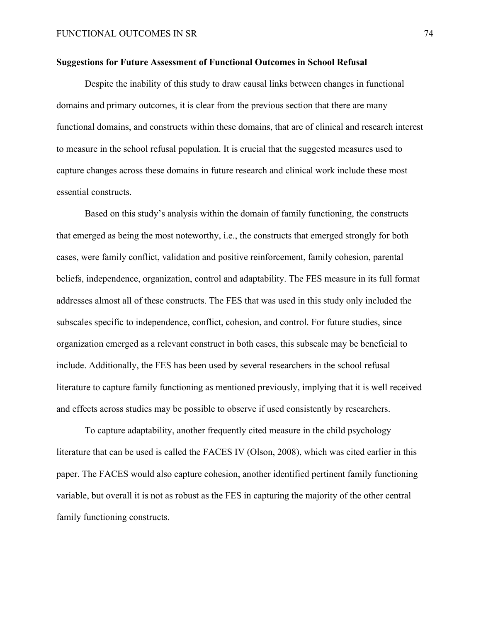### **Suggestions for Future Assessment of Functional Outcomes in School Refusal**

Despite the inability of this study to draw causal links between changes in functional domains and primary outcomes, it is clear from the previous section that there are many functional domains, and constructs within these domains, that are of clinical and research interest to measure in the school refusal population. It is crucial that the suggested measures used to capture changes across these domains in future research and clinical work include these most essential constructs.

Based on this study's analysis within the domain of family functioning, the constructs that emerged as being the most noteworthy, i.e., the constructs that emerged strongly for both cases, were family conflict, validation and positive reinforcement, family cohesion, parental beliefs, independence, organization, control and adaptability. The FES measure in its full format addresses almost all of these constructs. The FES that was used in this study only included the subscales specific to independence, conflict, cohesion, and control. For future studies, since organization emerged as a relevant construct in both cases, this subscale may be beneficial to include. Additionally, the FES has been used by several researchers in the school refusal literature to capture family functioning as mentioned previously, implying that it is well received and effects across studies may be possible to observe if used consistently by researchers.

To capture adaptability, another frequently cited measure in the child psychology literature that can be used is called the FACES IV (Olson, 2008), which was cited earlier in this paper. The FACES would also capture cohesion, another identified pertinent family functioning variable, but overall it is not as robust as the FES in capturing the majority of the other central family functioning constructs.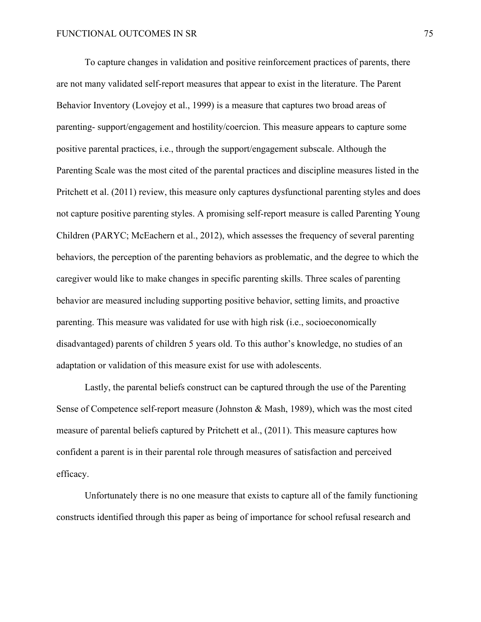To capture changes in validation and positive reinforcement practices of parents, there are not many validated self-report measures that appear to exist in the literature. The Parent Behavior Inventory (Lovejoy et al., 1999) is a measure that captures two broad areas of parenting- support/engagement and hostility/coercion. This measure appears to capture some positive parental practices, i.e., through the support/engagement subscale. Although the Parenting Scale was the most cited of the parental practices and discipline measures listed in the Pritchett et al. (2011) review, this measure only captures dysfunctional parenting styles and does not capture positive parenting styles. A promising self-report measure is called Parenting Young Children (PARYC; McEachern et al., 2012), which assesses the frequency of several parenting behaviors, the perception of the parenting behaviors as problematic, and the degree to which the caregiver would like to make changes in specific parenting skills. Three scales of parenting behavior are measured including supporting positive behavior, setting limits, and proactive parenting. This measure was validated for use with high risk (i.e., socioeconomically disadvantaged) parents of children 5 years old. To this author's knowledge, no studies of an adaptation or validation of this measure exist for use with adolescents.

Lastly, the parental beliefs construct can be captured through the use of the Parenting Sense of Competence self-report measure (Johnston & Mash, 1989), which was the most cited measure of parental beliefs captured by Pritchett et al., (2011). This measure captures how confident a parent is in their parental role through measures of satisfaction and perceived efficacy.

Unfortunately there is no one measure that exists to capture all of the family functioning constructs identified through this paper as being of importance for school refusal research and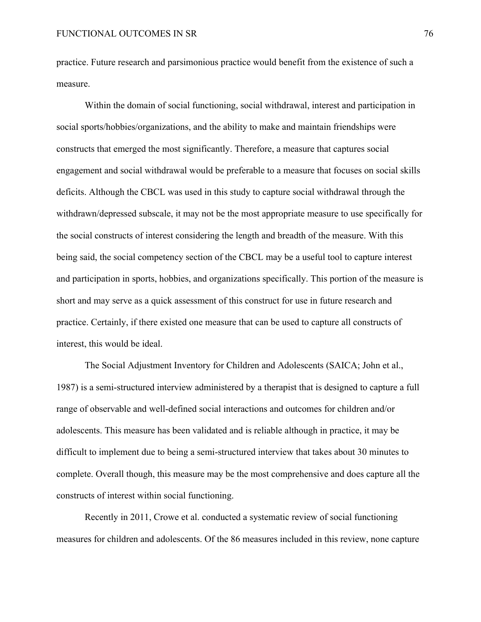practice. Future research and parsimonious practice would benefit from the existence of such a measure.

Within the domain of social functioning, social withdrawal, interest and participation in social sports/hobbies/organizations, and the ability to make and maintain friendships were constructs that emerged the most significantly. Therefore, a measure that captures social engagement and social withdrawal would be preferable to a measure that focuses on social skills deficits. Although the CBCL was used in this study to capture social withdrawal through the withdrawn/depressed subscale, it may not be the most appropriate measure to use specifically for the social constructs of interest considering the length and breadth of the measure. With this being said, the social competency section of the CBCL may be a useful tool to capture interest and participation in sports, hobbies, and organizations specifically. This portion of the measure is short and may serve as a quick assessment of this construct for use in future research and practice. Certainly, if there existed one measure that can be used to capture all constructs of interest, this would be ideal.

The Social Adjustment Inventory for Children and Adolescents (SAICA; John et al., 1987) is a semi-structured interview administered by a therapist that is designed to capture a full range of observable and well-defined social interactions and outcomes for children and/or adolescents. This measure has been validated and is reliable although in practice, it may be difficult to implement due to being a semi-structured interview that takes about 30 minutes to complete. Overall though, this measure may be the most comprehensive and does capture all the constructs of interest within social functioning.

Recently in 2011, Crowe et al. conducted a systematic review of social functioning measures for children and adolescents. Of the 86 measures included in this review, none capture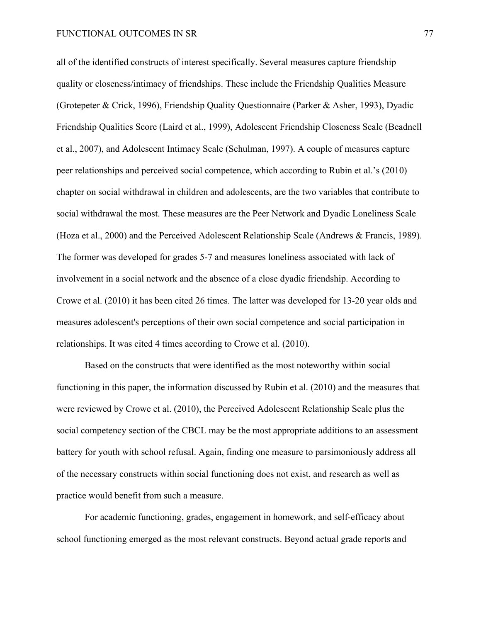all of the identified constructs of interest specifically. Several measures capture friendship quality or closeness/intimacy of friendships. These include the Friendship Qualities Measure (Grotepeter & Crick, 1996), Friendship Quality Questionnaire (Parker & Asher, 1993), Dyadic Friendship Qualities Score (Laird et al., 1999), Adolescent Friendship Closeness Scale (Beadnell et al., 2007), and Adolescent Intimacy Scale (Schulman, 1997). A couple of measures capture peer relationships and perceived social competence, which according to Rubin et al.'s (2010) chapter on social withdrawal in children and adolescents, are the two variables that contribute to social withdrawal the most. These measures are the Peer Network and Dyadic Loneliness Scale (Hoza et al., 2000) and the Perceived Adolescent Relationship Scale (Andrews & Francis, 1989). The former was developed for grades 5-7 and measures loneliness associated with lack of involvement in a social network and the absence of a close dyadic friendship. According to Crowe et al. (2010) it has been cited 26 times. The latter was developed for 13-20 year olds and measures adolescent's perceptions of their own social competence and social participation in relationships. It was cited 4 times according to Crowe et al. (2010).

Based on the constructs that were identified as the most noteworthy within social functioning in this paper, the information discussed by Rubin et al. (2010) and the measures that were reviewed by Crowe et al. (2010), the Perceived Adolescent Relationship Scale plus the social competency section of the CBCL may be the most appropriate additions to an assessment battery for youth with school refusal. Again, finding one measure to parsimoniously address all of the necessary constructs within social functioning does not exist, and research as well as practice would benefit from such a measure.

For academic functioning, grades, engagement in homework, and self-efficacy about school functioning emerged as the most relevant constructs. Beyond actual grade reports and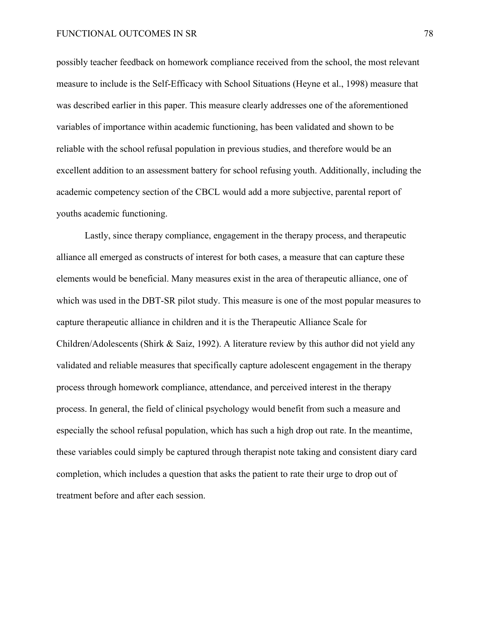possibly teacher feedback on homework compliance received from the school, the most relevant measure to include is the Self-Efficacy with School Situations (Heyne et al., 1998) measure that was described earlier in this paper. This measure clearly addresses one of the aforementioned variables of importance within academic functioning, has been validated and shown to be reliable with the school refusal population in previous studies, and therefore would be an excellent addition to an assessment battery for school refusing youth. Additionally, including the academic competency section of the CBCL would add a more subjective, parental report of youths academic functioning.

Lastly, since therapy compliance, engagement in the therapy process, and therapeutic alliance all emerged as constructs of interest for both cases, a measure that can capture these elements would be beneficial. Many measures exist in the area of therapeutic alliance, one of which was used in the DBT-SR pilot study. This measure is one of the most popular measures to capture therapeutic alliance in children and it is the Therapeutic Alliance Scale for Children/Adolescents (Shirk & Saiz, 1992). A literature review by this author did not yield any validated and reliable measures that specifically capture adolescent engagement in the therapy process through homework compliance, attendance, and perceived interest in the therapy process. In general, the field of clinical psychology would benefit from such a measure and especially the school refusal population, which has such a high drop out rate. In the meantime, these variables could simply be captured through therapist note taking and consistent diary card completion, which includes a question that asks the patient to rate their urge to drop out of treatment before and after each session.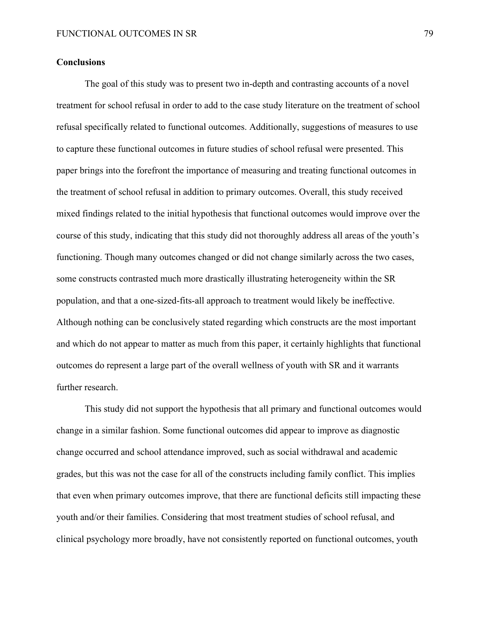### **Conclusions**

The goal of this study was to present two in-depth and contrasting accounts of a novel treatment for school refusal in order to add to the case study literature on the treatment of school refusal specifically related to functional outcomes. Additionally, suggestions of measures to use to capture these functional outcomes in future studies of school refusal were presented. This paper brings into the forefront the importance of measuring and treating functional outcomes in the treatment of school refusal in addition to primary outcomes. Overall, this study received mixed findings related to the initial hypothesis that functional outcomes would improve over the course of this study, indicating that this study did not thoroughly address all areas of the youth's functioning. Though many outcomes changed or did not change similarly across the two cases, some constructs contrasted much more drastically illustrating heterogeneity within the SR population, and that a one-sized-fits-all approach to treatment would likely be ineffective. Although nothing can be conclusively stated regarding which constructs are the most important and which do not appear to matter as much from this paper, it certainly highlights that functional outcomes do represent a large part of the overall wellness of youth with SR and it warrants further research.

This study did not support the hypothesis that all primary and functional outcomes would change in a similar fashion. Some functional outcomes did appear to improve as diagnostic change occurred and school attendance improved, such as social withdrawal and academic grades, but this was not the case for all of the constructs including family conflict. This implies that even when primary outcomes improve, that there are functional deficits still impacting these youth and/or their families. Considering that most treatment studies of school refusal, and clinical psychology more broadly, have not consistently reported on functional outcomes, youth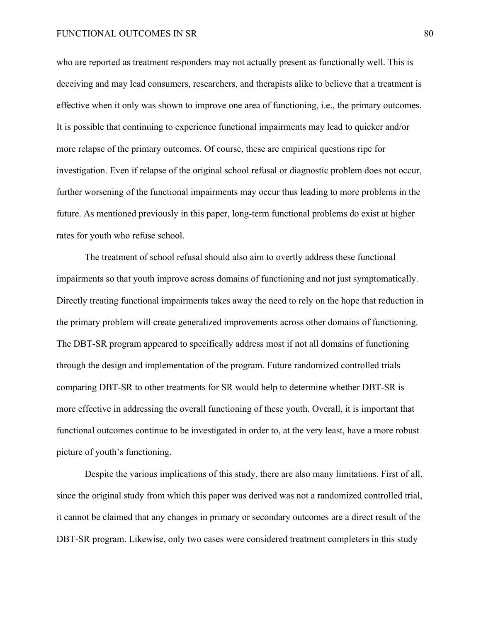who are reported as treatment responders may not actually present as functionally well. This is deceiving and may lead consumers, researchers, and therapists alike to believe that a treatment is effective when it only was shown to improve one area of functioning, i.e., the primary outcomes. It is possible that continuing to experience functional impairments may lead to quicker and/or more relapse of the primary outcomes. Of course, these are empirical questions ripe for investigation. Even if relapse of the original school refusal or diagnostic problem does not occur, further worsening of the functional impairments may occur thus leading to more problems in the future. As mentioned previously in this paper, long-term functional problems do exist at higher rates for youth who refuse school.

The treatment of school refusal should also aim to overtly address these functional impairments so that youth improve across domains of functioning and not just symptomatically. Directly treating functional impairments takes away the need to rely on the hope that reduction in the primary problem will create generalized improvements across other domains of functioning. The DBT-SR program appeared to specifically address most if not all domains of functioning through the design and implementation of the program. Future randomized controlled trials comparing DBT-SR to other treatments for SR would help to determine whether DBT-SR is more effective in addressing the overall functioning of these youth. Overall, it is important that functional outcomes continue to be investigated in order to, at the very least, have a more robust picture of youth's functioning.

Despite the various implications of this study, there are also many limitations. First of all, since the original study from which this paper was derived was not a randomized controlled trial, it cannot be claimed that any changes in primary or secondary outcomes are a direct result of the DBT-SR program. Likewise, only two cases were considered treatment completers in this study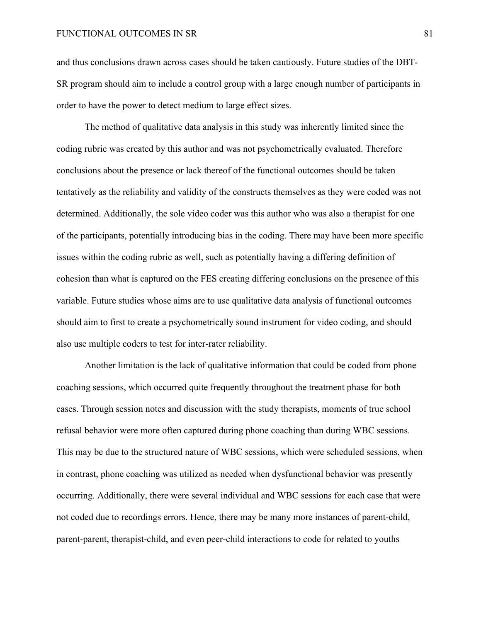and thus conclusions drawn across cases should be taken cautiously. Future studies of the DBT-SR program should aim to include a control group with a large enough number of participants in order to have the power to detect medium to large effect sizes.

The method of qualitative data analysis in this study was inherently limited since the coding rubric was created by this author and was not psychometrically evaluated. Therefore conclusions about the presence or lack thereof of the functional outcomes should be taken tentatively as the reliability and validity of the constructs themselves as they were coded was not determined. Additionally, the sole video coder was this author who was also a therapist for one of the participants, potentially introducing bias in the coding. There may have been more specific issues within the coding rubric as well, such as potentially having a differing definition of cohesion than what is captured on the FES creating differing conclusions on the presence of this variable. Future studies whose aims are to use qualitative data analysis of functional outcomes should aim to first to create a psychometrically sound instrument for video coding, and should also use multiple coders to test for inter-rater reliability.

Another limitation is the lack of qualitative information that could be coded from phone coaching sessions, which occurred quite frequently throughout the treatment phase for both cases. Through session notes and discussion with the study therapists, moments of true school refusal behavior were more often captured during phone coaching than during WBC sessions. This may be due to the structured nature of WBC sessions, which were scheduled sessions, when in contrast, phone coaching was utilized as needed when dysfunctional behavior was presently occurring. Additionally, there were several individual and WBC sessions for each case that were not coded due to recordings errors. Hence, there may be many more instances of parent-child, parent-parent, therapist-child, and even peer-child interactions to code for related to youths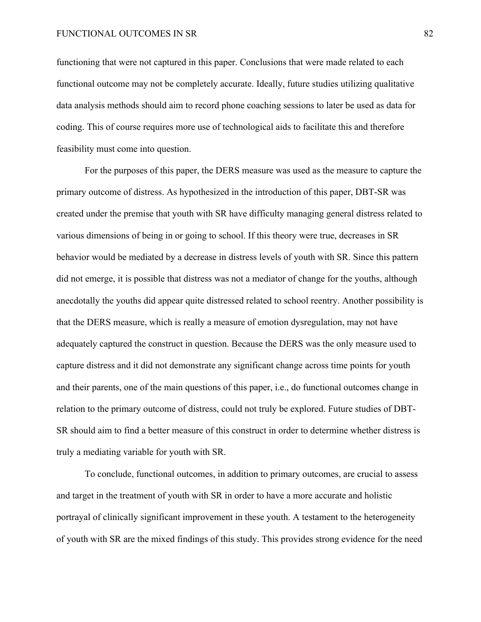functioning that were not captured in this paper. Conclusions that were made related to each functional outcome may not be completely accurate. Ideally, future studies utilizing qualitative data analysis methods should aim to record phone coaching sessions to later be used as data for coding. This of course requires more use of technological aids to facilitate this and therefore feasibility must come into question.

For the purposes of this paper, the DERS measure was used as the measure to capture the primary outcome of distress. As hypothesized in the introduction of this paper, DBT-SR was created under the premise that youth with SR have difficulty managing general distress related to various dimensions of being in or going to school. If this theory were true, decreases in SR behavior would be mediated by a decrease in distress levels of youth with SR. Since this pattern did not emerge, it is possible that distress was not a mediator of change for the youths, although anecdotally the youths did appear quite distressed related to school reentry. Another possibility is that the DERS measure, which is really a measure of emotion dysregulation, may not have adequately captured the construct in question. Because the DERS was the only measure used to capture distress and it did not demonstrate any significant change across time points for youth and their parents, one of the main questions of this paper, i.e., do functional outcomes change in relation to the primary outcome of distress, could not truly be explored. Future studies of DBT-SR should aim to find a better measure of this construct in order to determine whether distress is truly a mediating variable for youth with SR.

To conclude, functional outcomes, in addition to primary outcomes, are crucial to assess and target in the treatment of youth with SR in order to have a more accurate and holistic portrayal of clinically significant improvement in these youth. A testament to the heterogeneity of youth with SR are the mixed findings of this study. This provides strong evidence for the need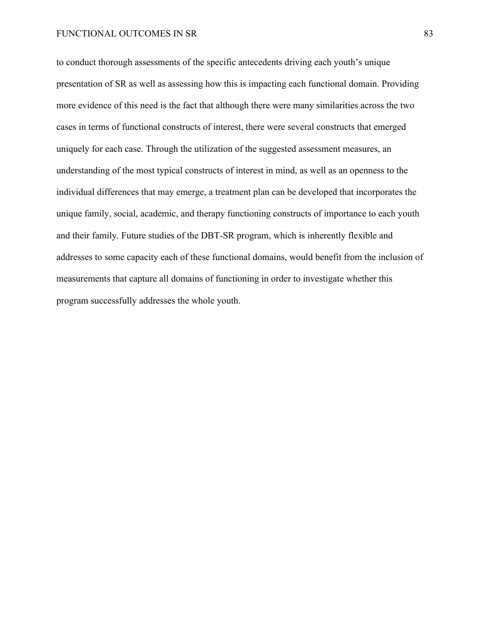to conduct thorough assessments of the specific antecedents driving each youth's unique presentation of SR as well as assessing how this is impacting each functional domain. Providing more evidence of this need is the fact that although there were many similarities across the two cases in terms of functional constructs of interest, there were several constructs that emerged uniquely for each case. Through the utilization of the suggested assessment measures, an understanding of the most typical constructs of interest in mind, as well as an openness to the individual differences that may emerge, a treatment plan can be developed that incorporates the unique family, social, academic, and therapy functioning constructs of importance to each youth and their family. Future studies of the DBT-SR program, which is inherently flexible and addresses to some capacity each of these functional domains, would benefit from the inclusion of measurements that capture all domains of functioning in order to investigate whether this program successfully addresses the whole youth.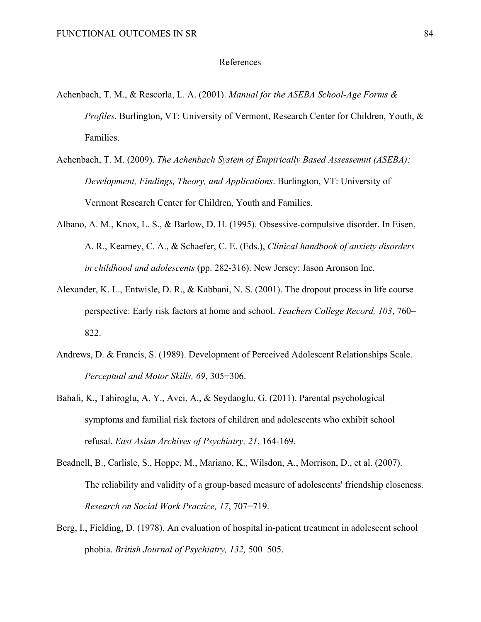#### References

- Achenbach, T. M., & Rescorla, L. A. (2001). *Manual for the ASEBA School-Age Forms & Profiles*. Burlington, VT: University of Vermont, Research Center for Children, Youth, & Families.
- Achenbach, T. M. (2009). *The Achenbach System of Empirically Based Assessemnt (ASEBA): Development, Findings, Theory, and Applications*. Burlington, VT: University of Vermont Research Center for Children, Youth and Families.
- Albano, A. M., Knox, L. S., & Barlow, D. H. (1995). Obsessive-compulsive disorder. In Eisen, A. R., Kearney, C. A., & Schaefer, C. E. (Eds.), *Clinical handbook of anxiety disorders in childhood and adolescents* (pp. 282-316). New Jersey: Jason Aronson Inc.
- Alexander, K. L., Entwisle, D. R., & Kabbani, N. S. (2001). The dropout process in life course perspective: Early risk factors at home and school. *Teachers College Record, 103*, 760– 822.
- Andrews, D. & Francis, S. (1989). Development of Perceived Adolescent Relationships Scale. *Perceptual and Motor Skills, 69*, 305**−**306.
- Bahali, K., Tahiroglu, A. Y., Avci, A., & Seydaoglu, G. (2011). Parental psychological symptoms and familial risk factors of children and adolescents who exhibit school refusal. *East Asian Archives of Psychiatry, 21*, 164-169.
- Beadnell, B., Carlisle, S., Hoppe, M., Mariano, K., Wilsdon, A., Morrison, D., et al. (2007). The reliability and validity of a group-based measure of adolescents' friendship closeness. *Research on Social Work Practice, 17*, 707**−**719.
- Berg, I., Fielding, D. (1978). An evaluation of hospital in-patient treatment in adolescent school phobia. *British Journal of Psychiatry, 132,* 500–505.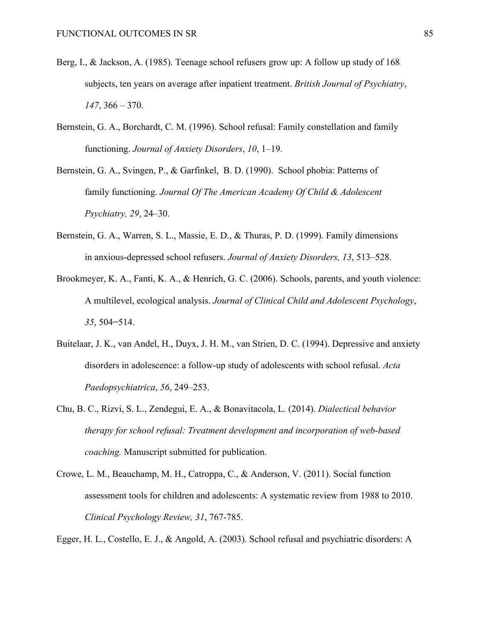- Berg, I., & Jackson, A. (1985). Teenage school refusers grow up: A follow up study of 168 subjects, ten years on average after inpatient treatment. *British Journal of Psychiatry*, *147*, 366 – 370.
- Bernstein, G. A., Borchardt, C. M. (1996). School refusal: Family constellation and family functioning. *Journal of Anxiety Disorders*, *10*, 1–19.
- Bernstein, G. A., Svingen, P., & Garfinkel, B. D. (1990). School phobia: Patterns of family functioning. *Journal Of The American Academy Of Child & Adolescent Psychiatry, 29*, 24–30.
- Bernstein, G. A., Warren, S. L., Massie, E. D., & Thuras, P. D. (1999). Family dimensions in anxious-depressed school refusers. *Journal of Anxiety Disorders, 13*, 513–528.
- Brookmeyer, K. A., Fanti, K. A., & Henrich, G. C. (2006). Schools, parents, and youth violence: A multilevel, ecological analysis. *Journal of Clinical Child and Adolescent Psychology*, *35*, 504**−**514.
- Buitelaar, J. K., van Andel, H., Duyx, J. H. M., van Strien, D. C. (1994). Depressive and anxiety disorders in adolescence: a follow-up study of adolescents with school refusal. *Acta Paedopsychiatrica*, *56*, 249–253.
- Chu, B. C., Rizvi, S. L., Zendegui, E. A., & Bonavitacola, L. (2014). *Dialectical behavior therapy for school refusal: Treatment development and incorporation of web-based coaching.* Manuscript submitted for publication.
- Crowe, L. M., Beauchamp, M. H., Catroppa, C., & Anderson, V. (2011). Social function assessment tools for children and adolescents: A systematic review from 1988 to 2010. *Clinical Psychology Review, 31*, 767-785.

Egger, H. L., Costello, E. J., & Angold, A. (2003). School refusal and psychiatric disorders: A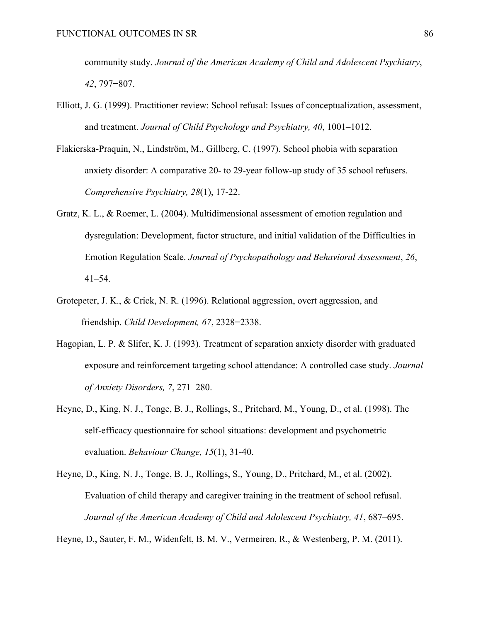community study. *Journal of the American Academy of Child and Adolescent Psychiatry*, *42*, 797**−**807.

- Elliott, J. G. (1999). Practitioner review: School refusal: Issues of conceptualization, assessment, and treatment. *Journal of Child Psychology and Psychiatry, 40*, 1001–1012.
- Flakierska-Praquin, N., Lindström, M., Gillberg, C. (1997). School phobia with separation anxiety disorder: A comparative 20- to 29-year follow-up study of 35 school refusers. *Comprehensive Psychiatry, 28*(1), 17-22.
- Gratz, K. L., & Roemer, L. (2004). Multidimensional assessment of emotion regulation and dysregulation: Development, factor structure, and initial validation of the Difficulties in Emotion Regulation Scale. *Journal of Psychopathology and Behavioral Assessment*, *26*, 41–54.
- Grotepeter, J. K., & Crick, N. R. (1996). Relational aggression, overt aggression, and friendship. *Child Development, 67*, 2328**−**2338.
- Hagopian, L. P. & Slifer, K. J. (1993). Treatment of separation anxiety disorder with graduated exposure and reinforcement targeting school attendance: A controlled case study. *Journal of Anxiety Disorders, 7*, 271–280.
- Heyne, D., King, N. J., Tonge, B. J., Rollings, S., Pritchard, M., Young, D., et al. (1998). The self-efficacy questionnaire for school situations: development and psychometric evaluation. *Behaviour Change, 15*(1), 31-40.
- Heyne, D., King, N. J., Tonge, B. J., Rollings, S., Young, D., Pritchard, M., et al. (2002). Evaluation of child therapy and caregiver training in the treatment of school refusal. *Journal of the American Academy of Child and Adolescent Psychiatry, 41*, 687–695.

Heyne, D., Sauter, F. M., Widenfelt, B. M. V., Vermeiren, R., & Westenberg, P. M. (2011).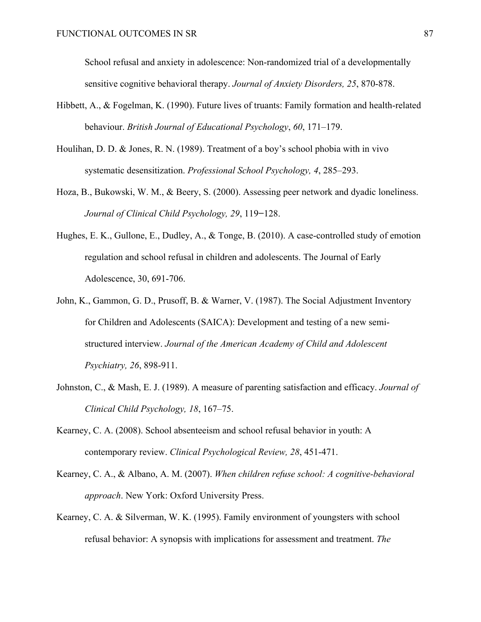School refusal and anxiety in adolescence: Non-randomized trial of a developmentally sensitive cognitive behavioral therapy. *Journal of Anxiety Disorders, 25*, 870-878.

- Hibbett, A., & Fogelman, K. (1990). Future lives of truants: Family formation and health-related behaviour. *British Journal of Educational Psychology*, *60*, 171–179.
- Houlihan, D. D. & Jones, R. N. (1989). Treatment of a boy's school phobia with in vivo systematic desensitization. *Professional School Psychology, 4*, 285–293.
- Hoza, B., Bukowski, W. M., & Beery, S. (2000). Assessing peer network and dyadic loneliness. *Journal of Clinical Child Psychology, 29*, 119**−**128.
- Hughes, E. K., Gullone, E., Dudley, A., & Tonge, B. (2010). A case-controlled study of emotion regulation and school refusal in children and adolescents. The Journal of Early Adolescence, 30, 691-706.
- John, K., Gammon, G. D., Prusoff, B. & Warner, V. (1987). The Social Adjustment Inventory for Children and Adolescents (SAICA): Development and testing of a new semistructured interview. *Journal of the American Academy of Child and Adolescent Psychiatry, 26*, 898-911.
- Johnston, C., & Mash, E. J. (1989). A measure of parenting satisfaction and efficacy. *Journal of Clinical Child Psychology, 18*, 167–75.
- Kearney, C. A. (2008). School absenteeism and school refusal behavior in youth: A contemporary review. *Clinical Psychological Review, 28*, 451-471.
- Kearney, C. A., & Albano, A. M. (2007). *When children refuse school: A cognitive-behavioral approach*. New York: Oxford University Press.
- Kearney, C. A. & Silverman, W. K. (1995). Family environment of youngsters with school refusal behavior: A synopsis with implications for assessment and treatment. *The*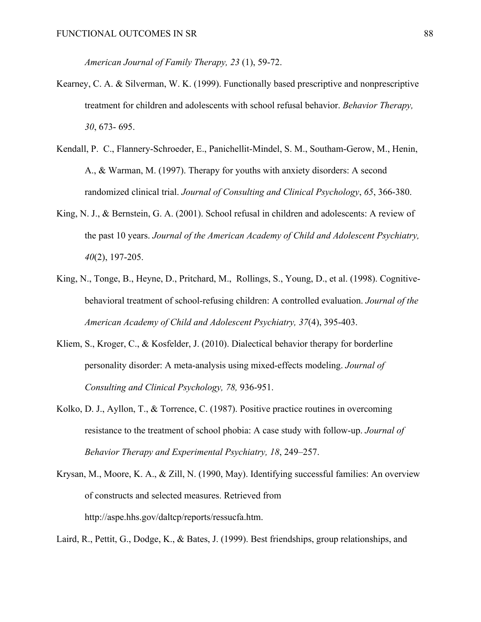*American Journal of Family Therapy, 23* (1), 59-72.

- Kearney, C. A. & Silverman, W. K. (1999). Functionally based prescriptive and nonprescriptive treatment for children and adolescents with school refusal behavior. *Behavior Therapy, 30*, 673- 695.
- Kendall, P. C., Flannery-Schroeder, E., Panichellit-Mindel, S. M., Southam-Gerow, M., Henin, A., & Warman, M. (1997). Therapy for youths with anxiety disorders: A second randomized clinical trial. *Journal of Consulting and Clinical Psychology*, *65*, 366-380.
- King, N. J., & Bernstein, G. A. (2001). School refusal in children and adolescents: A review of the past 10 years. *Journal of the American Academy of Child and Adolescent Psychiatry, 40*(2), 197-205.
- King, N., Tonge, B., Heyne, D., Pritchard, M., Rollings, S., Young, D., et al. (1998). Cognitivebehavioral treatment of school-refusing children: A controlled evaluation. *Journal of the American Academy of Child and Adolescent Psychiatry, 37*(4), 395-403.
- Kliem, S., Kroger, C., & Kosfelder, J. (2010). Dialectical behavior therapy for borderline personality disorder: A meta-analysis using mixed-effects modeling. *Journal of Consulting and Clinical Psychology, 78,* 936-951.
- Kolko, D. J., Ayllon, T., & Torrence, C. (1987). Positive practice routines in overcoming resistance to the treatment of school phobia: A case study with follow-up. *Journal of Behavior Therapy and Experimental Psychiatry, 18*, 249–257.
- Krysan, M., Moore, K. A., & Zill, N. (1990, May). Identifying successful families: An overview of constructs and selected measures. Retrieved from http://aspe.hhs.gov/daltcp/reports/ressucfa.htm.

Laird, R., Pettit, G., Dodge, K., & Bates, J. (1999). Best friendships, group relationships, and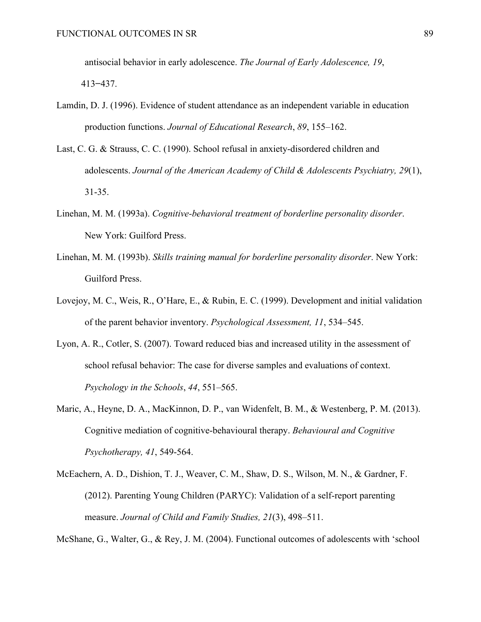antisocial behavior in early adolescence. *The Journal of Early Adolescence, 19*, 413**−**437.

- Lamdin, D. J. (1996). Evidence of student attendance as an independent variable in education production functions. *Journal of Educational Research*, *89*, 155–162.
- Last, C. G. & Strauss, C. C. (1990). School refusal in anxiety-disordered children and adolescents. *Journal of the American Academy of Child & Adolescents Psychiatry, 29*(1), 31-35.
- Linehan, M. M. (1993a). *Cognitive-behavioral treatment of borderline personality disorder*. New York: Guilford Press.
- Linehan, M. M. (1993b). *Skills training manual for borderline personality disorder*. New York: Guilford Press.
- Lovejoy, M. C., Weis, R., O'Hare, E., & Rubin, E. C. (1999). Development and initial validation of the parent behavior inventory. *Psychological Assessment, 11*, 534–545.
- Lyon, A. R., Cotler, S. (2007). Toward reduced bias and increased utility in the assessment of school refusal behavior: The case for diverse samples and evaluations of context. *Psychology in the Schools*, *44*, 551–565.
- Maric, A., Heyne, D. A., MacKinnon, D. P., van Widenfelt, B. M., & Westenberg, P. M. (2013). Cognitive mediation of cognitive-behavioural therapy. *Behavioural and Cognitive Psychotherapy, 41*, 549-564.
- McEachern, A. D., Dishion, T. J., Weaver, C. M., Shaw, D. S., Wilson, M. N., & Gardner, F. (2012). Parenting Young Children (PARYC): Validation of a self-report parenting measure. *Journal of Child and Family Studies, 21*(3), 498–511.

McShane, G., Walter, G., & Rey, J. M. (2004). Functional outcomes of adolescents with 'school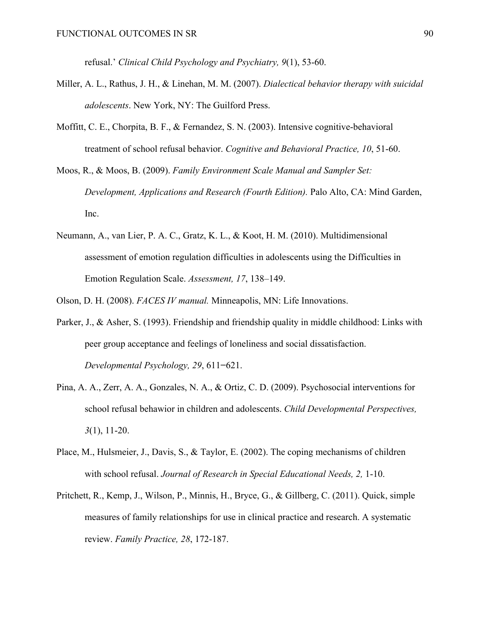refusal.' *Clinical Child Psychology and Psychiatry, 9*(1), 53-60.

- Miller, A. L., Rathus, J. H., & Linehan, M. M. (2007). *Dialectical behavior therapy with suicidal adolescents*. New York, NY: The Guilford Press.
- Moffitt, C. E., Chorpita, B. F., & Fernandez, S. N. (2003). Intensive cognitive-behavioral treatment of school refusal behavior. *Cognitive and Behavioral Practice, 10*, 51-60.
- Moos, R., & Moos, B. (2009). *Family Environment Scale Manual and Sampler Set: Development, Applications and Research (Fourth Edition).* Palo Alto, CA: Mind Garden, Inc.
- Neumann, A., van Lier, P. A. C., Gratz, K. L., & Koot, H. M. (2010). Multidimensional assessment of emotion regulation difficulties in adolescents using the Difficulties in Emotion Regulation Scale. *Assessment, 17*, 138–149.
- Olson, D. H. (2008). *FACES IV manual.* Minneapolis, MN: Life Innovations.
- Parker, J., & Asher, S. (1993). Friendship and friendship quality in middle childhood: Links with peer group acceptance and feelings of loneliness and social dissatisfaction. *Developmental Psychology, 29*, 611**−**621.
- Pina, A. A., Zerr, A. A., Gonzales, N. A., & Ortiz, C. D. (2009). Psychosocial interventions for school refusal behawior in children and adolescents. *Child Developmental Perspectives, 3*(1), 11-20.
- Place, M., Hulsmeier, J., Davis, S., & Taylor, E. (2002). The coping mechanisms of children with school refusal. *Journal of Research in Special Educational Needs, 2,* 1-10.
- Pritchett, R., Kemp, J., Wilson, P., Minnis, H., Bryce, G., & Gillberg, C. (2011). Quick, simple measures of family relationships for use in clinical practice and research. A systematic review. *Family Practice, 28*, 172-187.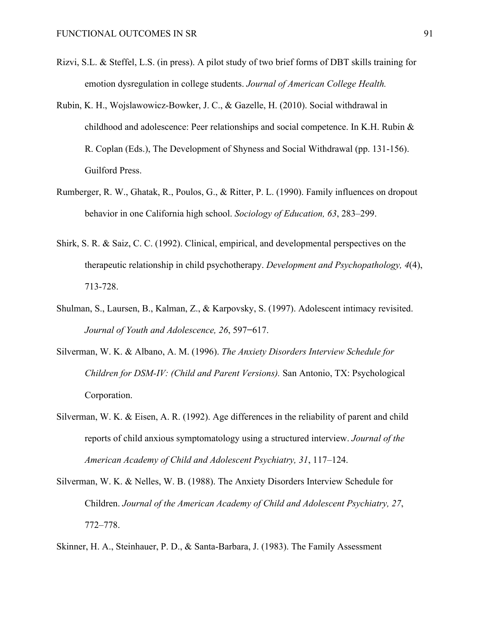- Rizvi, S.L. & Steffel, L.S. (in press). A pilot study of two brief forms of DBT skills training for emotion dysregulation in college students. *Journal of American College Health.*
- Rubin, K. H., Wojslawowicz-Bowker, J. C., & Gazelle, H. (2010). Social withdrawal in childhood and adolescence: Peer relationships and social competence. In K.H. Rubin & R. Coplan (Eds.), The Development of Shyness and Social Withdrawal (pp. 131-156). Guilford Press.
- Rumberger, R. W., Ghatak, R., Poulos, G., & Ritter, P. L. (1990). Family influences on dropout behavior in one California high school. *Sociology of Education, 63*, 283–299.
- Shirk, S. R. & Saiz, C. C. (1992). Clinical, empirical, and developmental perspectives on the therapeutic relationship in child psychotherapy. *Development and Psychopathology, 4*(4), 713-728.
- Shulman, S., Laursen, B., Kalman, Z., & Karpovsky, S. (1997). Adolescent intimacy revisited. *Journal of Youth and Adolescence, 26*, 597**−**617.
- Silverman, W. K. & Albano, A. M. (1996). *The Anxiety Disorders Interview Schedule for Children for DSM-IV: (Child and Parent Versions).* San Antonio, TX: Psychological Corporation.
- Silverman, W. K. & Eisen, A. R. (1992). Age differences in the reliability of parent and child reports of child anxious symptomatology using a structured interview. *Journal of the American Academy of Child and Adolescent Psychiatry, 31*, 117–124.
- Silverman, W. K. & Nelles, W. B. (1988). The Anxiety Disorders Interview Schedule for Children. *Journal of the American Academy of Child and Adolescent Psychiatry, 27*, 772–778.

Skinner, H. A., Steinhauer, P. D., & Santa-Barbara, J. (1983). The Family Assessment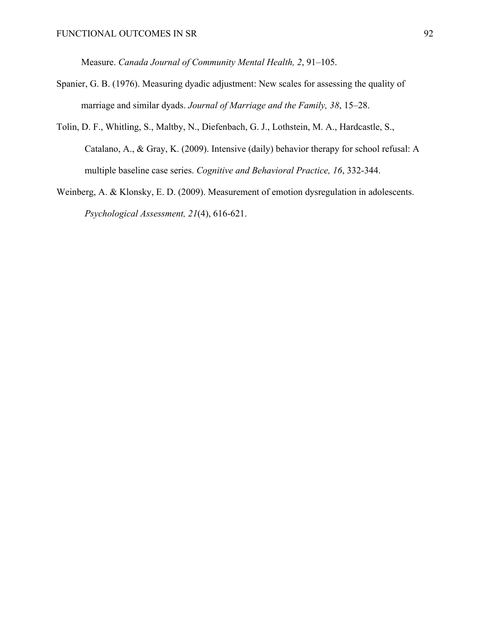Measure. *Canada Journal of Community Mental Health, 2*, 91–105.

- Spanier, G. B. (1976). Measuring dyadic adjustment: New scales for assessing the quality of marriage and similar dyads. *Journal of Marriage and the Family, 38*, 15–28.
- Tolin, D. F., Whitling, S., Maltby, N., Diefenbach, G. J., Lothstein, M. A., Hardcastle, S., Catalano, A., & Gray, K. (2009). Intensive (daily) behavior therapy for school refusal: A multiple baseline case series. *Cognitive and Behavioral Practice, 16*, 332-344.
- Weinberg, A. & Klonsky, E. D. (2009). Measurement of emotion dysregulation in adolescents. *Psychological Assessment, 21*(4), 616-621.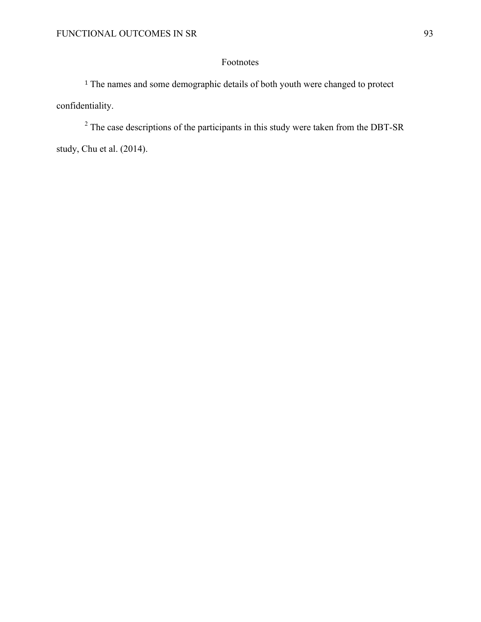# Footnotes

<sup>1</sup> The names and some demographic details of both youth were changed to protect confidentiality.

<sup>2</sup> The case descriptions of the participants in this study were taken from the DBT-SR study, Chu et al. (2014).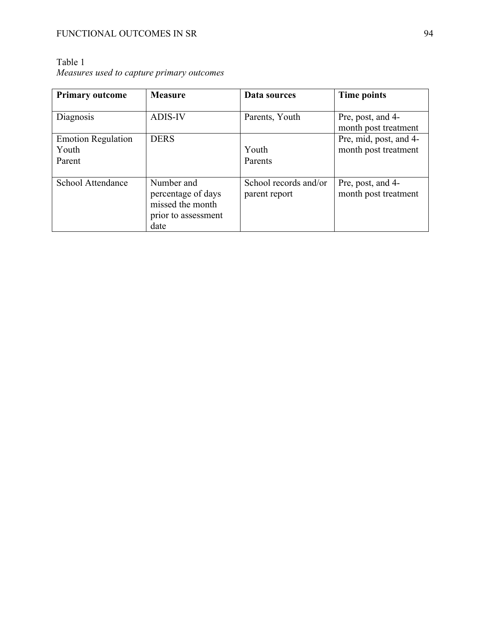| <b>Primary outcome</b>                       | <b>Measure</b>                                                                      | Data sources                           | Time points                                    |
|----------------------------------------------|-------------------------------------------------------------------------------------|----------------------------------------|------------------------------------------------|
| Diagnosis                                    | <b>ADIS-IV</b>                                                                      | Parents, Youth                         | Pre, post, and 4-<br>month post treatment      |
| <b>Emotion Regulation</b><br>Youth<br>Parent | <b>DERS</b>                                                                         | Youth<br>Parents                       | Pre, mid, post, and 4-<br>month post treatment |
| School Attendance                            | Number and<br>percentage of days<br>missed the month<br>prior to assessment<br>date | School records and/or<br>parent report | Pre, post, and 4-<br>month post treatment      |

## Table 1 *Measures used to capture primary outcomes*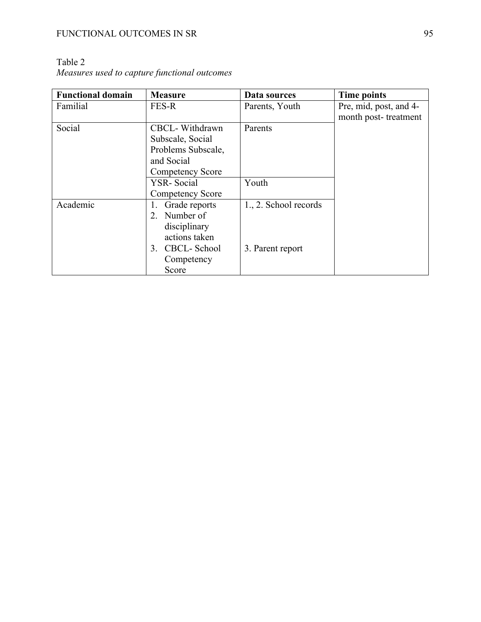| <b>Functional domain</b> | <b>Measure</b>     | Data sources          | <b>Time points</b>     |
|--------------------------|--------------------|-----------------------|------------------------|
| Familial                 | FES-R              | Parents, Youth        | Pre, mid, post, and 4- |
|                          |                    |                       | month post-treatment   |
| Social                   | CBCL-Withdrawn     | Parents               |                        |
|                          | Subscale, Social   |                       |                        |
|                          | Problems Subscale, |                       |                        |
|                          | and Social         |                       |                        |
|                          | Competency Score   |                       |                        |
|                          | <b>YSR-Social</b>  | Youth                 |                        |
|                          | Competency Score   |                       |                        |
| Academic                 | Grade reports      | 1., 2. School records |                        |
|                          | Number of<br>2.    |                       |                        |
|                          | disciplinary       |                       |                        |
|                          | actions taken      |                       |                        |
|                          | 3. CBCL-School     | 3. Parent report      |                        |
|                          | Competency         |                       |                        |
|                          | Score              |                       |                        |

Table 2 *Measures used to capture functional outcomes*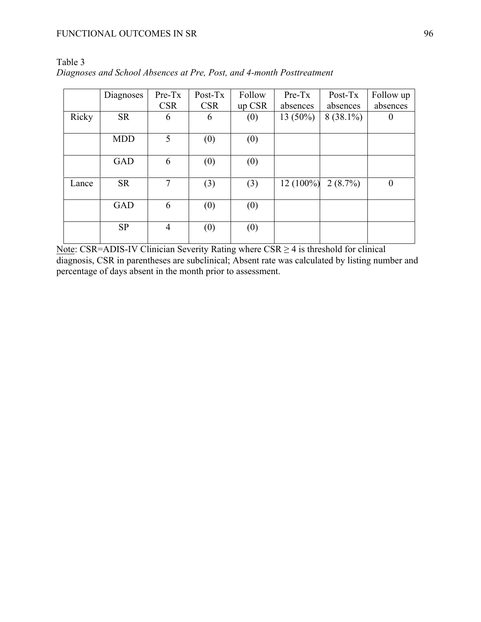|       | Diagnoses  | Pre-Tx         | $Post-Tx$  | Follow | $Pre-Tx$   | Post-Tx     | Follow up |
|-------|------------|----------------|------------|--------|------------|-------------|-----------|
|       |            | <b>CSR</b>     | <b>CSR</b> | up CSR | absences   | absences    | absences  |
| Ricky | <b>SR</b>  | 6              | 6          | (0)    | $13(50\%)$ | $8(38.1\%)$ | $\theta$  |
|       |            |                |            |        |            |             |           |
|       | <b>MDD</b> | 5              | (0)        | (0)    |            |             |           |
|       |            |                |            |        |            |             |           |
|       | <b>GAD</b> | 6              | (0)        | (0)    |            |             |           |
| Lance | <b>SR</b>  | 7              | (3)        | (3)    | 12 (100%)  | $2(8.7\%)$  | $\theta$  |
|       | <b>GAD</b> | 6              | (0)        | (0)    |            |             |           |
|       | <b>SP</b>  | $\overline{4}$ | (0)        | (0)    |            |             |           |

Table 3 *Diagnoses and School Absences at Pre, Post, and 4-month Posttreatment*

Note: CSR=ADIS-IV Clinician Severity Rating where  $CSR \geq 4$  is threshold for clinical diagnosis, CSR in parentheses are subclinical; Absent rate was calculated by listing number and percentage of days absent in the month prior to assessment.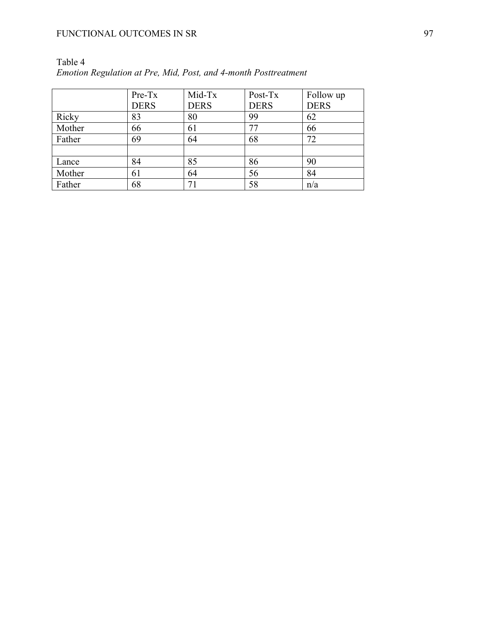|        | Pre-Tx<br><b>DERS</b> | Mid-Tx<br><b>DERS</b> | Post-Tx<br><b>DERS</b> | Follow up<br><b>DERS</b> |
|--------|-----------------------|-----------------------|------------------------|--------------------------|
| Ricky  | 83                    | 80                    | 99                     | 62                       |
|        |                       |                       |                        |                          |
| Mother | 66                    | 61                    | 77                     | 66                       |
| Father | 69                    | 64                    | 68                     | 72                       |
|        |                       |                       |                        |                          |
| Lance  | 84                    | 85                    | 86                     | 90                       |
| Mother | 61                    | 64                    | 56                     | 84                       |
| Father | 68                    | 71                    | 58                     | n/a                      |

| Table 4                                                         |
|-----------------------------------------------------------------|
| Emotion Regulation at Pre, Mid, Post, and 4-month Posttreatment |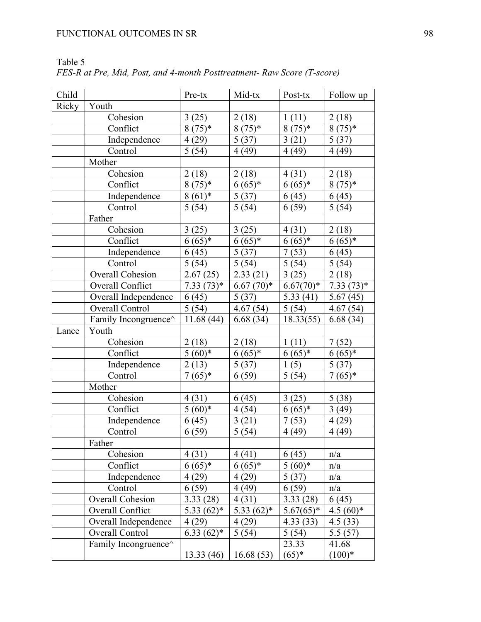| Child |                         | Pre-tx              | Mid-tx             | Post-tx     | Follow up           |
|-------|-------------------------|---------------------|--------------------|-------------|---------------------|
| Ricky | Youth                   |                     |                    |             |                     |
|       | Cohesion                | 3(25)               | 2(18)              | 1(11)       | 2(18)               |
|       | Conflict                | $8(75)*$            | $8(75)*$           | $8(75)*$    | $8(75)*$            |
|       | Independence            | 4(29)               | 5(37)              | 3(21)       | 5(37)               |
|       | Control                 | 5(54)               | 4(49)              | 4(49)       | 4(49)               |
|       | Mother                  |                     |                    |             |                     |
|       | Cohesion                | 2(18)               | 2(18)              | 4(31)       | 2(18)               |
|       | Conflict                | $8(75)*$            | $6(65)*$           | $6(65)*$    | $8(75)*$            |
|       | Independence            | $8(61)*$            | 5(37)              | 6(45)       | 6(45)               |
|       | Control                 | 5(54)               | $\overline{5}(54)$ | 6(59)       | 5(54)               |
|       | Father                  |                     |                    |             |                     |
|       | Cohesion                | 3(25)               | 3(25)              | 4(31)       | 2(18)               |
|       | Conflict                | $6(65)*$            | $6(65)*$           | $6(65)*$    | $6(65)*$            |
|       | Independence            | 6(45)               | 5(37)              | 7(53)       | 6(45)               |
|       | Control                 | 5(54)               | 5(54)              | 5(54)       | 5(54)               |
|       | <b>Overall Cohesion</b> | 2.67(25)            | 2.33(21)           | 3(25)       | 2(18)               |
|       | Overall Conflict        | $7.33(73)*$         | $6.67(70)*$        | $6.67(70)*$ | $7.33(73)*$         |
|       | Overall Independence    | 6(45)               | 5(37)              | 5.33(41)    | 5.67(45)            |
|       | Overall Control         | 5(54)               | 4.67(54)           | 5(54)       | 4.67(54)            |
|       | Family Incongruence^    | 11.68(44)           | 6.68(34)           | 18.33(55)   | 6.68(34)            |
| Lance | Youth                   |                     |                    |             |                     |
|       | Cohesion                | 2(18)               | 2(18)              | 1(11)       | 7(52)               |
|       | Conflict                | $5(60)*$            | $6(65)*$           | $6(65)*$    | $6(65)*$            |
|       | Independence            | 2(13)               | 5(37)              | 1(5)        | 5(37)               |
|       | Control                 | $\frac{1}{7(65)^*}$ | 6(59)              | 5(54)       | $\frac{1}{7}(65)^*$ |
|       | Mother                  |                     |                    |             |                     |
|       | Cohesion                | 4(31)               | 6(45)              | 3(25)       | 5(38)               |
|       | Conflict                | $5(60)*$            | 4(54)              | $6(65)*$    | 3(49)               |
|       | Independence            | 6(45)               | 3(21)              | 7(53)       | 4(29)               |
|       | Control                 | 6(59)               | $\overline{5}(54)$ | 4(49)       | 4(49)               |
|       | Father                  |                     |                    |             |                     |
|       | Cohesion                | 4(31)               | 4(41)              | 6(45)       | n/a                 |
|       | Conflict                | $6(65)*$            | $6(65)*$           | $5(60)*$    | n/a                 |
|       | Independence            | 4(29)               | 4(29)              | 5(37)       | n/a                 |
|       | Control                 | 6(59)               | 4(49)              | 6(59)       | n/a                 |
|       | Overall Cohesion        | 3.33(28)            | 4(31)              | 3.33(28)    | 6(45)               |
|       | <b>Overall Conflict</b> | $5.33(62)*$         | $5.33(62)*$        | $5.67(65)*$ | $4.5(60)*$          |
|       | Overall Independence    | 4(29)               | 4(29)              | 4.33(33)    | 4.5(33)             |
|       | Overall Control         | $6.33(62)*$         | 5(54)              | 5(54)       | 5.5(57)             |
|       | Family Incongruence^    |                     |                    | 23.33       | 41.68               |
|       |                         | 13.33(46)           | 16.68(53)          | $(65)*$     | $(100)*$            |

Table 5 *FES-R at Pre, Mid, Post, and 4-month Posttreatment- Raw Score (T-score)*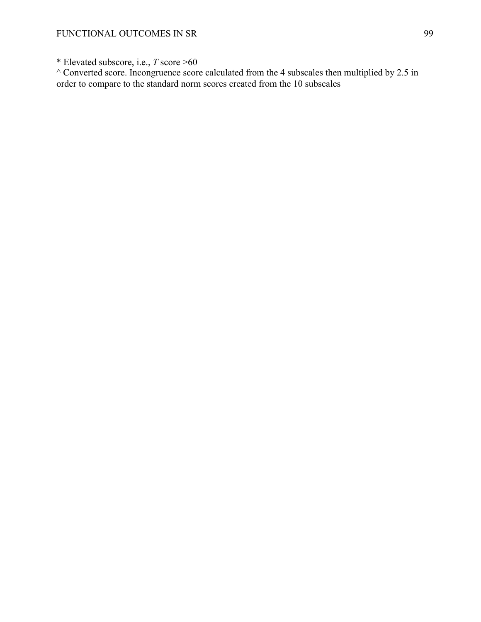\* Elevated subscore, i.e., *T* score >60

 $^{\wedge}$  Converted score. Incongruence score calculated from the 4 subscales then multiplied by 2.5 in order to compare to the standard norm scores created from the 10 subscales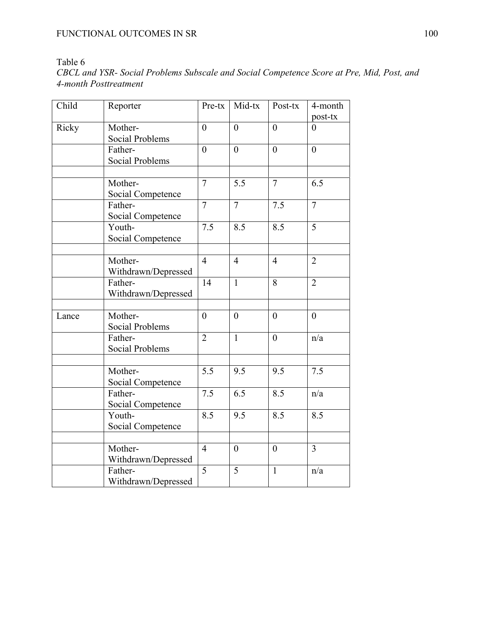## Table 6

### *CBCL and YSR- Social Problems Subscale and Social Competence Score at Pre, Mid, Post, and 4-month Posttreatment*

| Child | Reporter                          | Pre-tx         | Mid-tx         | Post-tx          | 4-month<br>post-tx |
|-------|-----------------------------------|----------------|----------------|------------------|--------------------|
| Ricky | Mother-<br>Social Problems        | $\overline{0}$ | $\overline{0}$ | $\overline{0}$   | $\theta$           |
|       | Father-<br><b>Social Problems</b> | $\overline{0}$ | $\overline{0}$ | $\overline{0}$   | $\overline{0}$     |
|       |                                   |                |                |                  |                    |
|       | Mother-<br>Social Competence      | $\overline{7}$ | 5.5            | $\overline{7}$   | 6.5                |
|       | Father-<br>Social Competence      | $\overline{7}$ | $\overline{7}$ | 7.5              | $\overline{7}$     |
|       | Youth-<br>Social Competence       | 7.5            | 8.5            | $\overline{8.5}$ | $\overline{5}$     |
|       |                                   |                |                |                  |                    |
|       | Mother-<br>Withdrawn/Depressed    | $\overline{4}$ | $\overline{4}$ | $\overline{4}$   | $\overline{2}$     |
|       | Father-<br>Withdrawn/Depressed    | 14             | $\mathbf{1}$   | 8                | $\overline{2}$     |
| Lance | Mother-<br><b>Social Problems</b> | $\overline{0}$ | $\overline{0}$ | $\overline{0}$   | $\overline{0}$     |
|       | Father-<br>Social Problems        | $\overline{2}$ | $\mathbf{1}$   | $\overline{0}$   | n/a                |
|       | Mother-<br>Social Competence      | 5.5            | 9.5            | 9.5              | 7.5                |
|       | Father-<br>Social Competence      | 7.5            | 6.5            | 8.5              | n/a                |
|       | Youth-<br>Social Competence       | 8.5            | 9.5            | 8.5              | 8.5                |
|       |                                   |                |                |                  |                    |
|       | Mother-<br>Withdrawn/Depressed    | $\overline{4}$ | $\overline{0}$ | $\overline{0}$   | $\overline{3}$     |
|       | Father-<br>Withdrawn/Depressed    | $\overline{5}$ | $\overline{5}$ | $\mathbf{1}$     | n/a                |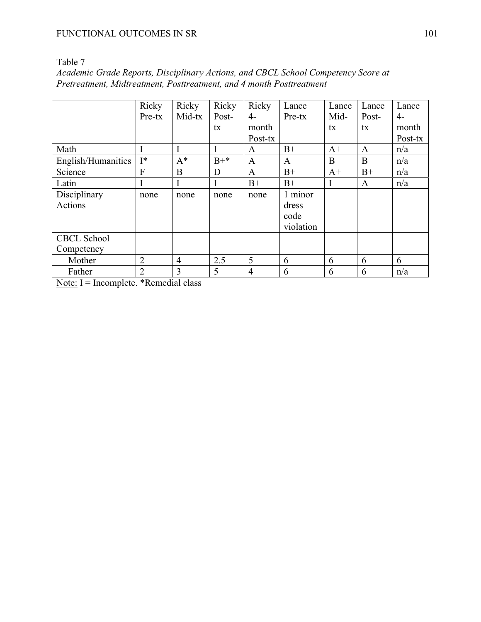| п<br>. . |  |
|----------|--|
|          |  |

| Academic Grade Reports, Disciplinary Actions, and CBCL School Competency Score at |  |
|-----------------------------------------------------------------------------------|--|
| Pretreatment, Midtreatment, Posttreatment, and 4 month Posttreatment              |  |

|                    | Ricky          | Ricky          | Ricky | Ricky          | Lance     | Lance | Lance        | Lance   |
|--------------------|----------------|----------------|-------|----------------|-----------|-------|--------------|---------|
|                    | Pre-tx         | Mid-tx         | Post- | $4-$           | Pre-tx    | Mid-  | Post-        | $4-$    |
|                    |                |                | tx    | month          |           | tx    | tx           | month   |
|                    |                |                |       | Post-tx        |           |       |              | Post-tx |
| Math               |                |                | I     | A              | $B+$      | $A+$  | $\mathbf{A}$ | n/a     |
| English/Humanities | $I^*$          | $A^*$          | $B+*$ | A              | A         | B     | B            | n/a     |
| Science            | F              | B              | D     | A              | $B+$      | $A+$  | $B+$         | n/a     |
| Latin              |                | I              | I     | $B+$           | $B+$      | I     | A            | n/a     |
| Disciplinary       | none           | none           | none  | none           | 1 minor   |       |              |         |
| Actions            |                |                |       |                | dress     |       |              |         |
|                    |                |                |       |                | code      |       |              |         |
|                    |                |                |       |                | violation |       |              |         |
| <b>CBCL School</b> |                |                |       |                |           |       |              |         |
| Competency         |                |                |       |                |           |       |              |         |
| Mother             | $\overline{2}$ | $\overline{4}$ | 2.5   | 5              | 6         | 6     | 6            | 6       |
| Father             | $\overline{2}$ | $\overline{3}$ | 5     | $\overline{4}$ | 6         | 6     | 6            | n/a     |

Note: I = Incomplete. \*Remedial class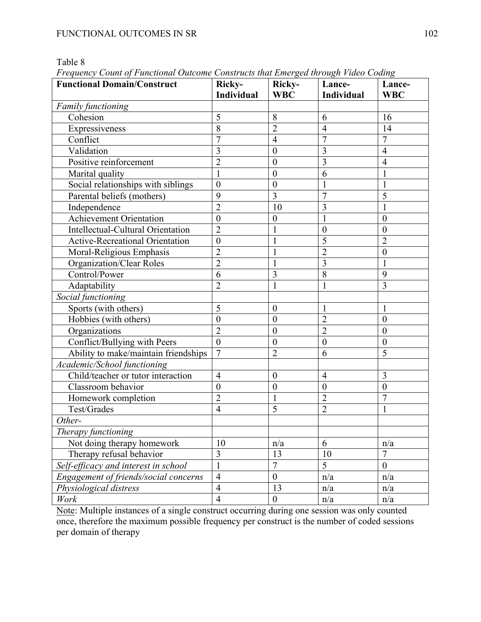Table 8

| Prequency Count of Punctional Outcome Constructs that Einerged inrough Flaeo Couing<br><b>Functional Domain/Construct</b> | Ricky-                   | Ricky-           | Lance-            | Lance-           |
|---------------------------------------------------------------------------------------------------------------------------|--------------------------|------------------|-------------------|------------------|
|                                                                                                                           | Individual               | <b>WBC</b>       | <b>Individual</b> | <b>WBC</b>       |
| Family functioning                                                                                                        |                          |                  |                   |                  |
| Cohesion                                                                                                                  | 5                        | 8                | 6                 | 16               |
| Expressiveness                                                                                                            | 8                        | $\overline{2}$   | $\overline{4}$    | 14               |
| Conflict                                                                                                                  | $\overline{7}$           | $\overline{4}$   | $\overline{7}$    | $\overline{7}$   |
| Validation                                                                                                                | 3                        | $\boldsymbol{0}$ | $\overline{3}$    | $\overline{4}$   |
| Positive reinforcement                                                                                                    | $\overline{2}$           | $\boldsymbol{0}$ | $\overline{3}$    | $\overline{4}$   |
| Marital quality                                                                                                           |                          | $\boldsymbol{0}$ | 6                 |                  |
| Social relationships with siblings                                                                                        | $\overline{0}$           | $\boldsymbol{0}$ | 1                 |                  |
| Parental beliefs (mothers)                                                                                                | 9                        | $\overline{3}$   | $\overline{7}$    | 5                |
| Independence                                                                                                              | $\overline{2}$           | 10               | 3                 |                  |
| Achievement Orientation                                                                                                   | $\overline{0}$           | $\boldsymbol{0}$ | 1                 | $\boldsymbol{0}$ |
| Intellectual-Cultural Orientation                                                                                         | $\overline{2}$           | 1                | $\boldsymbol{0}$  | $\mathbf{0}$     |
| <b>Active-Recreational Orientation</b>                                                                                    | $\overline{0}$           | 1                | 5                 | $\overline{2}$   |
| Moral-Religious Emphasis                                                                                                  | $\overline{2}$           | 1                | $\overline{2}$    | $\boldsymbol{0}$ |
| Organization/Clear Roles                                                                                                  | $\overline{2}$           | $\mathbf{1}$     | $\overline{3}$    |                  |
| Control/Power                                                                                                             | 6                        | 3                | $\overline{8}$    | 9                |
| Adaptability                                                                                                              | $\overline{2}$           | $\mathbf{1}$     | 1                 | 3                |
| Social functioning                                                                                                        |                          |                  |                   |                  |
| Sports (with others)                                                                                                      | 5                        | $\boldsymbol{0}$ | $\mathbf{1}$      | $\mathbf{1}$     |
| Hobbies (with others)                                                                                                     | $\overline{0}$           | $\boldsymbol{0}$ | $\overline{2}$    | $\mathbf{0}$     |
| Organizations                                                                                                             | $\overline{2}$           | $\boldsymbol{0}$ | $\overline{2}$    | $\boldsymbol{0}$ |
| Conflict/Bullying with Peers                                                                                              | $\overline{0}$           | $\boldsymbol{0}$ | $\mathbf{0}$      | $\boldsymbol{0}$ |
| Ability to make/maintain friendships                                                                                      | $\overline{7}$           | $\overline{2}$   | 6                 | 5                |
| Academic/School functioning                                                                                               |                          |                  |                   |                  |
| Child/teacher or tutor interaction                                                                                        | $\overline{4}$           | $\boldsymbol{0}$ | $\overline{4}$    | 3                |
| Classroom behavior                                                                                                        | $\boldsymbol{0}$         | $\boldsymbol{0}$ | $\boldsymbol{0}$  | $\boldsymbol{0}$ |
| Homework completion                                                                                                       | $\overline{2}$           | $\mathbf{1}$     | $\overline{2}$    | $\overline{7}$   |
| Test/Grades                                                                                                               | $\overline{4}$           | 5                | $\overline{2}$    |                  |
| Other-                                                                                                                    |                          |                  |                   |                  |
| Therapy functioning                                                                                                       |                          |                  |                   |                  |
| Not doing therapy homework                                                                                                | 10                       | n/a              | 6                 | n/a              |
| Therapy refusal behavior                                                                                                  | $\overline{3}$           | 13               | 10                | $\overline{7}$   |
| Self-efficacy and interest in school                                                                                      | $\mathbf{1}$             | $\overline{7}$   | $\overline{5}$    | $\boldsymbol{0}$ |
| Engagement of friends/social concerns                                                                                     | $\overline{4}$           | $\boldsymbol{0}$ | n/a               | n/a              |
| Physiological distress                                                                                                    | $\overline{\mathcal{A}}$ | 13               | n/a               | n/a              |
| Work                                                                                                                      | $\overline{4}$           | $\boldsymbol{0}$ | n/a               | n/a              |

*Frequency Count of Functional Outcome Constructs that Emerged through Video Coding*

Note: Multiple instances of a single construct occurring during one session was only counted once, therefore the maximum possible frequency per construct is the number of coded sessions per domain of therapy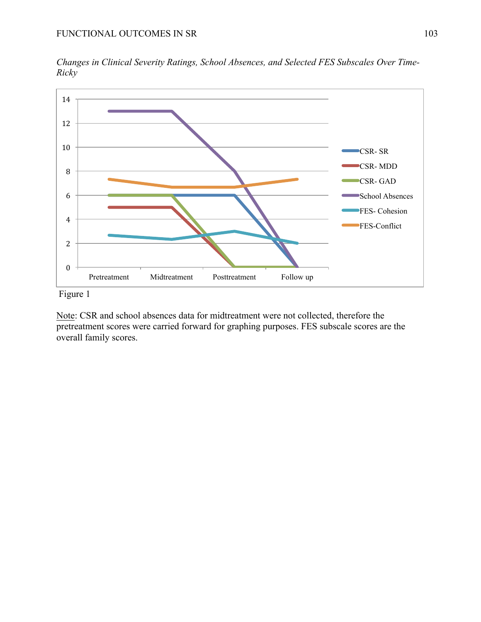

*Changes in Clinical Severity Ratings, School Absences, and Selected FES Subscales Over Time-Ricky*

Figure 1

Note: CSR and school absences data for midtreatment were not collected, therefore the pretreatment scores were carried forward for graphing purposes. FES subscale scores are the overall family scores.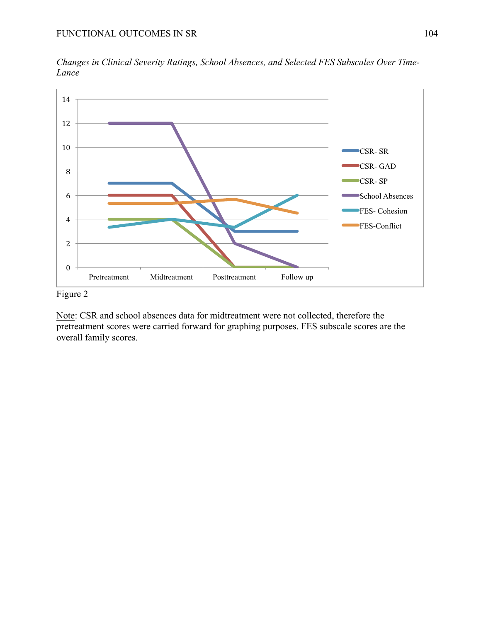

*Changes in Clinical Severity Ratings, School Absences, and Selected FES Subscales Over Time-Lance*

Figure 2

Note: CSR and school absences data for midtreatment were not collected, therefore the pretreatment scores were carried forward for graphing purposes. FES subscale scores are the overall family scores.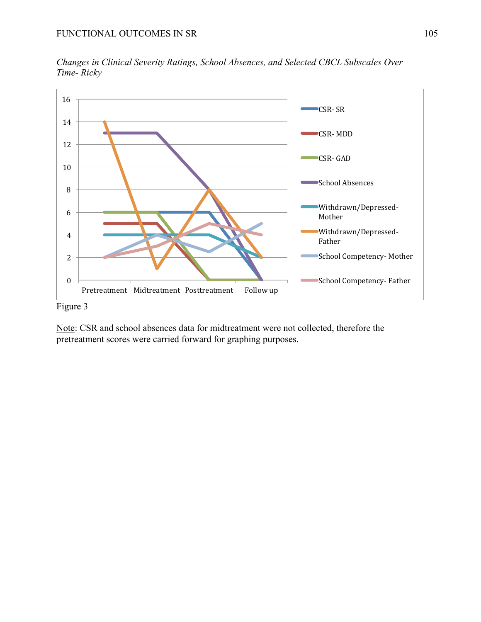

*Changes in Clinical Severity Ratings, School Absences, and Selected CBCL Subscales Over Time- Ricky*

Figure 3

Note: CSR and school absences data for midtreatment were not collected, therefore the pretreatment scores were carried forward for graphing purposes.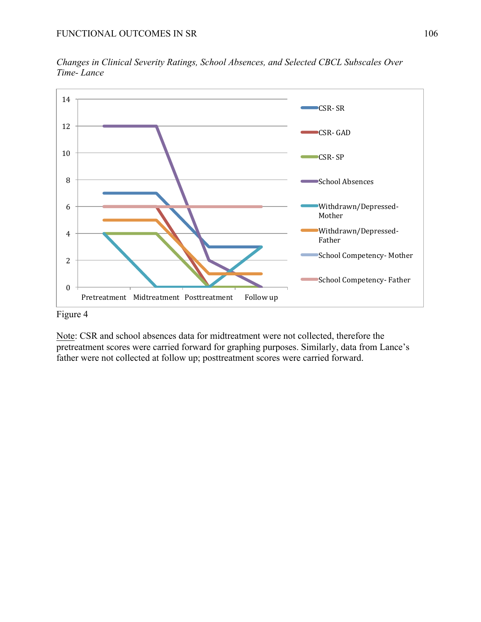

*Changes in Clinical Severity Ratings, School Absences, and Selected CBCL Subscales Over Time- Lance*

## Figure 4

Note: CSR and school absences data for midtreatment were not collected, therefore the pretreatment scores were carried forward for graphing purposes. Similarly, data from Lance's father were not collected at follow up; posttreatment scores were carried forward.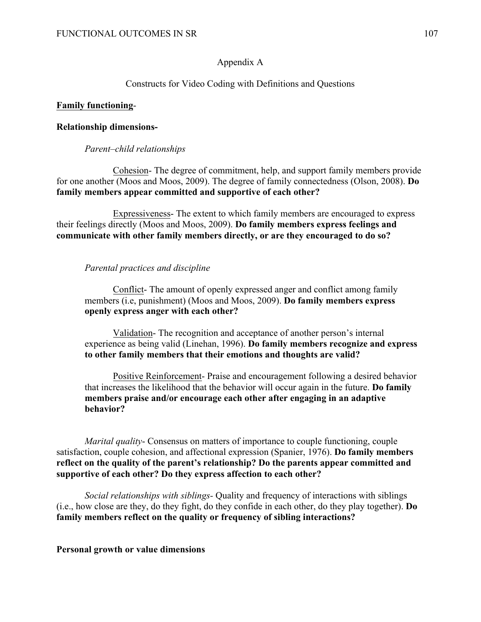## Appendix A

## Constructs for Video Coding with Definitions and Questions

### **Family functioning**-

### **Relationship dimensions-**

### *Parent–child relationships*

Cohesion- The degree of commitment, help, and support family members provide for one another (Moos and Moos, 2009). The degree of family connectedness (Olson, 2008). **Do family members appear committed and supportive of each other?**

Expressiveness- The extent to which family members are encouraged to express their feelings directly (Moos and Moos, 2009). **Do family members express feelings and communicate with other family members directly, or are they encouraged to do so?**

### *Parental practices and discipline*

Conflict- The amount of openly expressed anger and conflict among family members (i.e, punishment) (Moos and Moos, 2009). **Do family members express openly express anger with each other?**

Validation- The recognition and acceptance of another person's internal experience as being valid (Linehan, 1996). **Do family members recognize and express to other family members that their emotions and thoughts are valid?**

Positive Reinforcement- Praise and encouragement following a desired behavior that increases the likelihood that the behavior will occur again in the future. **Do family members praise and/or encourage each other after engaging in an adaptive behavior?** 

*Marital quality*- Consensus on matters of importance to couple functioning, couple satisfaction, couple cohesion, and affectional expression (Spanier, 1976). **Do family members reflect on the quality of the parent's relationship? Do the parents appear committed and supportive of each other? Do they express affection to each other?** 

*Social relationships with siblings-* Quality and frequency of interactions with siblings (i.e., how close are they, do they fight, do they confide in each other, do they play together). **Do family members reflect on the quality or frequency of sibling interactions?**

### **Personal growth or value dimensions**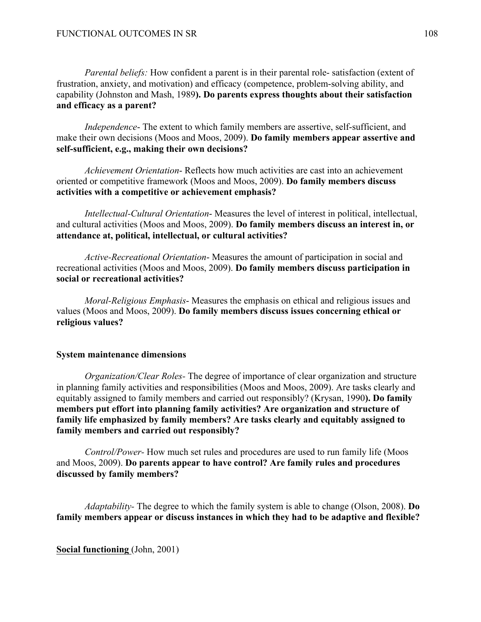*Parental beliefs:* How confident a parent is in their parental role- satisfaction (extent of frustration, anxiety, and motivation) and efficacy (competence, problem-solving ability, and capability (Johnston and Mash, 1989**). Do parents express thoughts about their satisfaction and efficacy as a parent?**

*Independence*- The extent to which family members are assertive, self-sufficient, and make their own decisions (Moos and Moos, 2009). **Do family members appear assertive and self-sufficient, e.g., making their own decisions?**

*Achievement Orientation*- Reflects how much activities are cast into an achievement oriented or competitive framework (Moos and Moos, 2009). **Do family members discuss activities with a competitive or achievement emphasis?** 

*Intellectual-Cultural Orientation*- Measures the level of interest in political, intellectual, and cultural activities (Moos and Moos, 2009). **Do family members discuss an interest in, or attendance at, political, intellectual, or cultural activities?**

*Active-Recreational Orientation*- Measures the amount of participation in social and recreational activities (Moos and Moos, 2009). **Do family members discuss participation in social or recreational activities?** 

*Moral-Religious Emphasis*- Measures the emphasis on ethical and religious issues and values (Moos and Moos, 2009). **Do family members discuss issues concerning ethical or religious values?** 

# **System maintenance dimensions**

*Organization/Clear Roles-* The degree of importance of clear organization and structure in planning family activities and responsibilities (Moos and Moos, 2009). Are tasks clearly and equitably assigned to family members and carried out responsibly? (Krysan, 1990**). Do family members put effort into planning family activities? Are organization and structure of family life emphasized by family members? Are tasks clearly and equitably assigned to family members and carried out responsibly?**

*Control/Power-* How much set rules and procedures are used to run family life (Moos and Moos, 2009). **Do parents appear to have control? Are family rules and procedures discussed by family members?**

*Adaptability-* The degree to which the family system is able to change (Olson, 2008). **Do family members appear or discuss instances in which they had to be adaptive and flexible?**